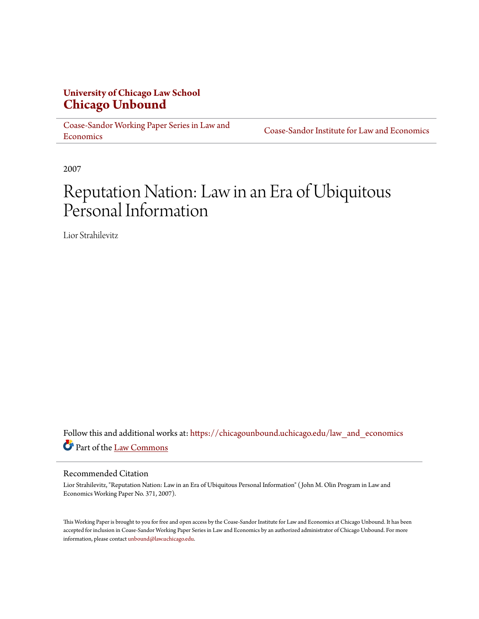# **University of Chicago Law School [Chicago Unbound](https://chicagounbound.uchicago.edu?utm_source=chicagounbound.uchicago.edu%2Flaw_and_economics%2F423&utm_medium=PDF&utm_campaign=PDFCoverPages)**

[Coase-Sandor Working Paper Series in Law and](https://chicagounbound.uchicago.edu/law_and_economics?utm_source=chicagounbound.uchicago.edu%2Flaw_and_economics%2F423&utm_medium=PDF&utm_campaign=PDFCoverPages) [Economics](https://chicagounbound.uchicago.edu/law_and_economics?utm_source=chicagounbound.uchicago.edu%2Flaw_and_economics%2F423&utm_medium=PDF&utm_campaign=PDFCoverPages)

[Coase-Sandor Institute for Law and Economics](https://chicagounbound.uchicago.edu/coase_sandor_institute?utm_source=chicagounbound.uchicago.edu%2Flaw_and_economics%2F423&utm_medium=PDF&utm_campaign=PDFCoverPages)

2007

# Reputation Nation: Law in an Era of Ubiquitous Personal Information

Lior Strahilevitz

Follow this and additional works at: [https://chicagounbound.uchicago.edu/law\\_and\\_economics](https://chicagounbound.uchicago.edu/law_and_economics?utm_source=chicagounbound.uchicago.edu%2Flaw_and_economics%2F423&utm_medium=PDF&utm_campaign=PDFCoverPages) Part of the [Law Commons](http://network.bepress.com/hgg/discipline/578?utm_source=chicagounbound.uchicago.edu%2Flaw_and_economics%2F423&utm_medium=PDF&utm_campaign=PDFCoverPages)

#### Recommended Citation

Lior Strahilevitz, "Reputation Nation: Law in an Era of Ubiquitous Personal Information" ( John M. Olin Program in Law and Economics Working Paper No. 371, 2007).

This Working Paper is brought to you for free and open access by the Coase-Sandor Institute for Law and Economics at Chicago Unbound. It has been accepted for inclusion in Coase-Sandor Working Paper Series in Law and Economics by an authorized administrator of Chicago Unbound. For more information, please contact [unbound@law.uchicago.edu.](mailto:unbound@law.uchicago.edu)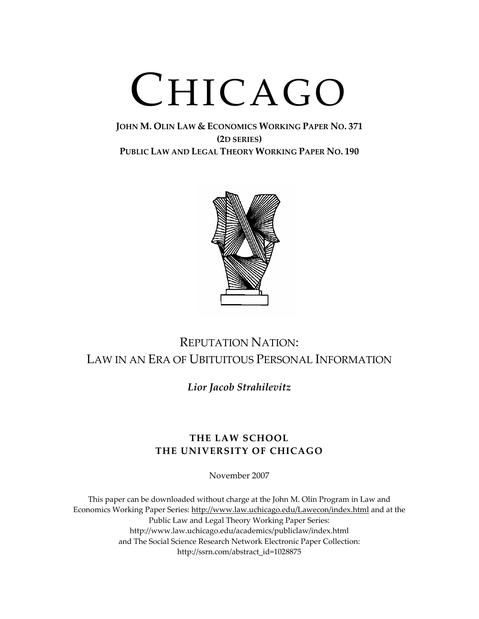# CHICAGO

### **JOHN M. OLIN LAW & ECONOMICS WORKING PAPER NO. 371 (2D SERIES) PUBLIC LAW AND LEGAL THEORY WORKING PAPER NO. 190**



# REPUTATION NATION: LAW IN AN ERA OF UBITUITOUS PERSONAL INFORMATION

*Lior Jacob Strahilevitz*

## **THE LAW SCHOOL THE UNIVERSITY OF CHICAGO**

November 2007

This paper can be downloaded without charge at the John M. Olin Program in Law and Economics Working Paper Series: http://www.law.uchicago.edu/Lawecon/index.html and at the Public Law and Legal Theory Working Paper Series: http://www.law.uchicago.edu/academics/publiclaw/index.html and The Social Science Research Network Electronic Paper Collection: http://ssrn.com/abstract\_id=1028875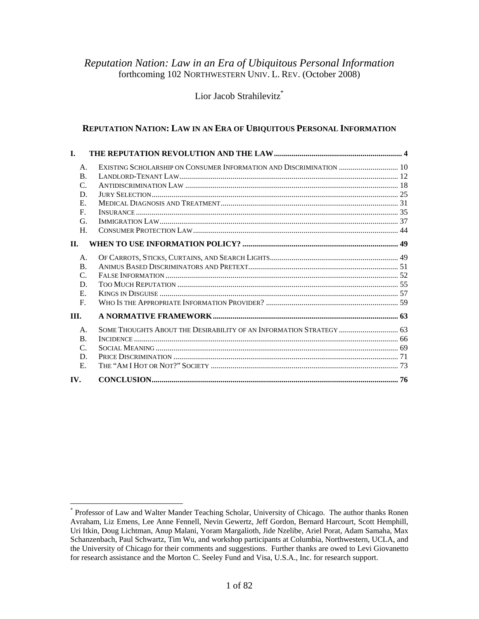#### *Reputation Nation: Law in an Era of Ubiquitous Personal Information*  forthcoming 102 NORTHWESTERN UNIV. L. REV. (October 2008)

Lior Jacob Strahilevitz<sup>\*</sup>

#### **REPUTATION NATION: LAW IN AN ERA OF UBIQUITOUS PERSONAL INFORMATION**

| L.             |                                                                     |  |
|----------------|---------------------------------------------------------------------|--|
| А.             | EXISTING SCHOLARSHIP ON CONSUMER INFORMATION AND DISCRIMINATION  10 |  |
| $\mathbf{B}$ . |                                                                     |  |
| C.             |                                                                     |  |
| D              |                                                                     |  |
| Е.             |                                                                     |  |
| $\mathbf{F}$ . |                                                                     |  |
| G.             |                                                                     |  |
| Η.             |                                                                     |  |
| П.             |                                                                     |  |
| $\mathsf{A}$ . |                                                                     |  |
| $\mathbf{B}$ . |                                                                     |  |
| C.             |                                                                     |  |
| D.             |                                                                     |  |
| Е.             |                                                                     |  |
| $F_{\cdot}$    |                                                                     |  |
| III.           |                                                                     |  |
| A.             | SOME THOUGHTS ABOUT THE DESIRABILITY OF AN INFORMATION STRATEGY  63 |  |
| $\mathbf{B}$ . |                                                                     |  |
| $\mathsf{C}$   |                                                                     |  |
| D.             |                                                                     |  |
| Е.             |                                                                     |  |
| IV.            |                                                                     |  |

<sup>\*</sup> Professor of Law and Walter Mander Teaching Scholar, University of Chicago. The author thanks Ronen Avraham, Liz Emens, Lee Anne Fennell, Nevin Gewertz, Jeff Gordon, Bernard Harcourt, Scott Hemphill, Uri Itkin, Doug Lichtman, Anup Malani, Yoram Margalioth, Jide Nzelibe, Ariel Porat, Adam Samaha, Max Schanzenbach, Paul Schwartz, Tim Wu, and workshop participants at Columbia, Northwestern, UCLA, and the University of Chicago for their comments and suggestions. Further thanks are owed to Levi Giovanetto for research assistance and the Morton C. Seeley Fund and Visa, U.S.A., Inc. for research support.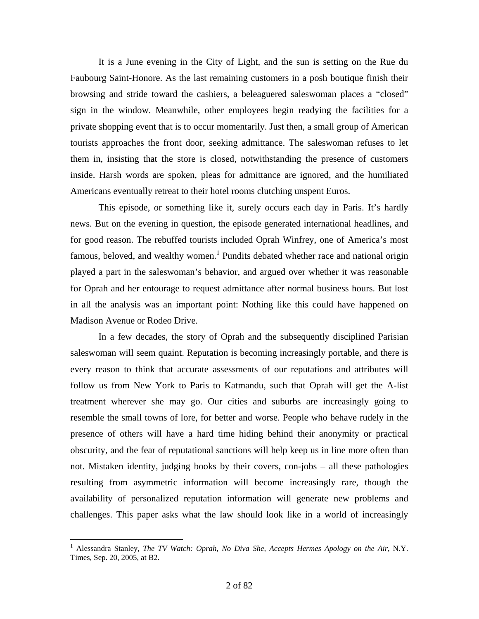It is a June evening in the City of Light, and the sun is setting on the Rue du Faubourg Saint-Honore. As the last remaining customers in a posh boutique finish their browsing and stride toward the cashiers, a beleaguered saleswoman places a "closed" sign in the window. Meanwhile, other employees begin readying the facilities for a private shopping event that is to occur momentarily. Just then, a small group of American tourists approaches the front door, seeking admittance. The saleswoman refuses to let them in, insisting that the store is closed, notwithstanding the presence of customers inside. Harsh words are spoken, pleas for admittance are ignored, and the humiliated Americans eventually retreat to their hotel rooms clutching unspent Euros.

 This episode, or something like it, surely occurs each day in Paris. It's hardly news. But on the evening in question, the episode generated international headlines, and for good reason. The rebuffed tourists included Oprah Winfrey, one of America's most famous, beloved, and wealthy women.<sup>1</sup> Pundits debated whether race and national origin played a part in the saleswoman's behavior, and argued over whether it was reasonable for Oprah and her entourage to request admittance after normal business hours. But lost in all the analysis was an important point: Nothing like this could have happened on Madison Avenue or Rodeo Drive.

 In a few decades, the story of Oprah and the subsequently disciplined Parisian saleswoman will seem quaint. Reputation is becoming increasingly portable, and there is every reason to think that accurate assessments of our reputations and attributes will follow us from New York to Paris to Katmandu, such that Oprah will get the A-list treatment wherever she may go. Our cities and suburbs are increasingly going to resemble the small towns of lore, for better and worse. People who behave rudely in the presence of others will have a hard time hiding behind their anonymity or practical obscurity, and the fear of reputational sanctions will help keep us in line more often than not. Mistaken identity, judging books by their covers, con-jobs – all these pathologies resulting from asymmetric information will become increasingly rare, though the availability of personalized reputation information will generate new problems and challenges. This paper asks what the law should look like in a world of increasingly

<sup>&</sup>lt;sup>1</sup> Alessandra Stanley, *The TV Watch: Oprah, No Diva She, Accepts Hermes Apology on the Air*, N.Y. Times, Sep. 20, 2005, at B2.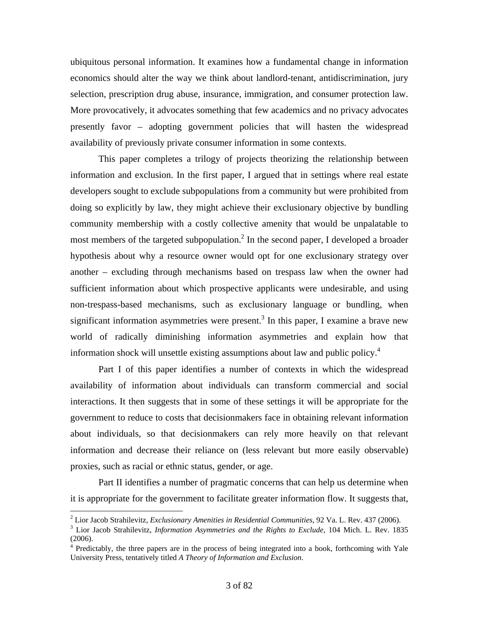ubiquitous personal information. It examines how a fundamental change in information economics should alter the way we think about landlord-tenant, antidiscrimination, jury selection, prescription drug abuse, insurance, immigration, and consumer protection law. More provocatively, it advocates something that few academics and no privacy advocates presently favor – adopting government policies that will hasten the widespread availability of previously private consumer information in some contexts.

 This paper completes a trilogy of projects theorizing the relationship between information and exclusion. In the first paper, I argued that in settings where real estate developers sought to exclude subpopulations from a community but were prohibited from doing so explicitly by law, they might achieve their exclusionary objective by bundling community membership with a costly collective amenity that would be unpalatable to most members of the targeted subpopulation.<sup>2</sup> In the second paper, I developed a broader hypothesis about why a resource owner would opt for one exclusionary strategy over another – excluding through mechanisms based on trespass law when the owner had sufficient information about which prospective applicants were undesirable, and using non-trespass-based mechanisms, such as exclusionary language or bundling, when significant information asymmetries were present.<sup>3</sup> In this paper, I examine a brave new world of radically diminishing information asymmetries and explain how that information shock will unsettle existing assumptions about law and public policy.<sup>4</sup>

 Part I of this paper identifies a number of contexts in which the widespread availability of information about individuals can transform commercial and social interactions. It then suggests that in some of these settings it will be appropriate for the government to reduce to costs that decisionmakers face in obtaining relevant information about individuals, so that decisionmakers can rely more heavily on that relevant information and decrease their reliance on (less relevant but more easily observable) proxies, such as racial or ethnic status, gender, or age.

 Part II identifies a number of pragmatic concerns that can help us determine when it is appropriate for the government to facilitate greater information flow. It suggests that,

<sup>&</sup>lt;sup>2</sup> Lior Jacob Strahilevitz, *Exclusionary Amenities in Residential Communities*, 92 Va. L. Rev. 437 (2006). <sup>3</sup> Lior Jacob Strahilevitz, *Information Amenities and the Bights to Exclude* 104 Might. Pour 182

Lior Jacob Strahilevitz, *Information Asymmetries and the Rights to Exclude*, 104 Mich. L. Rev. 1835 (2006).

<sup>&</sup>lt;sup>4</sup> Predictably, the three papers are in the process of being integrated into a book, forthcoming with Yale University Press, tentatively titled *A Theory of Information and Exclusion*.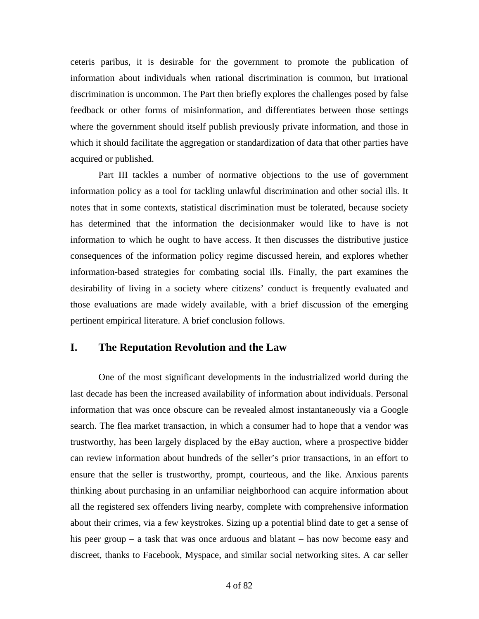ceteris paribus, it is desirable for the government to promote the publication of information about individuals when rational discrimination is common, but irrational discrimination is uncommon. The Part then briefly explores the challenges posed by false feedback or other forms of misinformation, and differentiates between those settings where the government should itself publish previously private information, and those in which it should facilitate the aggregation or standardization of data that other parties have acquired or published.

 Part III tackles a number of normative objections to the use of government information policy as a tool for tackling unlawful discrimination and other social ills. It notes that in some contexts, statistical discrimination must be tolerated, because society has determined that the information the decisionmaker would like to have is not information to which he ought to have access. It then discusses the distributive justice consequences of the information policy regime discussed herein, and explores whether information-based strategies for combating social ills. Finally, the part examines the desirability of living in a society where citizens' conduct is frequently evaluated and those evaluations are made widely available, with a brief discussion of the emerging pertinent empirical literature. A brief conclusion follows.

#### **I. The Reputation Revolution and the Law**

 One of the most significant developments in the industrialized world during the last decade has been the increased availability of information about individuals. Personal information that was once obscure can be revealed almost instantaneously via a Google search. The flea market transaction, in which a consumer had to hope that a vendor was trustworthy, has been largely displaced by the eBay auction, where a prospective bidder can review information about hundreds of the seller's prior transactions, in an effort to ensure that the seller is trustworthy, prompt, courteous, and the like. Anxious parents thinking about purchasing in an unfamiliar neighborhood can acquire information about all the registered sex offenders living nearby, complete with comprehensive information about their crimes, via a few keystrokes. Sizing up a potential blind date to get a sense of his peer group – a task that was once arduous and blatant – has now become easy and discreet, thanks to Facebook, Myspace, and similar social networking sites. A car seller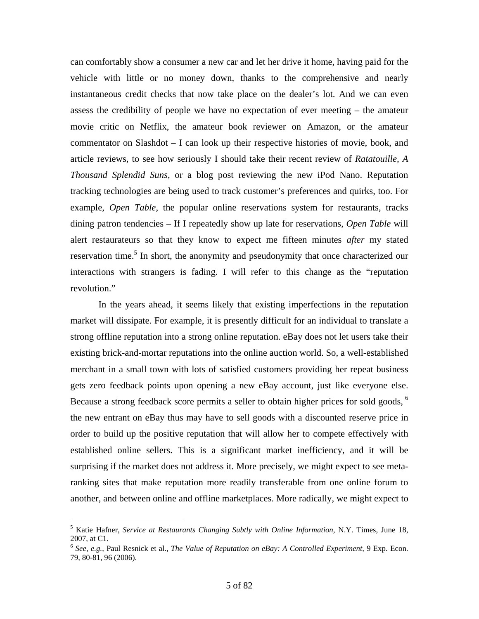can comfortably show a consumer a new car and let her drive it home, having paid for the vehicle with little or no money down, thanks to the comprehensive and nearly instantaneous credit checks that now take place on the dealer's lot. And we can even assess the credibility of people we have no expectation of ever meeting – the amateur movie critic on Netflix, the amateur book reviewer on Amazon, or the amateur commentator on Slashdot – I can look up their respective histories of movie, book, and article reviews, to see how seriously I should take their recent review of *Ratatouille, A Thousand Splendid Suns*, or a blog post reviewing the new iPod Nano. Reputation tracking technologies are being used to track customer's preferences and quirks, too. For example, *Open Table*, the popular online reservations system for restaurants, tracks dining patron tendencies – If I repeatedly show up late for reservations, *Open Table* will alert restaurateurs so that they know to expect me fifteen minutes *after* my stated reservation time.<sup>5</sup> In short, the anonymity and pseudonymity that once characterized our interactions with strangers is fading. I will refer to this change as the "reputation revolution."

 In the years ahead, it seems likely that existing imperfections in the reputation market will dissipate. For example, it is presently difficult for an individual to translate a strong offline reputation into a strong online reputation. eBay does not let users take their existing brick-and-mortar reputations into the online auction world. So, a well-established merchant in a small town with lots of satisfied customers providing her repeat business gets zero feedback points upon opening a new eBay account, just like everyone else. Because a strong feedback score permits a seller to obtain higher prices for sold goods,  $6\overline{6}$ the new entrant on eBay thus may have to sell goods with a discounted reserve price in order to build up the positive reputation that will allow her to compete effectively with established online sellers. This is a significant market inefficiency, and it will be surprising if the market does not address it. More precisely, we might expect to see metaranking sites that make reputation more readily transferable from one online forum to another, and between online and offline marketplaces. More radically, we might expect to

<sup>5</sup> Katie Hafner, *Service at Restaurants Changing Subtly with Online Information*, N.Y. Times, June 18, 2007, at C1.

<sup>6</sup> *See, e.g.*, Paul Resnick et al., *The Value of Reputation on eBay: A Controlled Experiment*, 9 Exp. Econ. 79, 80-81, 96 (2006).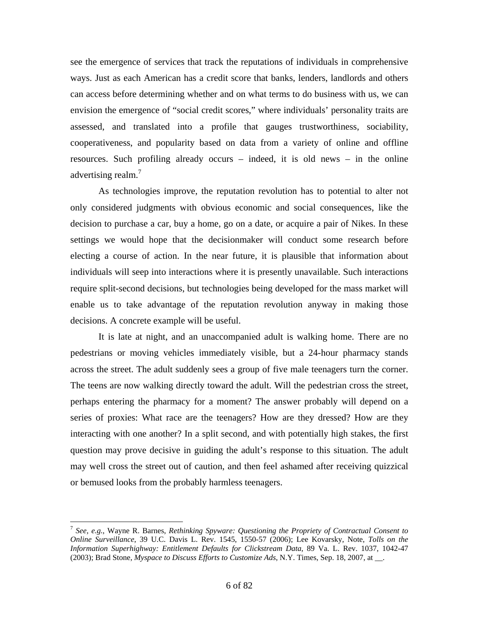see the emergence of services that track the reputations of individuals in comprehensive ways. Just as each American has a credit score that banks, lenders, landlords and others can access before determining whether and on what terms to do business with us, we can envision the emergence of "social credit scores," where individuals' personality traits are assessed, and translated into a profile that gauges trustworthiness, sociability, cooperativeness, and popularity based on data from a variety of online and offline resources. Such profiling already occurs – indeed, it is old news – in the online advertising realm.<sup>7</sup>

 As technologies improve, the reputation revolution has to potential to alter not only considered judgments with obvious economic and social consequences, like the decision to purchase a car, buy a home, go on a date, or acquire a pair of Nikes. In these settings we would hope that the decisionmaker will conduct some research before electing a course of action. In the near future, it is plausible that information about individuals will seep into interactions where it is presently unavailable. Such interactions require split-second decisions, but technologies being developed for the mass market will enable us to take advantage of the reputation revolution anyway in making those decisions. A concrete example will be useful.

 It is late at night, and an unaccompanied adult is walking home. There are no pedestrians or moving vehicles immediately visible, but a 24-hour pharmacy stands across the street. The adult suddenly sees a group of five male teenagers turn the corner. The teens are now walking directly toward the adult. Will the pedestrian cross the street, perhaps entering the pharmacy for a moment? The answer probably will depend on a series of proxies: What race are the teenagers? How are they dressed? How are they interacting with one another? In a split second, and with potentially high stakes, the first question may prove decisive in guiding the adult's response to this situation. The adult may well cross the street out of caution, and then feel ashamed after receiving quizzical or bemused looks from the probably harmless teenagers.

<sup>7</sup> *See, e.g.*, Wayne R. Barnes, *Rethinking Spyware: Questioning the Propriety of Contractual Consent to Online Surveillance*, 39 U.C. Davis L. Rev. 1545, 1550-57 (2006); Lee Kovarsky, Note, *Tolls on the Information Superhighway: Entitlement Defaults for Clickstream Data*, 89 Va. L. Rev. 1037, 1042-47 (2003); Brad Stone, *Myspace to Discuss Efforts to Customize Ads*, N.Y. Times, Sep. 18, 2007, at \_\_.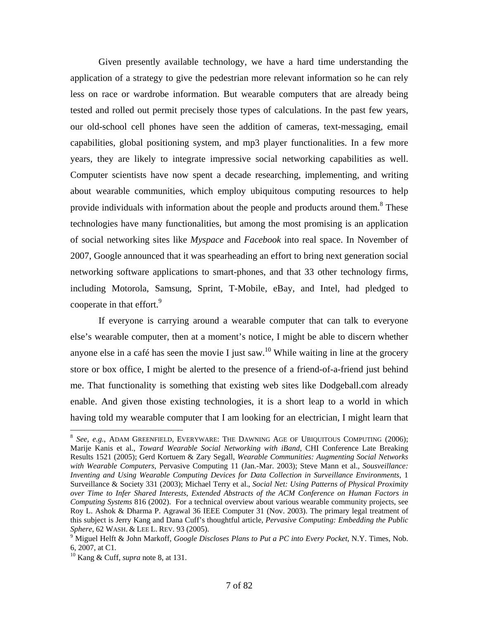Given presently available technology, we have a hard time understanding the application of a strategy to give the pedestrian more relevant information so he can rely less on race or wardrobe information. But wearable computers that are already being tested and rolled out permit precisely those types of calculations. In the past few years, our old-school cell phones have seen the addition of cameras, text-messaging, email capabilities, global positioning system, and mp3 player functionalities. In a few more years, they are likely to integrate impressive social networking capabilities as well. Computer scientists have now spent a decade researching, implementing, and writing about wearable communities, which employ ubiquitous computing resources to help provide individuals with information about the people and products around them.<sup>8</sup> These technologies have many functionalities, but among the most promising is an application of social networking sites like *Myspace* and *Facebook* into real space. In November of 2007, Google announced that it was spearheading an effort to bring next generation social networking software applications to smart-phones, and that 33 other technology firms, including Motorola, Samsung, Sprint, T-Mobile, eBay, and Intel, had pledged to cooperate in that effort.<sup>9</sup>

 If everyone is carrying around a wearable computer that can talk to everyone else's wearable computer, then at a moment's notice, I might be able to discern whether anyone else in a café has seen the movie I just saw.<sup>10</sup> While waiting in line at the grocery store or box office, I might be alerted to the presence of a friend-of-a-friend just behind me. That functionality is something that existing web sites like Dodgeball.com already enable. And given those existing technologies, it is a short leap to a world in which having told my wearable computer that I am looking for an electrician, I might learn that

<sup>8</sup> *See, e.g.*, ADAM GREENFIELD, EVERYWARE: THE DAWNING AGE OF UBIQUITOUS COMPUTING (2006); Marije Kanis et al., *Toward Wearable Social Networking with iBand*, CHI Conference Late Breaking Results 1521 (2005); Gerd Kortuem & Zary Segall, *Wearable Communities: Augmenting Social Networks with Wearable Computers*, Pervasive Computing 11 (Jan.-Mar. 2003); Steve Mann et al.*, Sousveillance: Inventing and Using Wearable Computing Devices for Data Collection in Surveillance Environments*, 1 Surveillance & Society 331 (2003); Michael Terry et al., *Social Net: Using Patterns of Physical Proximity over Time to Infer Shared Interests*, *Extended Abstracts of the ACM Conference on Human Factors in Computing Systems* 816 (2002). For a technical overview about various wearable community projects, see Roy L. Ashok & Dharma P. Agrawal 36 IEEE Computer 31 (Nov. 2003). The primary legal treatment of this subject is Jerry Kang and Dana Cuff's thoughtful article, *Pervasive Computing: Embedding the Public Sphere*, 62 WASH. & LEE L. REV. 93 (2005).

Miguel Helft & John Markoff, *Google Discloses Plans to Put a PC into Every Pocket*, N.Y. Times, Nob. 6, 2007, at C1.

<sup>10</sup> Kang & Cuff, *supra* note 8, at 131.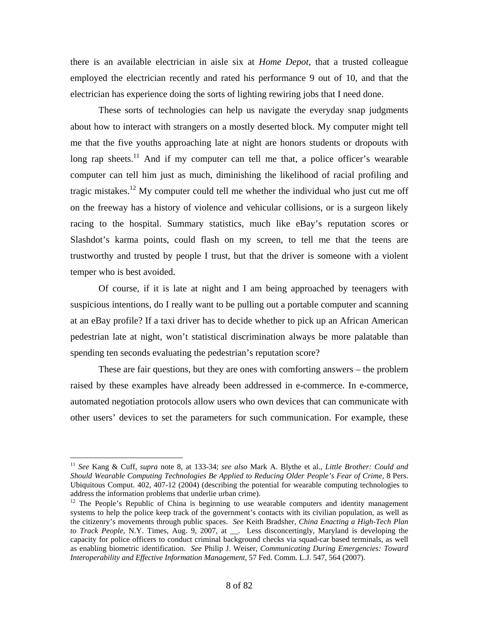there is an available electrician in aisle six at *Home Depot*, that a trusted colleague employed the electrician recently and rated his performance 9 out of 10, and that the electrician has experience doing the sorts of lighting rewiring jobs that I need done.

 These sorts of technologies can help us navigate the everyday snap judgments about how to interact with strangers on a mostly deserted block. My computer might tell me that the five youths approaching late at night are honors students or dropouts with long rap sheets.<sup>11</sup> And if my computer can tell me that, a police officer's wearable computer can tell him just as much, diminishing the likelihood of racial profiling and tragic mistakes.<sup>12</sup> My computer could tell me whether the individual who just cut me off on the freeway has a history of violence and vehicular collisions, or is a surgeon likely racing to the hospital. Summary statistics, much like eBay's reputation scores or Slashdot's karma points, could flash on my screen, to tell me that the teens are trustworthy and trusted by people I trust, but that the driver is someone with a violent temper who is best avoided.

 Of course, if it is late at night and I am being approached by teenagers with suspicious intentions, do I really want to be pulling out a portable computer and scanning at an eBay profile? If a taxi driver has to decide whether to pick up an African American pedestrian late at night, won't statistical discrimination always be more palatable than spending ten seconds evaluating the pedestrian's reputation score?

 These are fair questions, but they are ones with comforting answers – the problem raised by these examples have already been addressed in e-commerce. In e-commerce, automated negotiation protocols allow users who own devices that can communicate with other users' devices to set the parameters for such communication. For example, these

<sup>11</sup> *See* Kang & Cuff, *supra* note 8, at 133-34; *see also* Mark A. Blythe et al., *Little Brother: Could and Should Wearable Computing Technologies Be Applied to Reducing Older People's Fear of Crime*, 8 Pers. Ubiquitous Comput. 402, 407-12 (2004) (describing the potential for wearable computing technologies to address the information problems that underlie urban crime).<br><sup>12</sup> The People's Republic of China is beginning to use wearable computers and identity management

systems to help the police keep track of the government's contacts with its civilian population, as well as the citizenry's movements through public spaces. *See* Keith Bradsher, *China Enacting a High-Tech Plan to Track People*, N.Y. Times, Aug. 9, 2007, at \_\_. Less disconcertingly, Maryland is developing the capacity for police officers to conduct criminal background checks via squad-car based terminals, as well as enabling biometric identification. *See* Philip J. Weiser, *Communicating During Emergencies: Toward Interoperability and Effective Information Management*, 57 Fed. Comm. L.J. 547, 564 (2007).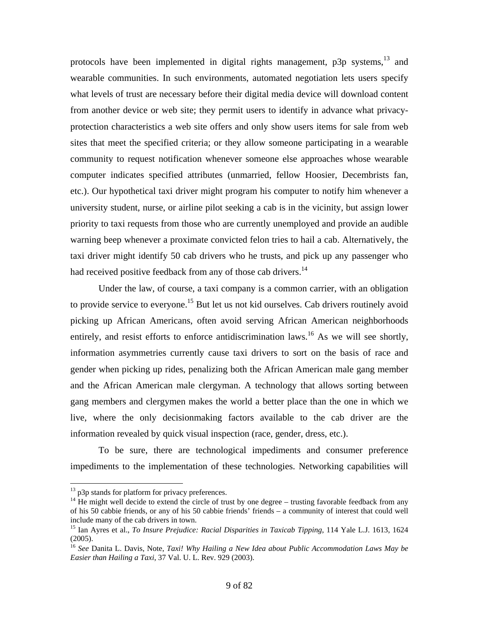protocols have been implemented in digital rights management,  $p3p$  systems, <sup>13</sup> and wearable communities. In such environments, automated negotiation lets users specify what levels of trust are necessary before their digital media device will download content from another device or web site; they permit users to identify in advance what privacyprotection characteristics a web site offers and only show users items for sale from web sites that meet the specified criteria; or they allow someone participating in a wearable community to request notification whenever someone else approaches whose wearable computer indicates specified attributes (unmarried, fellow Hoosier, Decembrists fan, etc.). Our hypothetical taxi driver might program his computer to notify him whenever a university student, nurse, or airline pilot seeking a cab is in the vicinity, but assign lower priority to taxi requests from those who are currently unemployed and provide an audible warning beep whenever a proximate convicted felon tries to hail a cab. Alternatively, the taxi driver might identify 50 cab drivers who he trusts, and pick up any passenger who had received positive feedback from any of those cab drivers.<sup>14</sup>

 Under the law, of course, a taxi company is a common carrier, with an obligation to provide service to everyone.<sup>15</sup> But let us not kid ourselves. Cab drivers routinely avoid picking up African Americans, often avoid serving African American neighborhoods entirely, and resist efforts to enforce antidiscrimination laws.<sup>16</sup> As we will see shortly, information asymmetries currently cause taxi drivers to sort on the basis of race and gender when picking up rides, penalizing both the African American male gang member and the African American male clergyman. A technology that allows sorting between gang members and clergymen makes the world a better place than the one in which we live, where the only decisionmaking factors available to the cab driver are the information revealed by quick visual inspection (race, gender, dress, etc.).

 To be sure, there are technological impediments and consumer preference impediments to the implementation of these technologies. Networking capabilities will

 $^{13}$  p3p stands for platform for privacy preferences.

<sup>&</sup>lt;sup>14</sup> He might well decide to extend the circle of trust by one degree – trusting favorable feedback from any of his 50 cabbie friends, or any of his 50 cabbie friends' friends – a community of interest that could well include many of the cab drivers in town.

<sup>15</sup> Ian Ayres et al., *To Insure Prejudice: Racial Disparities in Taxicab Tipping*, 114 Yale L.J. 1613, 1624 (2005).

<sup>16</sup> *See* Danita L. Davis, Note, *Taxi! Why Hailing a New Idea about Public Accommodation Laws May be Easier than Hailing a Taxi*, 37 Val. U. L. Rev. 929 (2003).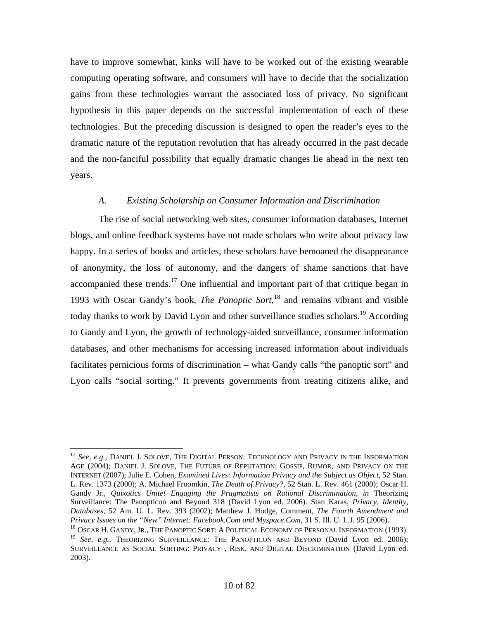have to improve somewhat, kinks will have to be worked out of the existing wearable computing operating software, and consumers will have to decide that the socialization gains from these technologies warrant the associated loss of privacy. No significant hypothesis in this paper depends on the successful implementation of each of these technologies. But the preceding discussion is designed to open the reader's eyes to the dramatic nature of the reputation revolution that has already occurred in the past decade and the non-fanciful possibility that equally dramatic changes lie ahead in the next ten years.

#### *A. Existing Scholarship on Consumer Information and Discrimination*

 The rise of social networking web sites, consumer information databases, Internet blogs, and online feedback systems have not made scholars who write about privacy law happy. In a series of books and articles, these scholars have bemoaned the disappearance of anonymity, the loss of autonomy, and the dangers of shame sanctions that have accompanied these trends.<sup>17</sup> One influential and important part of that critique began in 1993 with Oscar Gandy's book, *The Panoptic Sort*, 18 and remains vibrant and visible today thanks to work by David Lyon and other surveillance studies scholars.<sup>19</sup> According to Gandy and Lyon, the growth of technology-aided surveillance, consumer information databases, and other mechanisms for accessing increased information about individuals facilitates pernicious forms of discrimination – what Gandy calls "the panoptic sort" and Lyon calls "social sorting." It prevents governments from treating citizens alike, and

 $\overline{a}$ <sup>17</sup> See, e.g., DANIEL J. SOLOVE, THE DIGITAL PERSON: TECHNOLOGY AND PRIVACY IN THE INFORMATION AGE (2004); DANIEL J. SOLOVE, THE FUTURE OF REPUTATION: GOSSIP, RUMOR, AND PRIVACY ON THE INTERNET (2007); Julie E. Cohen, *Examined Lives: Information Privacy and the Subject as Object*, 52 Stan. L. Rev. 1373 (2000); A. Michael Froomkin, *The Death of Privacy?*, 52 Stan. L. Rev. 461 (2000); Oscar H. Gandy Jr., *Quixotics Unite! Engaging the Pragmatists on Rational Discrimination*, *in* Theorizing Surveillance: The Panopticon and Beyond 318 (David Lyon ed. 2006). Stan Karas, *Privacy, Identity, Databases*, 52 Am. U. L. Rev. 393 (2002); Matthew J. Hodge, Comment, *The Fourth Amendment and Privacy Issues on the "New" Internet: Facebook.Com and Myspace.Com*, 31 S. Ill. U. L.J. 95 (2006).<br><sup>18</sup> OSCAR H. GANDY, JR., THE PANOPTIC SORT: A POLITICAL ECONOMY OF PERSONAL INFORMATION (1993).

<sup>&</sup>lt;sup>19</sup> *See, e.g.*, THEORIZING SURVEILLANCE: THE PANOPTICON AND BEYOND (David Lyon ed. 2006); SURVEILLANCE AS SOCIAL SORTING: PRIVACY , RISK, AND DIGITAL DISCRIMINATION (David Lyon ed. 2003).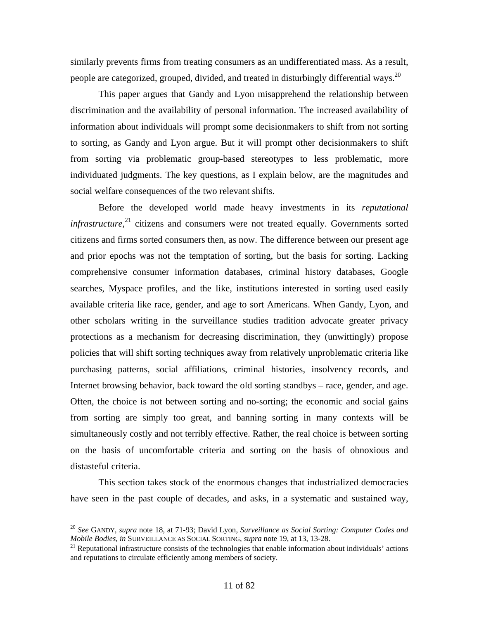similarly prevents firms from treating consumers as an undifferentiated mass. As a result, people are categorized, grouped, divided, and treated in disturbingly differential ways.<sup>20</sup>

 This paper argues that Gandy and Lyon misapprehend the relationship between discrimination and the availability of personal information. The increased availability of information about individuals will prompt some decisionmakers to shift from not sorting to sorting, as Gandy and Lyon argue. But it will prompt other decisionmakers to shift from sorting via problematic group-based stereotypes to less problematic, more individuated judgments. The key questions, as I explain below, are the magnitudes and social welfare consequences of the two relevant shifts.

 Before the developed world made heavy investments in its *reputational infrastructure*,<sup>21</sup> citizens and consumers were not treated equally. Governments sorted citizens and firms sorted consumers then, as now. The difference between our present age and prior epochs was not the temptation of sorting, but the basis for sorting. Lacking comprehensive consumer information databases, criminal history databases, Google searches, Myspace profiles, and the like, institutions interested in sorting used easily available criteria like race, gender, and age to sort Americans. When Gandy, Lyon, and other scholars writing in the surveillance studies tradition advocate greater privacy protections as a mechanism for decreasing discrimination, they (unwittingly) propose policies that will shift sorting techniques away from relatively unproblematic criteria like purchasing patterns, social affiliations, criminal histories, insolvency records, and Internet browsing behavior, back toward the old sorting standbys – race, gender, and age. Often, the choice is not between sorting and no-sorting; the economic and social gains from sorting are simply too great, and banning sorting in many contexts will be simultaneously costly and not terribly effective. Rather, the real choice is between sorting on the basis of uncomfortable criteria and sorting on the basis of obnoxious and distasteful criteria.

 This section takes stock of the enormous changes that industrialized democracies have seen in the past couple of decades, and asks, in a systematic and sustained way,

<sup>20</sup> *See* GANDY, *supra* note 18, at 71-93; David Lyon, *Surveillance as Social Sorting: Computer Codes and Mobile Bodies, in* SURVEILLANCE AS SOCIAL SORTING, *supra* note 19, at 13, 13-28.<br><sup>21</sup> Reputational infrastructure consists of the technologies that enable information about individuals' actions

and reputations to circulate efficiently among members of society.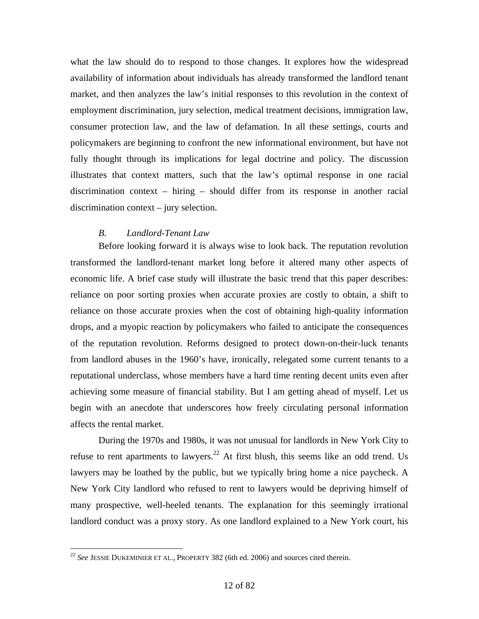what the law should do to respond to those changes. It explores how the widespread availability of information about individuals has already transformed the landlord tenant market, and then analyzes the law's initial responses to this revolution in the context of employment discrimination, jury selection, medical treatment decisions, immigration law, consumer protection law, and the law of defamation. In all these settings, courts and policymakers are beginning to confront the new informational environment, but have not fully thought through its implications for legal doctrine and policy. The discussion illustrates that context matters, such that the law's optimal response in one racial discrimination context – hiring – should differ from its response in another racial discrimination context – jury selection.

#### *B. Landlord-Tenant Law*

 Before looking forward it is always wise to look back. The reputation revolution transformed the landlord-tenant market long before it altered many other aspects of economic life. A brief case study will illustrate the basic trend that this paper describes: reliance on poor sorting proxies when accurate proxies are costly to obtain, a shift to reliance on those accurate proxies when the cost of obtaining high-quality information drops, and a myopic reaction by policymakers who failed to anticipate the consequences of the reputation revolution. Reforms designed to protect down-on-their-luck tenants from landlord abuses in the 1960's have, ironically, relegated some current tenants to a reputational underclass, whose members have a hard time renting decent units even after achieving some measure of financial stability. But I am getting ahead of myself. Let us begin with an anecdote that underscores how freely circulating personal information affects the rental market.

 During the 1970s and 1980s, it was not unusual for landlords in New York City to refuse to rent apartments to lawyers.<sup>22</sup> At first blush, this seems like an odd trend. Us lawyers may be loathed by the public, but we typically bring home a nice paycheck. A New York City landlord who refused to rent to lawyers would be depriving himself of many prospective, well-heeled tenants. The explanation for this seemingly irrational landlord conduct was a proxy story. As one landlord explained to a New York court, his

<sup>22</sup> *See* JESSIE DUKEMINIER ET AL., PROPERTY 382 (6th ed. 2006) and sources cited therein.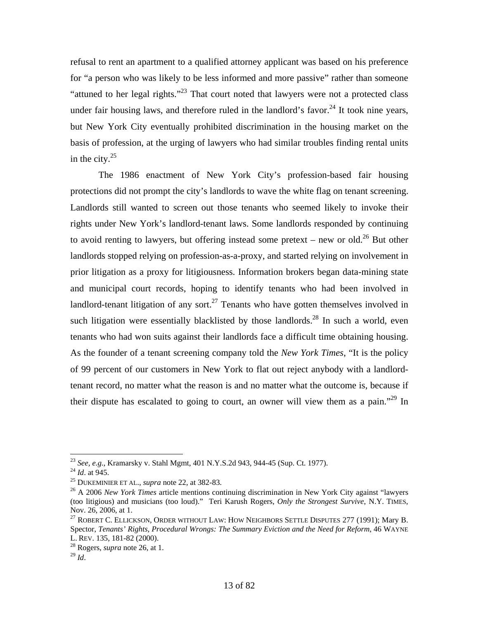refusal to rent an apartment to a qualified attorney applicant was based on his preference for "a person who was likely to be less informed and more passive" rather than someone "attuned to her legal rights."23 That court noted that lawyers were not a protected class under fair housing laws, and therefore ruled in the landlord's favor.<sup>24</sup> It took nine years, but New York City eventually prohibited discrimination in the housing market on the basis of profession, at the urging of lawyers who had similar troubles finding rental units in the city. $25$ 

 The 1986 enactment of New York City's profession-based fair housing protections did not prompt the city's landlords to wave the white flag on tenant screening. Landlords still wanted to screen out those tenants who seemed likely to invoke their rights under New York's landlord-tenant laws. Some landlords responded by continuing to avoid renting to lawyers, but offering instead some pretext – new or old.<sup>26</sup> But other landlords stopped relying on profession-as-a-proxy, and started relying on involvement in prior litigation as a proxy for litigiousness. Information brokers began data-mining state and municipal court records, hoping to identify tenants who had been involved in landlord-tenant litigation of any sort.<sup>27</sup> Tenants who have gotten themselves involved in such litigation were essentially blacklisted by those landlords.<sup>28</sup> In such a world, even tenants who had won suits against their landlords face a difficult time obtaining housing. As the founder of a tenant screening company told the *New York Times*, "It is the policy of 99 percent of our customers in New York to flat out reject anybody with a landlordtenant record, no matter what the reason is and no matter what the outcome is, because if their dispute has escalated to going to court, an owner will view them as a pain."<sup>29</sup> In

<sup>&</sup>lt;sup>23</sup> See, e.g., Kramarsky v. Stahl Mgmt, 401 N.Y.S.2d 943, 944-45 (Sup. Ct. 1977).<br><sup>24</sup> Id. at 945.<br><sup>25</sup> DUKEMINIER ET AL., *supra* note 22, at 382-83.<br><sup>26</sup> A 2006 New York Times article mentions continuing discrimination (too litigious) and musicians (too loud)." Teri Karush Rogers, *Only the Strongest Survive*, N.Y. TIMES, Nov. 26, 2006, at 1.

<sup>&</sup>lt;sup>27</sup> ROBERT C. ELLICKSON, ORDER WITHOUT LAW: HOW NEIGHBORS SETTLE DISPUTES 277 (1991); Mary B. Spector, *Tenants' Rights, Procedural Wrongs: The Summary Eviction and the Need for Reform*, 46 WAYNE L. REV. 135, 181-82 (2000).

 $^{28}$  Rogers, *supra* note 26, at 1.

 $^{29}$  *Id.*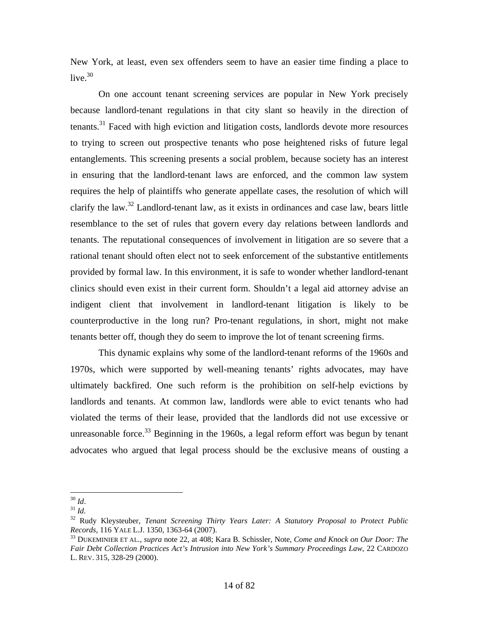New York, at least, even sex offenders seem to have an easier time finding a place to live. $30$ 

 On one account tenant screening services are popular in New York precisely because landlord-tenant regulations in that city slant so heavily in the direction of tenants.<sup>31</sup> Faced with high eviction and litigation costs, landlords devote more resources to trying to screen out prospective tenants who pose heightened risks of future legal entanglements. This screening presents a social problem, because society has an interest in ensuring that the landlord-tenant laws are enforced, and the common law system requires the help of plaintiffs who generate appellate cases, the resolution of which will clarify the law. $32$  Landlord-tenant law, as it exists in ordinances and case law, bears little resemblance to the set of rules that govern every day relations between landlords and tenants. The reputational consequences of involvement in litigation are so severe that a rational tenant should often elect not to seek enforcement of the substantive entitlements provided by formal law. In this environment, it is safe to wonder whether landlord-tenant clinics should even exist in their current form. Shouldn't a legal aid attorney advise an indigent client that involvement in landlord-tenant litigation is likely to be counterproductive in the long run? Pro-tenant regulations, in short, might not make tenants better off, though they do seem to improve the lot of tenant screening firms.

 This dynamic explains why some of the landlord-tenant reforms of the 1960s and 1970s, which were supported by well-meaning tenants' rights advocates, may have ultimately backfired. One such reform is the prohibition on self-help evictions by landlords and tenants. At common law, landlords were able to evict tenants who had violated the terms of their lease, provided that the landlords did not use excessive or unreasonable force.<sup>33</sup> Beginning in the 1960s, a legal reform effort was begun by tenant advocates who argued that legal process should be the exclusive means of ousting a

 $^{30}\,$  Id.

 $31$  *Id.* 

<sup>&</sup>lt;sup>32</sup> Rudy Kleysteuber, *Tenant Screening Thirty Years Later: A Statutory Proposal to Protect Public Records, 116 YALE L.J. 1350, 1363-64 (2007).* 

*Records*, 116 YALE L.J. 1350, 1363-64 (2007). 33 DUKEMINIER ET AL., *supra* note 22, at 408; Kara B. Schissler, Note, *Come and Knock on Our Door: The Fair Debt Collection Practices Act's Intrusion into New York's Summary Proceedings Law*, 22 CARDOZO L. REV. 315, 328-29 (2000).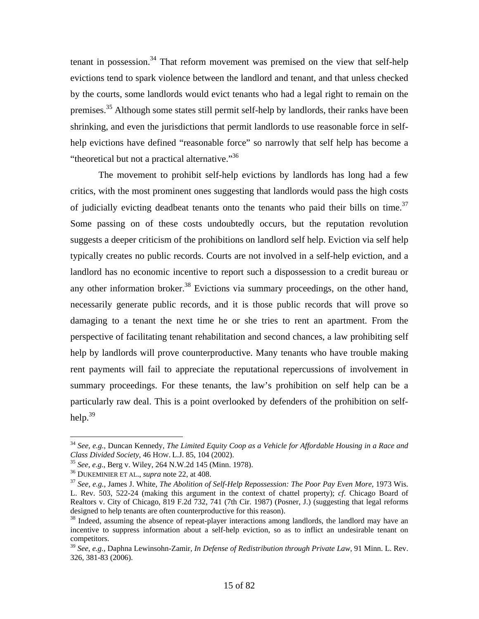tenant in possession.<sup>34</sup> That reform movement was premised on the view that self-help evictions tend to spark violence between the landlord and tenant, and that unless checked by the courts, some landlords would evict tenants who had a legal right to remain on the premises.35 Although some states still permit self-help by landlords, their ranks have been shrinking, and even the jurisdictions that permit landlords to use reasonable force in selfhelp evictions have defined "reasonable force" so narrowly that self help has become a "theoretical but not a practical alternative."<sup>36</sup>

 The movement to prohibit self-help evictions by landlords has long had a few critics, with the most prominent ones suggesting that landlords would pass the high costs of judicially evicting deadbeat tenants onto the tenants who paid their bills on time.<sup>37</sup> Some passing on of these costs undoubtedly occurs, but the reputation revolution suggests a deeper criticism of the prohibitions on landlord self help. Eviction via self help typically creates no public records. Courts are not involved in a self-help eviction, and a landlord has no economic incentive to report such a dispossession to a credit bureau or any other information broker.<sup>38</sup> Evictions via summary proceedings, on the other hand, necessarily generate public records, and it is those public records that will prove so damaging to a tenant the next time he or she tries to rent an apartment. From the perspective of facilitating tenant rehabilitation and second chances, a law prohibiting self help by landlords will prove counterproductive. Many tenants who have trouble making rent payments will fail to appreciate the reputational repercussions of involvement in summary proceedings. For these tenants, the law's prohibition on self help can be a particularly raw deal. This is a point overlooked by defenders of the prohibition on selfhelp. $39$ 

<sup>34</sup> *See, e.g.*, Duncan Kennedy, *The Limited Equity Coop as a Vehicle for Affordable Housing in a Race and*  Class Divided Society, 46 How. L.J. 85, 104 (2002).<br>
<sup>35</sup> See, e.g., Berg v. Wiley, 264 N.W.2d 145 (Minn. 1978).<br>
<sup>36</sup> DUKEMINIER ET AL., *supra* note 22, at 408.<br>
<sup>37</sup> See, e.g., James J. White, *The Abolition of Self-He* 

L. Rev. 503, 522-24 (making this argument in the context of chattel property); *cf*. Chicago Board of Realtors v. City of Chicago, 819 F.2d 732, 741 (7th Cir. 1987) (Posner, J.) (suggesting that legal reforms designed to help tenants are often counterproductive for this reason).

<sup>&</sup>lt;sup>38</sup> Indeed, assuming the absence of repeat-player interactions among landlords, the landlord may have an incentive to suppress information about a self-help eviction, so as to inflict an undesirable tenant on competitors.

<sup>39</sup> *See, e.g.*, Daphna Lewinsohn-Zamir, *In Defense of Redistribution through Private Law*, 91 Minn. L. Rev. 326, 381-83 (2006).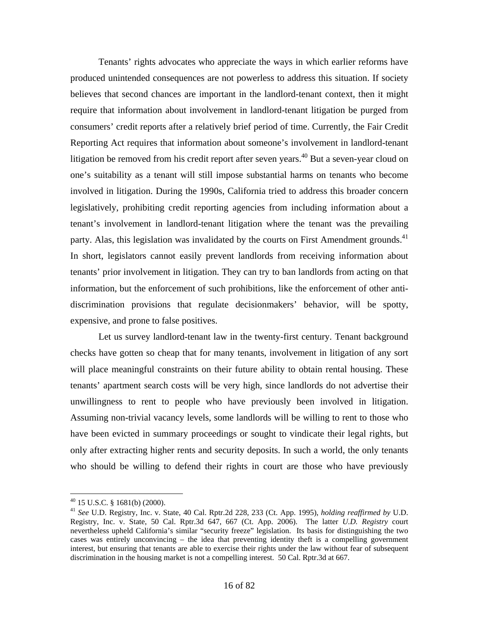Tenants' rights advocates who appreciate the ways in which earlier reforms have produced unintended consequences are not powerless to address this situation. If society believes that second chances are important in the landlord-tenant context, then it might require that information about involvement in landlord-tenant litigation be purged from consumers' credit reports after a relatively brief period of time. Currently, the Fair Credit Reporting Act requires that information about someone's involvement in landlord-tenant litigation be removed from his credit report after seven years.<sup>40</sup> But a seven-year cloud on one's suitability as a tenant will still impose substantial harms on tenants who become involved in litigation. During the 1990s, California tried to address this broader concern legislatively, prohibiting credit reporting agencies from including information about a tenant's involvement in landlord-tenant litigation where the tenant was the prevailing party. Alas, this legislation was invalidated by the courts on First Amendment grounds.<sup>41</sup> In short, legislators cannot easily prevent landlords from receiving information about tenants' prior involvement in litigation. They can try to ban landlords from acting on that information, but the enforcement of such prohibitions, like the enforcement of other antidiscrimination provisions that regulate decisionmakers' behavior, will be spotty, expensive, and prone to false positives.

 Let us survey landlord-tenant law in the twenty-first century. Tenant background checks have gotten so cheap that for many tenants, involvement in litigation of any sort will place meaningful constraints on their future ability to obtain rental housing. These tenants' apartment search costs will be very high, since landlords do not advertise their unwillingness to rent to people who have previously been involved in litigation. Assuming non-trivial vacancy levels, some landlords will be willing to rent to those who have been evicted in summary proceedings or sought to vindicate their legal rights, but only after extracting higher rents and security deposits. In such a world, the only tenants who should be willing to defend their rights in court are those who have previously

 $^{40}$  15 U.S.C. § 1681(b) (2000).

<sup>41</sup> *See* U.D. Registry, Inc. v. State, 40 Cal. Rptr.2d 228, 233 (Ct. App. 1995), *holding reaffirmed by* U.D. Registry, Inc. v. State, 50 Cal. Rptr.3d 647, 667 (Ct. App. 2006). The latter *U.D. Registry* court nevertheless upheld California's similar "security freeze" legislation. Its basis for distinguishing the two cases was entirely unconvincing – the idea that preventing identity theft is a compelling government interest, but ensuring that tenants are able to exercise their rights under the law without fear of subsequent discrimination in the housing market is not a compelling interest. 50 Cal. Rptr.3d at 667.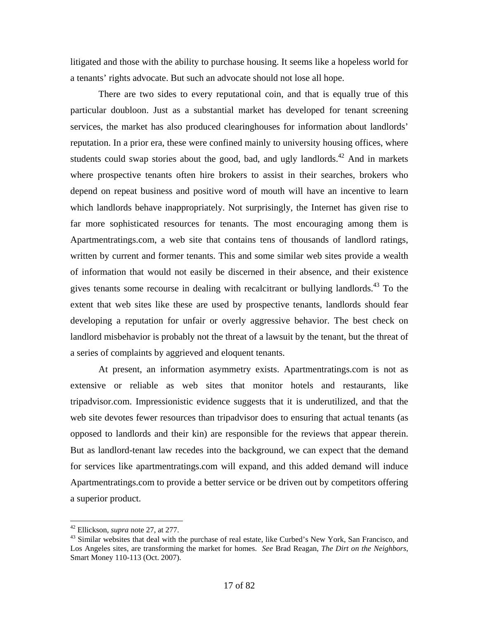litigated and those with the ability to purchase housing. It seems like a hopeless world for a tenants' rights advocate. But such an advocate should not lose all hope.

 There are two sides to every reputational coin, and that is equally true of this particular doubloon. Just as a substantial market has developed for tenant screening services, the market has also produced clearinghouses for information about landlords' reputation. In a prior era, these were confined mainly to university housing offices, where students could swap stories about the good, bad, and ugly landlords.<sup>42</sup> And in markets where prospective tenants often hire brokers to assist in their searches, brokers who depend on repeat business and positive word of mouth will have an incentive to learn which landlords behave inappropriately. Not surprisingly, the Internet has given rise to far more sophisticated resources for tenants. The most encouraging among them is Apartmentratings.com, a web site that contains tens of thousands of landlord ratings, written by current and former tenants. This and some similar web sites provide a wealth of information that would not easily be discerned in their absence, and their existence gives tenants some recourse in dealing with recalcitrant or bullying landlords.<sup>43</sup> To the extent that web sites like these are used by prospective tenants, landlords should fear developing a reputation for unfair or overly aggressive behavior. The best check on landlord misbehavior is probably not the threat of a lawsuit by the tenant, but the threat of a series of complaints by aggrieved and eloquent tenants.

 At present, an information asymmetry exists. Apartmentratings.com is not as extensive or reliable as web sites that monitor hotels and restaurants, like tripadvisor.com. Impressionistic evidence suggests that it is underutilized, and that the web site devotes fewer resources than tripadvisor does to ensuring that actual tenants (as opposed to landlords and their kin) are responsible for the reviews that appear therein. But as landlord-tenant law recedes into the background, we can expect that the demand for services like apartmentratings.com will expand, and this added demand will induce Apartmentratings.com to provide a better service or be driven out by competitors offering a superior product.

<sup>&</sup>lt;sup>42</sup> Ellickson, *supra* note 27, at 277.

<sup>&</sup>lt;sup>43</sup> Similar websites that deal with the purchase of real estate, like Curbed's New York, San Francisco, and Los Angeles sites, are transforming the market for homes. *See* Brad Reagan, *The Dirt on the Neighbors*, Smart Money 110-113 (Oct. 2007).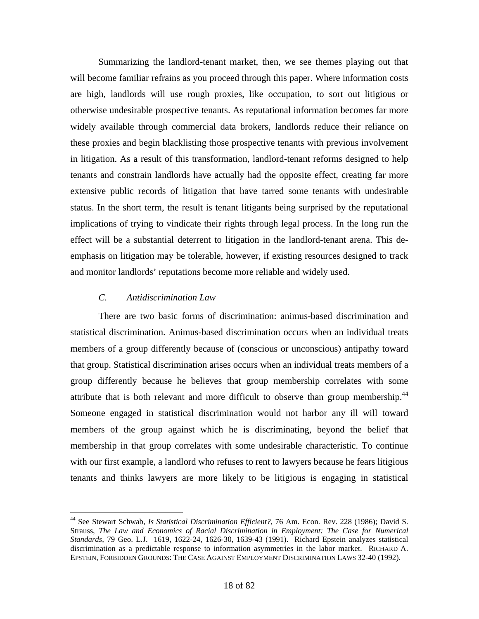Summarizing the landlord-tenant market, then, we see themes playing out that will become familiar refrains as you proceed through this paper. Where information costs are high, landlords will use rough proxies, like occupation, to sort out litigious or otherwise undesirable prospective tenants. As reputational information becomes far more widely available through commercial data brokers, landlords reduce their reliance on these proxies and begin blacklisting those prospective tenants with previous involvement in litigation. As a result of this transformation, landlord-tenant reforms designed to help tenants and constrain landlords have actually had the opposite effect, creating far more extensive public records of litigation that have tarred some tenants with undesirable status. In the short term, the result is tenant litigants being surprised by the reputational implications of trying to vindicate their rights through legal process. In the long run the effect will be a substantial deterrent to litigation in the landlord-tenant arena. This deemphasis on litigation may be tolerable, however, if existing resources designed to track and monitor landlords' reputations become more reliable and widely used.

#### *C. Antidiscrimination Law*

1

 There are two basic forms of discrimination: animus-based discrimination and statistical discrimination. Animus-based discrimination occurs when an individual treats members of a group differently because of (conscious or unconscious) antipathy toward that group. Statistical discrimination arises occurs when an individual treats members of a group differently because he believes that group membership correlates with some attribute that is both relevant and more difficult to observe than group membership.<sup>44</sup> Someone engaged in statistical discrimination would not harbor any ill will toward members of the group against which he is discriminating, beyond the belief that membership in that group correlates with some undesirable characteristic. To continue with our first example, a landlord who refuses to rent to lawyers because he fears litigious tenants and thinks lawyers are more likely to be litigious is engaging in statistical

<sup>44</sup> See Stewart Schwab, *Is Statistical Discrimination Efficient?*, 76 Am. Econ. Rev. 228 (1986); David S. Strauss, *The Law and Economics of Racial Discrimination in Employment: The Case for Numerical Standards*, 79 Geo. L.J. 1619, 1622-24, 1626-30, 1639-43 (1991). Richard Epstein analyzes statistical discrimination as a predictable response to information asymmetries in the labor market. RICHARD A. EPSTEIN, FORBIDDEN GROUNDS: THE CASE AGAINST EMPLOYMENT DISCRIMINATION LAWS 32-40 (1992).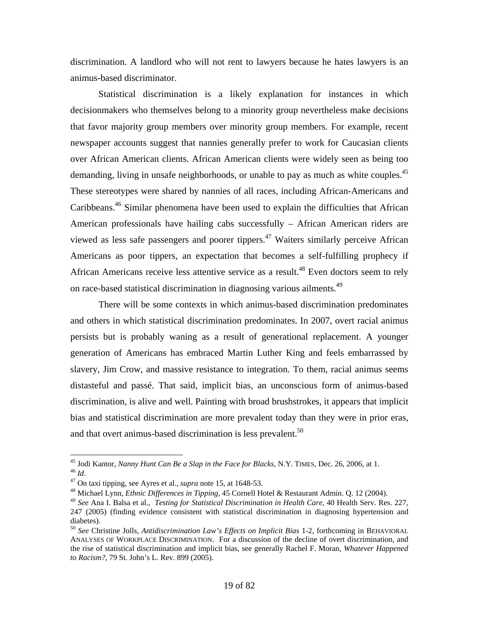discrimination. A landlord who will not rent to lawyers because he hates lawyers is an animus-based discriminator.

 Statistical discrimination is a likely explanation for instances in which decisionmakers who themselves belong to a minority group nevertheless make decisions that favor majority group members over minority group members. For example, recent newspaper accounts suggest that nannies generally prefer to work for Caucasian clients over African American clients. African American clients were widely seen as being too demanding, living in unsafe neighborhoods, or unable to pay as much as white couples.<sup>45</sup> These stereotypes were shared by nannies of all races, including African-Americans and Caribbeans.46 Similar phenomena have been used to explain the difficulties that African American professionals have hailing cabs successfully – African American riders are viewed as less safe passengers and poorer tippers.47 Waiters similarly perceive African Americans as poor tippers, an expectation that becomes a self-fulfilling prophecy if African Americans receive less attentive service as a result.<sup>48</sup> Even doctors seem to rely on race-based statistical discrimination in diagnosing various ailments.<sup>49</sup>

 There will be some contexts in which animus-based discrimination predominates and others in which statistical discrimination predominates. In 2007, overt racial animus persists but is probably waning as a result of generational replacement. A younger generation of Americans has embraced Martin Luther King and feels embarrassed by slavery, Jim Crow, and massive resistance to integration. To them, racial animus seems distasteful and passé. That said, implicit bias, an unconscious form of animus-based discrimination, is alive and well. Painting with broad brushstrokes, it appears that implicit bias and statistical discrimination are more prevalent today than they were in prior eras, and that overt animus-based discrimination is less prevalent.<sup>50</sup>

<sup>&</sup>lt;sup>45</sup> Jodi Kantor, Nanny Hunt Can Be a Slap in the Face for Blacks, N.Y. TIMES, Dec. 26, 2006, at 1.

<sup>&</sup>lt;sup>46</sup> *Id.*<br><sup>47</sup> On taxi tipping, see Ayres et al., *supra* note 15, at 1648-53.<br><sup>48</sup> Michael Lynn, *Ethnic Differences in Tipping*, 45 Cornell Hotel & Restaurant Admin. Q. 12 (2004).

<sup>49</sup> *See* Ana I. Balsa et al., *Testing for Statistical Discrimination in Health Care*, 40 Health Serv. Res. 227, 247 (2005) (finding evidence consistent with statistical discrimination in diagnosing hypertension and diabetes).

<sup>50</sup> *See* Christine Jolls, *Antidiscrimination Law's Effects on Implicit Bias* 1-2, forthcoming in BEHAVIORAL ANALYSES OF WORKPLACE DISCRIMINATION. For a discussion of the decline of overt discrimination, and the rise of statistical discrimination and implicit bias, see generally Rachel F. Moran, *Whatever Happened to Racism?*, 79 St. John's L. Rev. 899 (2005).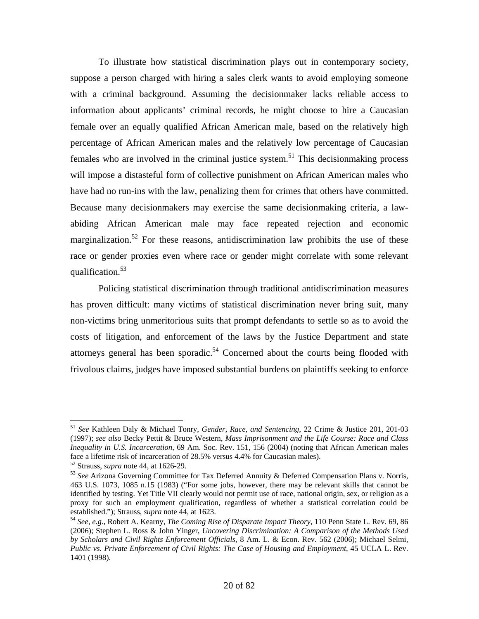To illustrate how statistical discrimination plays out in contemporary society, suppose a person charged with hiring a sales clerk wants to avoid employing someone with a criminal background. Assuming the decisionmaker lacks reliable access to information about applicants' criminal records, he might choose to hire a Caucasian female over an equally qualified African American male, based on the relatively high percentage of African American males and the relatively low percentage of Caucasian females who are involved in the criminal justice system.<sup>51</sup> This decisionmaking process will impose a distasteful form of collective punishment on African American males who have had no run-ins with the law, penalizing them for crimes that others have committed. Because many decisionmakers may exercise the same decisionmaking criteria, a lawabiding African American male may face repeated rejection and economic marginalization.<sup>52</sup> For these reasons, antidiscrimination law prohibits the use of these race or gender proxies even where race or gender might correlate with some relevant qualification.53

 Policing statistical discrimination through traditional antidiscrimination measures has proven difficult: many victims of statistical discrimination never bring suit, many non-victims bring unmeritorious suits that prompt defendants to settle so as to avoid the costs of litigation, and enforcement of the laws by the Justice Department and state attorneys general has been sporadic.<sup>54</sup> Concerned about the courts being flooded with frivolous claims, judges have imposed substantial burdens on plaintiffs seeking to enforce

<sup>51</sup> *See* Kathleen Daly & Michael Tonry, *Gender, Race, and Sentencing*, 22 Crime & Justice 201, 201-03 (1997); *see also* Becky Pettit & Bruce Western, *Mass Imprisonment and the Life Course: Race and Class Inequality in U.S. Incarceration*, 69 Am. Soc. Rev. 151, 156 (2004) (noting that African American males face a lifetime risk of incarceration of 28.5% versus 4.4% for Caucasian males).<br><sup>52</sup> Strauss, *supra* note 44, at 1626-29.<br><sup>53</sup> See Arizona Governing Committee for Tax Deferred Annuity & Deferred Compensation Plans v. Nor

<sup>463</sup> U.S. 1073, 1085 n.15 (1983) ("For some jobs, however, there may be relevant skills that cannot be identified by testing. Yet Title VII clearly would not permit use of race, national origin, sex, or religion as a proxy for such an employment qualification, regardless of whether a statistical correlation could be established."); Strauss, *supra* note 44, at 1623.<br><sup>54</sup> *See, e.g.*, Robert A. Kearny, *The Coming Rise of Disparate Impact Theory*, 110 Penn State L. Rev. 69, 86

<sup>(2006);</sup> Stephen L. Ross & John Yinger, *Uncovering Discrimination: A Comparison of the Methods Used by Scholars and Civil Rights Enforcement Officials*, 8 Am. L. & Econ. Rev. 562 (2006); Michael Selmi, *Public vs. Private Enforcement of Civil Rights: The Case of Housing and Employment*, 45 UCLA L. Rev. 1401 (1998).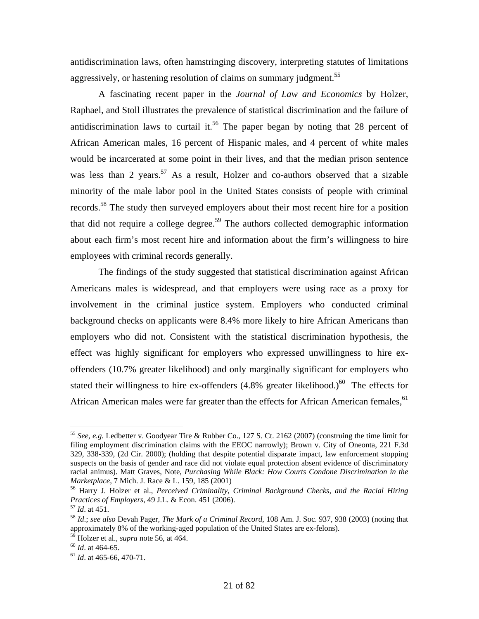antidiscrimination laws, often hamstringing discovery, interpreting statutes of limitations aggressively, or hastening resolution of claims on summary judgment.<sup>55</sup>

 A fascinating recent paper in the *Journal of Law and Economics* by Holzer, Raphael, and Stoll illustrates the prevalence of statistical discrimination and the failure of antidiscrimination laws to curtail it.<sup>56</sup> The paper began by noting that 28 percent of African American males, 16 percent of Hispanic males, and 4 percent of white males would be incarcerated at some point in their lives, and that the median prison sentence was less than 2 years.<sup>57</sup> As a result, Holzer and co-authors observed that a sizable minority of the male labor pool in the United States consists of people with criminal records.<sup>58</sup> The study then surveyed employers about their most recent hire for a position that did not require a college degree.<sup>59</sup> The authors collected demographic information about each firm's most recent hire and information about the firm's willingness to hire employees with criminal records generally.

 The findings of the study suggested that statistical discrimination against African Americans males is widespread, and that employers were using race as a proxy for involvement in the criminal justice system. Employers who conducted criminal background checks on applicants were 8.4% more likely to hire African Americans than employers who did not. Consistent with the statistical discrimination hypothesis, the effect was highly significant for employers who expressed unwillingness to hire exoffenders (10.7% greater likelihood) and only marginally significant for employers who stated their willingness to hire ex-offenders  $(4.8\%$  greater likelihood.)<sup>60</sup> The effects for African American males were far greater than the effects for African American females, <sup>61</sup>

<sup>55</sup> *See, e.g.* Ledbetter v. Goodyear Tire & Rubber Co., 127 S. Ct. 2162 (2007) (construing the time limit for filing employment discrimination claims with the EEOC narrowly); Brown v. City of Oneonta, 221 F.3d 329, 338-339, (2d Cir. 2000); (holding that despite potential disparate impact, law enforcement stopping suspects on the basis of gender and race did not violate equal protection absent evidence of discriminatory racial animus). Matt Graves, Note, *Purchasing While Black: How Courts Condone Discrimination in the* 

*Marketplace*, 7 Mich. J. Race & L. 159, 185 (2001)<br><sup>56</sup> Harry J. Holzer et al., *Perceived Criminality, Criminal Background Checks, and the Racial Hiring Practices of Employers, 49 J.L. & Econ. 451 (2006).* 

<sup>&</sup>lt;sup>57</sup> *Id.* at 451.<br><sup>58</sup> *Id.*; *see also* Devah Pager, *The Mark of a Criminal Record*, 108 Am. J. Soc. 937, 938 (2003) (noting that approximately 8% of the working-aged population of the United States are ex-felons).

<sup>59</sup> Holzer et al., *supra* note 56, at 464. 60 *Id*. at 464-65. 61 *Id*. at 465-66, 470-71.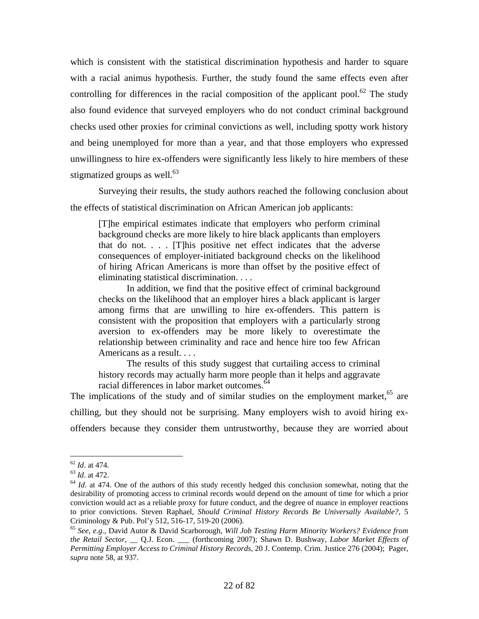which is consistent with the statistical discrimination hypothesis and harder to square with a racial animus hypothesis. Further, the study found the same effects even after controlling for differences in the racial composition of the applicant pool.<sup>62</sup> The study also found evidence that surveyed employers who do not conduct criminal background checks used other proxies for criminal convictions as well, including spotty work history and being unemployed for more than a year, and that those employers who expressed unwillingness to hire ex-offenders were significantly less likely to hire members of these stigmatized groups as well. $63$ 

 Surveying their results, the study authors reached the following conclusion about the effects of statistical discrimination on African American job applicants:

[T]he empirical estimates indicate that employers who perform criminal background checks are more likely to hire black applicants than employers that do not. . . . [T]his positive net effect indicates that the adverse consequences of employer-initiated background checks on the likelihood of hiring African Americans is more than offset by the positive effect of eliminating statistical discrimination. . . .

 In addition, we find that the positive effect of criminal background checks on the likelihood that an employer hires a black applicant is larger among firms that are unwilling to hire ex-offenders. This pattern is consistent with the proposition that employers with a particularly strong aversion to ex-offenders may be more likely to overestimate the relationship between criminality and race and hence hire too few African Americans as a result. . . .

 The results of this study suggest that curtailing access to criminal history records may actually harm more people than it helps and aggravate racial differences in labor market outcomes.<sup>64</sup>

The implications of the study and of similar studies on the employment market,  $65$  are chilling, but they should not be surprising. Many employers wish to avoid hiring exoffenders because they consider them untrustworthy, because they are worried about

 $62$  *Id.* at 474.

<sup>&</sup>lt;sup>63</sup> *Id.* at 472.<br><sup>64</sup> *Id.* at 474. One of the authors of this study recently hedged this conclusion somewhat, noting that the desirability of promoting access to criminal records would depend on the amount of time for which a prior conviction would act as a reliable proxy for future conduct, and the degree of nuance in employer reactions to prior convictions. Steven Raphael, *Should Criminal History Records Be Universally Available?*, 5 Criminology & Pub. Pol'y 512, 516-17, 519-20 (2006).

<sup>65</sup> *See, e.g.*, David Autor & David Scarborough, *Will Job Testing Harm Minority Workers? Evidence from the Retail Sector*, \_\_ Q.J. Econ. \_\_\_ (forthcoming 2007); Shawn D. Bushway, *Labor Market Effects of Permitting Employer Access to Criminal History Records*, 20 J. Contemp. Crim. Justice 276 (2004); Pager, *supra* note 58, at 937.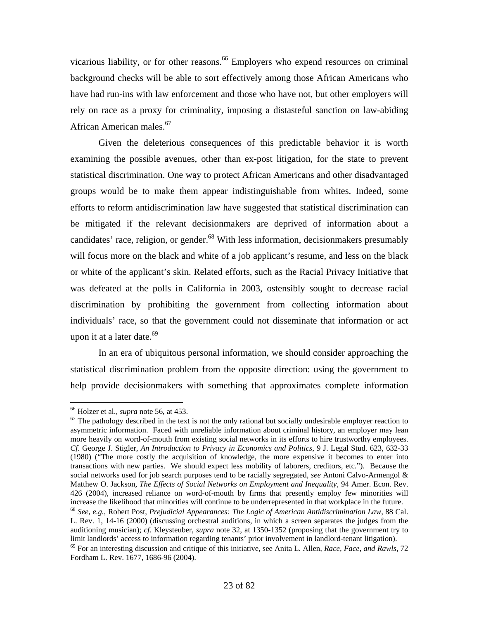vicarious liability, or for other reasons.<sup>66</sup> Employers who expend resources on criminal background checks will be able to sort effectively among those African Americans who have had run-ins with law enforcement and those who have not, but other employers will rely on race as a proxy for criminality, imposing a distasteful sanction on law-abiding African American males.67

 Given the deleterious consequences of this predictable behavior it is worth examining the possible avenues, other than ex-post litigation, for the state to prevent statistical discrimination. One way to protect African Americans and other disadvantaged groups would be to make them appear indistinguishable from whites. Indeed, some efforts to reform antidiscrimination law have suggested that statistical discrimination can be mitigated if the relevant decisionmakers are deprived of information about a candidates' race, religion, or gender.<sup>68</sup> With less information, decisionmakers presumably will focus more on the black and white of a job applicant's resume, and less on the black or white of the applicant's skin. Related efforts, such as the Racial Privacy Initiative that was defeated at the polls in California in 2003, ostensibly sought to decrease racial discrimination by prohibiting the government from collecting information about individuals' race, so that the government could not disseminate that information or act upon it at a later date. $69$ 

 In an era of ubiquitous personal information, we should consider approaching the statistical discrimination problem from the opposite direction: using the government to help provide decisionmakers with something that approximates complete information

<sup>&</sup>lt;sup>66</sup> Holzer et al., *supra* note 56, at 453.<br><sup>67</sup> The pathology described in the text is not the only rational but socially undesirable employer reaction to asymmetric information. Faced with unreliable information about criminal history, an employer may lean more heavily on word-of-mouth from existing social networks in its efforts to hire trustworthy employees. *Cf*. George J. Stigler, *An Introduction to Privacy in Economics and Politics*, 9 J. Legal Stud. 623, 632-33 (1980) ("The more costly the acquisition of knowledge, the more expensive it becomes to enter into transactions with new parties. We should expect less mobility of laborers, creditors, etc."). Because the social networks used for job search purposes tend to be racially segregated, *see* Antoni Calvo-Armengol & Matthew O. Jackson, *The Effects of Social Networks on Employment and Inequality*, 94 Amer. Econ. Rev. 426 (2004), increased reliance on word-of-mouth by firms that presently employ few minorities will increase the likelihood that minorities will continue to be underrepresented in that workplace in the future.<br><sup>68</sup> See, e.g., Robert Post, *Prejudicial Appearances: The Logic of American Antidiscrimination Law*, 88 Cal.

L. Rev. 1, 14-16 (2000) (discussing orchestral auditions, in which a screen separates the judges from the auditioning musician); *cf*. Kleysteuber, *supra* note 32, at 1350-1352 (proposing that the government try to limit landlords' access to information regarding tenants' prior involvement in landlord-tenant litigation).<br><sup>69</sup> For an interesting discussion and critique of this initiative, see Anita L. Allen, *Race, Face, and Rawls*, 7

Fordham L. Rev. 1677, 1686-96 (2004).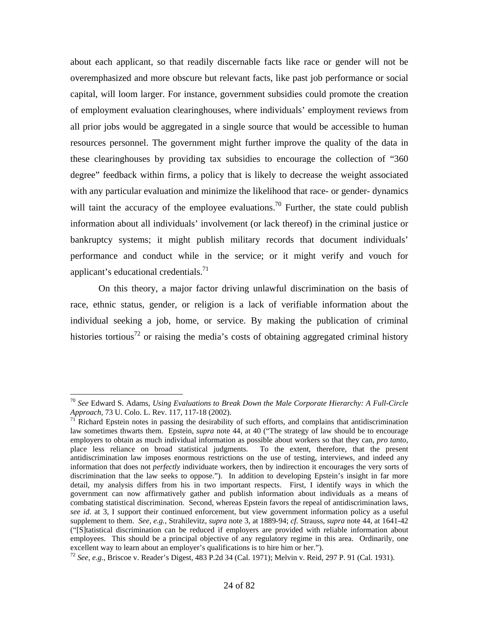about each applicant, so that readily discernable facts like race or gender will not be overemphasized and more obscure but relevant facts, like past job performance or social capital, will loom larger. For instance, government subsidies could promote the creation of employment evaluation clearinghouses, where individuals' employment reviews from all prior jobs would be aggregated in a single source that would be accessible to human resources personnel. The government might further improve the quality of the data in these clearinghouses by providing tax subsidies to encourage the collection of "360 degree" feedback within firms, a policy that is likely to decrease the weight associated with any particular evaluation and minimize the likelihood that race- or gender- dynamics will taint the accuracy of the employee evaluations.<sup>70</sup> Further, the state could publish information about all individuals' involvement (or lack thereof) in the criminal justice or bankruptcy systems; it might publish military records that document individuals' performance and conduct while in the service; or it might verify and vouch for applicant's educational credentials. $^{71}$ 

 On this theory, a major factor driving unlawful discrimination on the basis of race, ethnic status, gender, or religion is a lack of verifiable information about the individual seeking a job, home, or service. By making the publication of criminal histories tortious<sup>72</sup> or raising the media's costs of obtaining aggregated criminal history

<sup>70</sup> *See* Edward S. Adams, *Using Evaluations to Break Down the Male Corporate Hierarchy: A Full-Circle Approach*, 73 U. Colo. L. Rev. 117, 117-18 (2002).<br><sup>71</sup> Richard Epstein notes in passing the desirability of such efforts, and complains that antidiscrimination

law sometimes thwarts them. Epstein, *supra* note 44, at 40 ("The strategy of law should be to encourage employers to obtain as much individual information as possible about workers so that they can, *pro tanto*, place less reliance on broad statistical judgments. To the extent, therefore, that the present antidiscrimination law imposes enormous restrictions on the use of testing, interviews, and indeed any information that does not *perfectly* individuate workers, then by indirection it encourages the very sorts of discrimination that the law seeks to oppose."). In addition to developing Epstein's insight in far more detail, my analysis differs from his in two important respects. First, I identify ways in which the government can now affirmatively gather and publish information about individuals as a means of combating statistical discrimination. Second, whereas Epstein favors the repeal of antidiscrimination laws, *see id*. at 3, I support their continued enforcement, but view government information policy as a useful supplement to them. *See, e.g.*, Strahilevitz, *supra* note 3, at 1889-94; *cf*. Strauss, *supra* note 44, at 1641-42 ("[S]tatistical discrimination can be reduced if employers are provided with reliable information about employees. This should be a principal objective of any regulatory regime in this area. Ordinarily, one excellent way to learn about an employer's qualifications is to hire him or her.").

<sup>72</sup> *See, e.g.*, Briscoe v. Reader's Digest, 483 P.2d 34 (Cal. 1971); Melvin v. Reid, 297 P. 91 (Cal. 1931).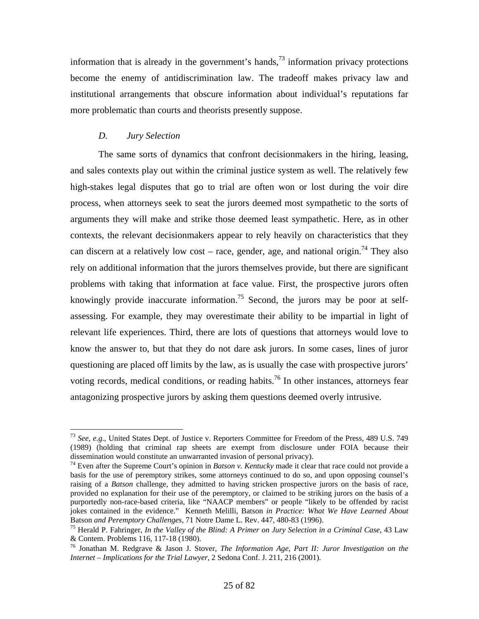information that is already in the government's hands,<sup>73</sup> information privacy protections become the enemy of antidiscrimination law. The tradeoff makes privacy law and institutional arrangements that obscure information about individual's reputations far more problematic than courts and theorists presently suppose.

#### *D. Jury Selection*

 $\overline{a}$ 

 The same sorts of dynamics that confront decisionmakers in the hiring, leasing, and sales contexts play out within the criminal justice system as well. The relatively few high-stakes legal disputes that go to trial are often won or lost during the voir dire process, when attorneys seek to seat the jurors deemed most sympathetic to the sorts of arguments they will make and strike those deemed least sympathetic. Here, as in other contexts, the relevant decisionmakers appear to rely heavily on characteristics that they can discern at a relatively low cost – race, gender, age, and national origin.<sup>74</sup> They also rely on additional information that the jurors themselves provide, but there are significant problems with taking that information at face value. First, the prospective jurors often knowingly provide inaccurate information.<sup>75</sup> Second, the jurors may be poor at selfassessing. For example, they may overestimate their ability to be impartial in light of relevant life experiences. Third, there are lots of questions that attorneys would love to know the answer to, but that they do not dare ask jurors. In some cases, lines of juror questioning are placed off limits by the law, as is usually the case with prospective jurors' voting records, medical conditions, or reading habits.<sup>76</sup> In other instances, attorneys fear antagonizing prospective jurors by asking them questions deemed overly intrusive.

<sup>73</sup> *See, e.g.*, United States Dept. of Justice v. Reporters Committee for Freedom of the Press, 489 U.S. 749 (1989) (holding that criminal rap sheets are exempt from disclosure under FOIA because their dissemination would constitute an unwarranted invasion of personal privacy).

<sup>74</sup> Even after the Supreme Court's opinion in *Batson v. Kentucky* made it clear that race could not provide a basis for the use of peremptory strikes, some attorneys continued to do so, and upon opposing counsel's raising of a *Batson* challenge, they admitted to having stricken prospective jurors on the basis of race, provided no explanation for their use of the peremptory, or claimed to be striking jurors on the basis of a purportedly non-race-based criteria, like "NAACP members" or people "likely to be offended by racist jokes contained in the evidence." Kenneth Melilli, Batson *in Practice: What We Have Learned About*  Batson *and Peremptory Challenges*, 71 Notre Dame L. Rev. 447, 480-83 (1996).<br><sup>75</sup> Herald P. Fahringer, *In the Valley of the Blind: A Primer on Jury Selection in a Criminal Case*, 43 Law

<sup>&</sup>amp; Contem. Problems 116, 117-18 (1980).

<sup>76</sup> Jonathan M. Redgrave & Jason J. Stover, *The Information Age, Part II: Juror Investigation on the Internet – Implications for the Trial Lawyer*, 2 Sedona Conf. J. 211, 216 (2001).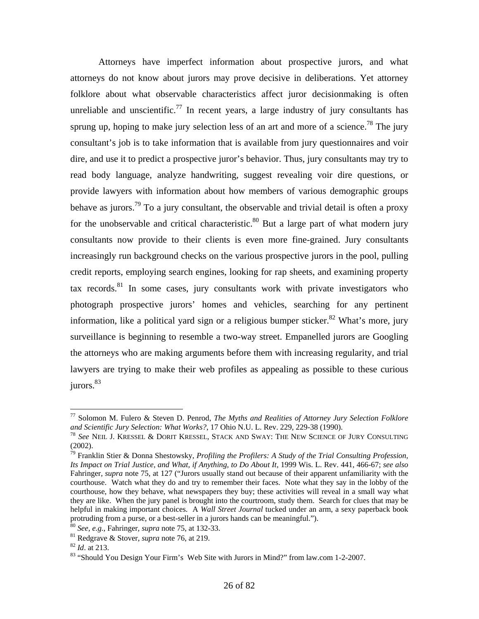Attorneys have imperfect information about prospective jurors, and what attorneys do not know about jurors may prove decisive in deliberations. Yet attorney folklore about what observable characteristics affect juror decisionmaking is often unreliable and unscientific.<sup>77</sup> In recent years, a large industry of jury consultants has sprung up, hoping to make jury selection less of an art and more of a science.<sup>78</sup> The jury consultant's job is to take information that is available from jury questionnaires and voir dire, and use it to predict a prospective juror's behavior. Thus, jury consultants may try to read body language, analyze handwriting, suggest revealing voir dire questions, or provide lawyers with information about how members of various demographic groups behave as jurors.<sup>79</sup> To a jury consultant, the observable and trivial detail is often a proxy for the unobservable and critical characteristic.<sup>80</sup> But a large part of what modern jury consultants now provide to their clients is even more fine-grained. Jury consultants increasingly run background checks on the various prospective jurors in the pool, pulling credit reports, employing search engines, looking for rap sheets, and examining property  $\alpha$  records.<sup>81</sup> In some cases, jury consultants work with private investigators who photograph prospective jurors' homes and vehicles, searching for any pertinent information, like a political yard sign or a religious bumper sticker.<sup>82</sup> What's more, jury surveillance is beginning to resemble a two-way street. Empanelled jurors are Googling the attorneys who are making arguments before them with increasing regularity, and trial lawyers are trying to make their web profiles as appealing as possible to these curious jurors.<sup>83</sup>

<sup>77</sup> Solomon M. Fulero & Steven D. Penrod, *The Myths and Realities of Attorney Jury Selection Folklore and Scientific Jury Selection: What Works?*, 17 Ohio N.U. L. Rev. 229, 229-38 (1990).<br><sup>78</sup> *See* NEIL J. KRESSEL & DORIT KRESSEL, STACK AND SWAY: THE NEW SCIENCE OF JURY CONSULTING

<sup>(2002).</sup> 

<sup>79</sup> Franklin Stier & Donna Shestowsky, *Profiling the Profilers: A Study of the Trial Consulting Profession, Its Impact on Trial Justice, and What, if Anything, to Do About It*, 1999 Wis. L. Rev. 441, 466-67; *see also* Fahringer, *supra* note 75, at 127 ("Jurors usually stand out because of their apparent unfamiliarity with the courthouse. Watch what they do and try to remember their faces. Note what they say in the lobby of the courthouse, how they behave, what newspapers they buy; these activities will reveal in a small way what they are like. When the jury panel is brought into the courtroom, study them. Search for clues that may be helpful in making important choices. A *Wall Street Journal* tucked under an arm, a sexy paperback book protruding from a purse, or a best-seller in a jurors hands can be meaningful.").

<sup>&</sup>lt;sup>80</sup> See, e.g., Fahringer, *supra* note 75, at 132-33.<br><sup>81</sup> Redgrave & Stover, *supra* note 76, at 219.<br><sup>82</sup> Id. at 213.<br><sup>83</sup> "Should You Design Your Firm's Web Site with Jurors in Mind?" from law.com 1-2-2007.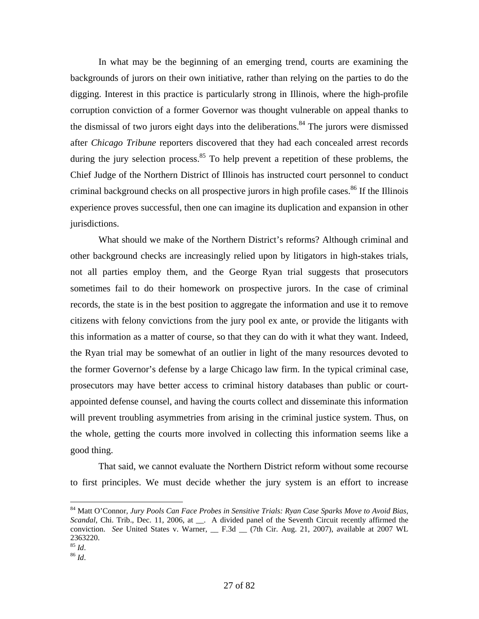In what may be the beginning of an emerging trend, courts are examining the backgrounds of jurors on their own initiative, rather than relying on the parties to do the digging. Interest in this practice is particularly strong in Illinois, where the high-profile corruption conviction of a former Governor was thought vulnerable on appeal thanks to the dismissal of two jurors eight days into the deliberations.<sup>84</sup> The jurors were dismissed after *Chicago Tribune* reporters discovered that they had each concealed arrest records during the jury selection process. $85$  To help prevent a repetition of these problems, the Chief Judge of the Northern District of Illinois has instructed court personnel to conduct criminal background checks on all prospective jurors in high profile cases.<sup>86</sup> If the Illinois experience proves successful, then one can imagine its duplication and expansion in other jurisdictions.

 What should we make of the Northern District's reforms? Although criminal and other background checks are increasingly relied upon by litigators in high-stakes trials, not all parties employ them, and the George Ryan trial suggests that prosecutors sometimes fail to do their homework on prospective jurors. In the case of criminal records, the state is in the best position to aggregate the information and use it to remove citizens with felony convictions from the jury pool ex ante, or provide the litigants with this information as a matter of course, so that they can do with it what they want. Indeed, the Ryan trial may be somewhat of an outlier in light of the many resources devoted to the former Governor's defense by a large Chicago law firm. In the typical criminal case, prosecutors may have better access to criminal history databases than public or courtappointed defense counsel, and having the courts collect and disseminate this information will prevent troubling asymmetries from arising in the criminal justice system. Thus, on the whole, getting the courts more involved in collecting this information seems like a good thing.

 That said, we cannot evaluate the Northern District reform without some recourse to first principles. We must decide whether the jury system is an effort to increase

<sup>84</sup> Matt O'Connor, *Jury Pools Can Face Probes in Sensitive Trials: Ryan Case Sparks Move to Avoid Bias, Scandal*, Chi. Trib., Dec. 11, 2006, at \_\_. A divided panel of the Seventh Circuit recently affirmed the conviction. *See* United States v. Warner, \_\_ F.3d \_\_ (7th Cir. Aug. 21, 2007), available at 2007 WL 2363220.

<sup>85</sup> *Id*. 86 *Id*.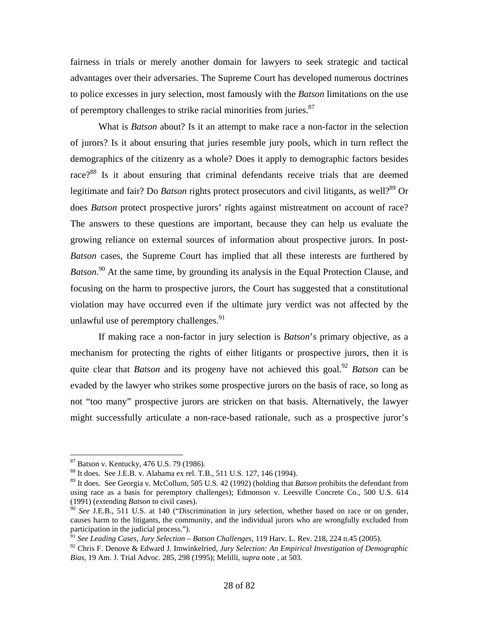fairness in trials or merely another domain for lawyers to seek strategic and tactical advantages over their adversaries. The Supreme Court has developed numerous doctrines to police excesses in jury selection, most famously with the *Batson* limitations on the use of peremptory challenges to strike racial minorities from juries.<sup>87</sup>

 What is *Batson* about? Is it an attempt to make race a non-factor in the selection of jurors? Is it about ensuring that juries resemble jury pools, which in turn reflect the demographics of the citizenry as a whole? Does it apply to demographic factors besides race?<sup>88</sup> Is it about ensuring that criminal defendants receive trials that are deemed legitimate and fair? Do *Batson* rights protect prosecutors and civil litigants, as well?<sup>89</sup> Or does *Batson* protect prospective jurors' rights against mistreatment on account of race? The answers to these questions are important, because they can help us evaluate the growing reliance on external sources of information about prospective jurors. In post-*Batson* cases, the Supreme Court has implied that all these interests are furthered by Batson.<sup>90</sup> At the same time, by grounding its analysis in the Equal Protection Clause, and focusing on the harm to prospective jurors, the Court has suggested that a constitutional violation may have occurred even if the ultimate jury verdict was not affected by the unlawful use of peremptory challenges.  $91$ 

 If making race a non-factor in jury selection is *Batson*'s primary objective, as a mechanism for protecting the rights of either litigants or prospective jurors, then it is quite clear that *Batson* and its progeny have not achieved this goal.<sup>92</sup> *Batson* can be evaded by the lawyer who strikes some prospective jurors on the basis of race, so long as not "too many" prospective jurors are stricken on that basis. Alternatively, the lawyer might successfully articulate a non-race-based rationale, such as a prospective juror's

<sup>87</sup> Batson v. Kentucky, 476 U.S. 79 (1986).

<sup>88</sup> It does. See J.E.B. v. Alabama ex rel. T.B., 511 U.S. 127, 146 (1994).

<sup>89</sup> It does. See Georgia v. McCollum, 505 U.S. 42 (1992) (holding that *Batson* prohibits the defendant from using race as a basis for peremptory challenges); Edmonson v. Leesville Concrete Co., 500 U.S. 614 (1991) (extending *Batson* to civil cases).

<sup>90</sup> *See* J.E.B., 511 U.S. at 140 ("Discrimination in jury selection, whether based on race or on gender, causes harm to the litigants, the community, and the individual jurors who are wrongfully excluded from participation in the judicial process.").

<sup>91</sup> *See Leading Cases, Jury Selection – Batson Challenges*, 119 Harv. L. Rev. 218, 224 n.45 (2005).

<sup>92</sup> Chris F. Denove & Edward J. Imwinkelried, *Jury Selection: An Empirical Investigation of Demographic Bias*, 19 Am. J. Trial Advoc. 285, 298 (1995); Melilli, *supra* note , at 503.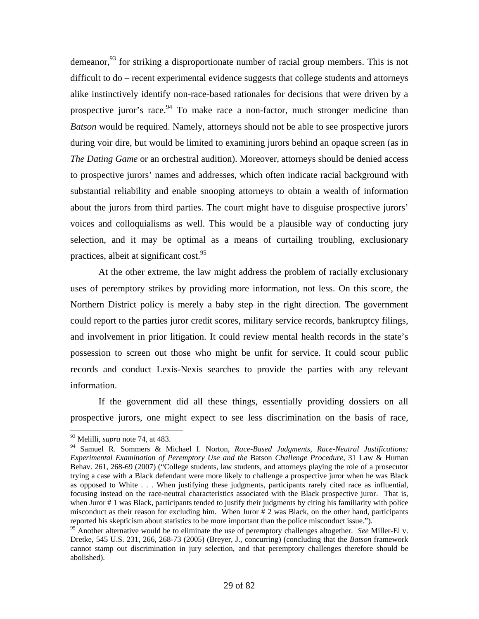demeanor,<sup>93</sup> for striking a disproportionate number of racial group members. This is not difficult to do – recent experimental evidence suggests that college students and attorneys alike instinctively identify non-race-based rationales for decisions that were driven by a prospective juror's race.  $94$  To make race a non-factor, much stronger medicine than *Batson* would be required. Namely, attorneys should not be able to see prospective jurors during voir dire, but would be limited to examining jurors behind an opaque screen (as in *The Dating Game* or an orchestral audition). Moreover, attorneys should be denied access to prospective jurors' names and addresses, which often indicate racial background with substantial reliability and enable snooping attorneys to obtain a wealth of information about the jurors from third parties. The court might have to disguise prospective jurors' voices and colloquialisms as well. This would be a plausible way of conducting jury selection, and it may be optimal as a means of curtailing troubling, exclusionary practices, albeit at significant cost.<sup>95</sup>

 At the other extreme, the law might address the problem of racially exclusionary uses of peremptory strikes by providing more information, not less. On this score, the Northern District policy is merely a baby step in the right direction. The government could report to the parties juror credit scores, military service records, bankruptcy filings, and involvement in prior litigation. It could review mental health records in the state's possession to screen out those who might be unfit for service. It could scour public records and conduct Lexis-Nexis searches to provide the parties with any relevant information.

 If the government did all these things, essentially providing dossiers on all prospective jurors, one might expect to see less discrimination on the basis of race,

<sup>93</sup> Melilli, *supra* note 74, at 483.

<sup>94</sup> Samuel R. Sommers & Michael I. Norton, *Race-Based Judgments, Race-Neutral Justifications: Experimental Examination of Peremptory Use and the* Batson *Challenge Procedure*, 31 Law & Human Behav. 261, 268-69 (2007) ("College students, law students, and attorneys playing the role of a prosecutor trying a case with a Black defendant were more likely to challenge a prospective juror when he was Black as opposed to White . . . When justifying these judgments, participants rarely cited race as influential, focusing instead on the race-neutral characteristics associated with the Black prospective juror. That is, when Juror # 1 was Black, participants tended to justify their judgments by citing his familiarity with police misconduct as their reason for excluding him. When Juror # 2 was Black, on the other hand, participants reported his skepticism about statistics to be more important than the police misconduct issue.").

<sup>95</sup> Another alternative would be to eliminate the use of peremptory challenges altogether. *See* Miller-El v. Dretke, 545 U.S. 231, 266, 268-73 (2005) (Breyer, J., concurring) (concluding that the *Batson* framework cannot stamp out discrimination in jury selection, and that peremptory challenges therefore should be abolished).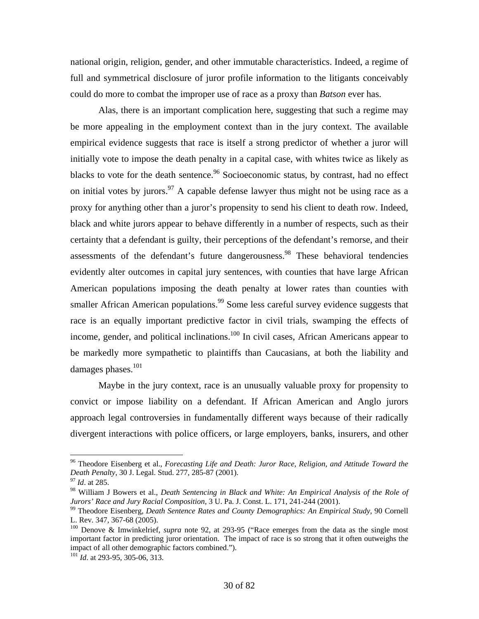national origin, religion, gender, and other immutable characteristics. Indeed, a regime of full and symmetrical disclosure of juror profile information to the litigants conceivably could do more to combat the improper use of race as a proxy than *Batson* ever has.

 Alas, there is an important complication here, suggesting that such a regime may be more appealing in the employment context than in the jury context. The available empirical evidence suggests that race is itself a strong predictor of whether a juror will initially vote to impose the death penalty in a capital case, with whites twice as likely as blacks to vote for the death sentence.<sup>96</sup> Socioeconomic status, by contrast, had no effect on initial votes by jurors.<sup>97</sup> A capable defense lawyer thus might not be using race as a proxy for anything other than a juror's propensity to send his client to death row. Indeed, black and white jurors appear to behave differently in a number of respects, such as their certainty that a defendant is guilty, their perceptions of the defendant's remorse, and their assessments of the defendant's future dangerousness.<sup>98</sup> These behavioral tendencies evidently alter outcomes in capital jury sentences, with counties that have large African American populations imposing the death penalty at lower rates than counties with smaller African American populations.<sup>99</sup> Some less careful survey evidence suggests that race is an equally important predictive factor in civil trials, swamping the effects of income, gender, and political inclinations.<sup>100</sup> In civil cases, African Americans appear to be markedly more sympathetic to plaintiffs than Caucasians, at both the liability and damages phases.<sup>101</sup>

 Maybe in the jury context, race is an unusually valuable proxy for propensity to convict or impose liability on a defendant. If African American and Anglo jurors approach legal controversies in fundamentally different ways because of their radically divergent interactions with police officers, or large employers, banks, insurers, and other

<sup>96</sup> Theodore Eisenberg et al., *Forecasting Life and Death: Juror Race, Religion, and Attitude Toward the Death Penalty*, 30 J. Legal. Stud. 277, 285-87 (2001). 97 *Id*. at 285.

<sup>98</sup> William J Bowers et al., *Death Sentencing in Black and White: An Empirical Analysis of the Role of Jurors' Race and Jury Racial Composition*, 3 U. Pa. J. Const. L. 171, 241-244 (2001).<br><sup>99</sup> Theodore Eisenberg, *Death Sentence Rates and County Demographics: An Empirical Study*, 90 Cornell

L. Rev. 347, 367-68 (2005).

<sup>100</sup> Denove & Imwinkelrief, *supra* note 92, at 293-95 ("Race emerges from the data as the single most important factor in predicting juror orientation. The impact of race is so strong that it often outweighs the impact of all other demographic factors combined.").

<sup>101</sup> *Id*. at 293-95, 305-06, 313.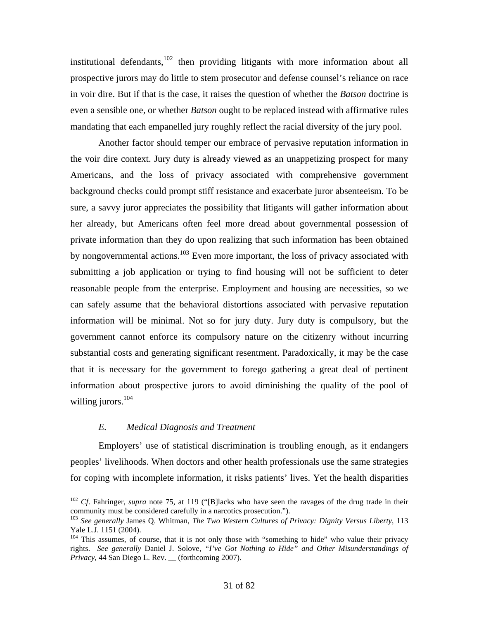institutional defendants, $102$  then providing litigants with more information about all prospective jurors may do little to stem prosecutor and defense counsel's reliance on race in voir dire. But if that is the case, it raises the question of whether the *Batson* doctrine is even a sensible one, or whether *Batson* ought to be replaced instead with affirmative rules mandating that each empanelled jury roughly reflect the racial diversity of the jury pool.

 Another factor should temper our embrace of pervasive reputation information in the voir dire context. Jury duty is already viewed as an unappetizing prospect for many Americans, and the loss of privacy associated with comprehensive government background checks could prompt stiff resistance and exacerbate juror absenteeism. To be sure, a savvy juror appreciates the possibility that litigants will gather information about her already, but Americans often feel more dread about governmental possession of private information than they do upon realizing that such information has been obtained by nongovernmental actions.<sup>103</sup> Even more important, the loss of privacy associated with submitting a job application or trying to find housing will not be sufficient to deter reasonable people from the enterprise. Employment and housing are necessities, so we can safely assume that the behavioral distortions associated with pervasive reputation information will be minimal. Not so for jury duty. Jury duty is compulsory, but the government cannot enforce its compulsory nature on the citizenry without incurring substantial costs and generating significant resentment. Paradoxically, it may be the case that it is necessary for the government to forego gathering a great deal of pertinent information about prospective jurors to avoid diminishing the quality of the pool of willing jurors.<sup>104</sup>

#### *E. Medical Diagnosis and Treatment*

 $\overline{a}$ 

 Employers' use of statistical discrimination is troubling enough, as it endangers peoples' livelihoods. When doctors and other health professionals use the same strategies for coping with incomplete information, it risks patients' lives. Yet the health disparities

<sup>&</sup>lt;sup>102</sup> *Cf*. Fahringer, *supra* note 75, at 119 ("[B]lacks who have seen the ravages of the drug trade in their community must be considered carefully in a narcotics prosecution.").

<sup>103</sup> *See generally* James Q. Whitman, *The Two Western Cultures of Privacy: Dignity Versus Liberty*, 113 Yale L.J. 1151 (2004).

 $104$  This assumes, of course, that it is not only those with "something to hide" who value their privacy rights. *See generally* Daniel J. Solove, *"I've Got Nothing to Hide" and Other Misunderstandings of Privacy*, 44 San Diego L. Rev. \_\_ (forthcoming 2007).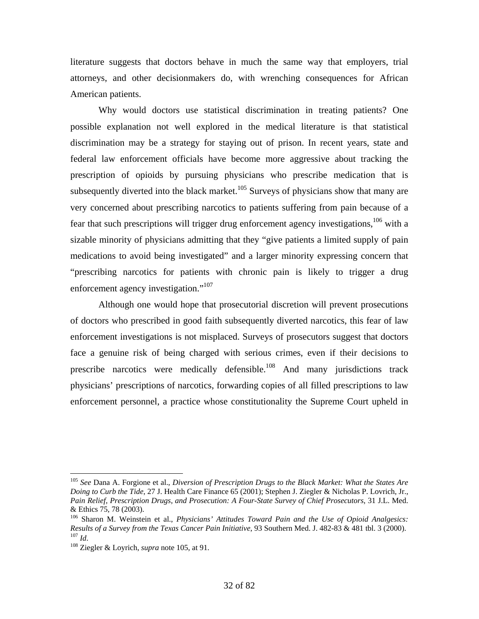literature suggests that doctors behave in much the same way that employers, trial attorneys, and other decisionmakers do, with wrenching consequences for African American patients.

 Why would doctors use statistical discrimination in treating patients? One possible explanation not well explored in the medical literature is that statistical discrimination may be a strategy for staying out of prison. In recent years, state and federal law enforcement officials have become more aggressive about tracking the prescription of opioids by pursuing physicians who prescribe medication that is subsequently diverted into the black market.<sup>105</sup> Surveys of physicians show that many are very concerned about prescribing narcotics to patients suffering from pain because of a fear that such prescriptions will trigger drug enforcement agency investigations,<sup>106</sup> with a sizable minority of physicians admitting that they "give patients a limited supply of pain medications to avoid being investigated" and a larger minority expressing concern that "prescribing narcotics for patients with chronic pain is likely to trigger a drug enforcement agency investigation."<sup>107</sup>

 Although one would hope that prosecutorial discretion will prevent prosecutions of doctors who prescribed in good faith subsequently diverted narcotics, this fear of law enforcement investigations is not misplaced. Surveys of prosecutors suggest that doctors face a genuine risk of being charged with serious crimes, even if their decisions to prescribe narcotics were medically defensible.<sup>108</sup> And many jurisdictions track physicians' prescriptions of narcotics, forwarding copies of all filled prescriptions to law enforcement personnel, a practice whose constitutionality the Supreme Court upheld in

<sup>105</sup> *See* Dana A. Forgione et al., *Diversion of Prescription Drugs to the Black Market: What the States Are Doing to Curb the Tide*, 27 J. Health Care Finance 65 (2001); Stephen J. Ziegler & Nicholas P. Lovrich, Jr., *Pain Relief, Prescription Drugs, and Prosecution: A Four-State Survey of Chief Prosecutors*, 31 J.L. Med. & Ethics 75, 78 (2003).

<sup>106</sup> Sharon M. Weinstein et al., *Physicians' Attitudes Toward Pain and the Use of Opioid Analgesics: Results of a Survey from the Texas Cancer Pain Initiative*, 93 Southern Med. J. 482-83 & 481 tbl. 3 (2000).

<sup>&</sup>lt;sup>108</sup> Ziegler & Loyrich, *supra* note 105, at 91.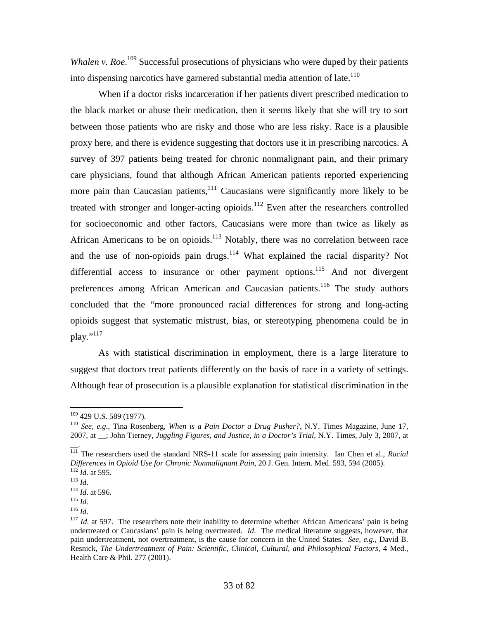Whalen v. Roe.<sup>109</sup> Successful prosecutions of physicians who were duped by their patients into dispensing narcotics have garnered substantial media attention of late.<sup>110</sup>

 When if a doctor risks incarceration if her patients divert prescribed medication to the black market or abuse their medication, then it seems likely that she will try to sort between those patients who are risky and those who are less risky. Race is a plausible proxy here, and there is evidence suggesting that doctors use it in prescribing narcotics. A survey of 397 patients being treated for chronic nonmalignant pain, and their primary care physicians, found that although African American patients reported experiencing more pain than Caucasian patients, $111$  Caucasians were significantly more likely to be treated with stronger and longer-acting opioids. $112$  Even after the researchers controlled for socioeconomic and other factors, Caucasians were more than twice as likely as African Americans to be on opioids.<sup>113</sup> Notably, there was no correlation between race and the use of non-opioids pain drugs. $114$  What explained the racial disparity? Not differential access to insurance or other payment options.<sup>115</sup> And not divergent preferences among African American and Caucasian patients.<sup>116</sup> The study authors concluded that the "more pronounced racial differences for strong and long-acting opioids suggest that systematic mistrust, bias, or stereotyping phenomena could be in  $\mu$ <sub>117</sub>

 As with statistical discrimination in employment, there is a large literature to suggest that doctors treat patients differently on the basis of race in a variety of settings. Although fear of prosecution is a plausible explanation for statistical discrimination in the

 $\overline{\phantom{a}}$ .

 $109$  429 U.S. 589 (1977).

<sup>&</sup>lt;sup>110</sup> See, e.g., Tina Rosenberg, *When is a Pain Doctor a Drug Pusher?*, N.Y. Times Magazine, June 17, 2007, at \_\_; John Tierney, *Juggling Figures, and Justice, in a Doctor's Trial*, N.Y. Times, July 3, 2007, at

<sup>111</sup> The researchers used the standard NRS-11 scale for assessing pain intensity. Ian Chen et al., *Racial*  Differences in Opioid Use for Chronic Nonmalignant Pain, 20 J. Gen. Intern. Med. 593, 594 (2005).<br><sup>112</sup> Id. at 595.<br><sup>113</sup> Id.<br><sup>114</sup> Id. at 596.<br><sup>115</sup> Id.<br><sup>116</sup> Id.<br><sup>116</sup> Id.

undertreated or Caucasians' pain is being overtreated. *Id*. The medical literature suggests, however, that pain undertreatment, not overtreatment, is the cause for concern in the United States. *See, e.g.*, David B. Resnick, *The Undertreatment of Pain: Scientific, Clinical, Cultural, and Philosophical Factors*, 4 Med., Health Care & Phil. 277 (2001).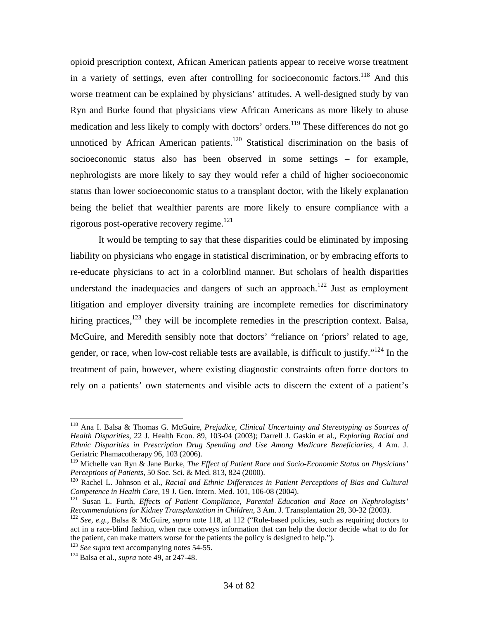opioid prescription context, African American patients appear to receive worse treatment in a variety of settings, even after controlling for socioeconomic factors.<sup>118</sup> And this worse treatment can be explained by physicians' attitudes. A well-designed study by van Ryn and Burke found that physicians view African Americans as more likely to abuse medication and less likely to comply with doctors' orders.<sup>119</sup> These differences do not go unnoticed by African American patients.<sup>120</sup> Statistical discrimination on the basis of socioeconomic status also has been observed in some settings – for example, nephrologists are more likely to say they would refer a child of higher socioeconomic status than lower socioeconomic status to a transplant doctor, with the likely explanation being the belief that wealthier parents are more likely to ensure compliance with a rigorous post-operative recovery regime. $121$ 

 It would be tempting to say that these disparities could be eliminated by imposing liability on physicians who engage in statistical discrimination, or by embracing efforts to re-educate physicians to act in a colorblind manner. But scholars of health disparities understand the inadequacies and dangers of such an approach.<sup>122</sup> Just as employment litigation and employer diversity training are incomplete remedies for discriminatory hiring practices,  $123$  they will be incomplete remedies in the prescription context. Balsa, McGuire, and Meredith sensibly note that doctors' "reliance on 'priors' related to age, gender, or race, when low-cost reliable tests are available, is difficult to justify."<sup>124</sup> In the treatment of pain, however, where existing diagnostic constraints often force doctors to rely on a patients' own statements and visible acts to discern the extent of a patient's

<sup>118</sup> Ana I. Balsa & Thomas G. McGuire, *Prejudice, Clinical Uncertainty and Stereotyping as Sources of Health Disparities*, 22 J. Health Econ. 89, 103-04 (2003); Darrell J. Gaskin et al., *Exploring Racial and Ethnic Disparities in Prescription Drug Spending and Use Among Medicare Beneficiaries*, 4 Am. J. Geriatric Phamacotherapy 96, 103 (2006).

<sup>&</sup>lt;sup>119</sup> Michelle van Ryn & Jane Burke, *The Effect of Patient Race and Socio-Economic Status on Physicians' Perceptions of Patients*, 50 Soc. Sci. & Med. 813, 824 (2000).

<sup>&</sup>lt;sup>120</sup> Rachel L. Johnson et al., *Racial and Ethnic Differences in Patient Perceptions of Bias and Cultural Competence in Health Care, 19 J. Gen. Intern. Med. 101, 106-08 (2004).* 

<sup>&</sup>lt;sup>121</sup> Susan L. Furth, *Effects of Patient Compliance, Parental Education and Race on Nephrologists' Recommendations for Kidney Transplantation in Children, 3 Am. J. Transplantation 28, 30-32 (2003).* 

<sup>&</sup>lt;sup>122</sup> See, e.g., Balsa & McGuire, *supra* note 118, at 112 ("Rule-based policies, such as requiring doctors to act in a race-blind fashion, when race conveys information that can help the doctor decide what to do for the patient, can make matters worse for the patients the policy is designed to help."). 123 *See supra* text accompanying notes 54-55. 124 Balsa et al., *supra* note 49, at 247-48.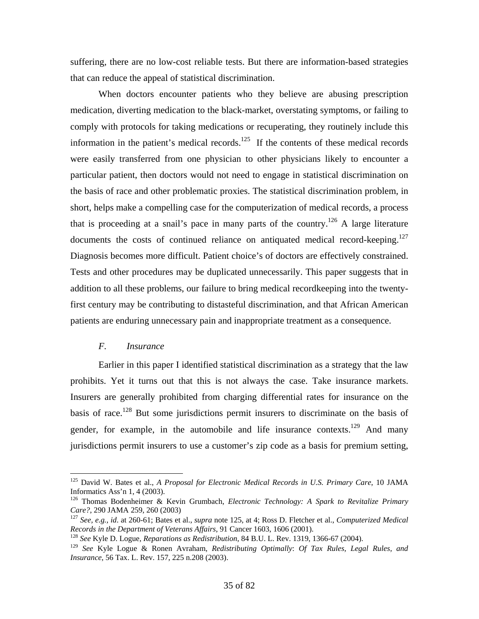suffering, there are no low-cost reliable tests. But there are information-based strategies that can reduce the appeal of statistical discrimination.

 When doctors encounter patients who they believe are abusing prescription medication, diverting medication to the black-market, overstating symptoms, or failing to comply with protocols for taking medications or recuperating, they routinely include this information in the patient's medical records.<sup>125</sup> If the contents of these medical records were easily transferred from one physician to other physicians likely to encounter a particular patient, then doctors would not need to engage in statistical discrimination on the basis of race and other problematic proxies. The statistical discrimination problem, in short, helps make a compelling case for the computerization of medical records, a process that is proceeding at a snail's pace in many parts of the country.<sup>126</sup> A large literature documents the costs of continued reliance on antiquated medical record-keeping.<sup>127</sup> Diagnosis becomes more difficult. Patient choice's of doctors are effectively constrained. Tests and other procedures may be duplicated unnecessarily. This paper suggests that in addition to all these problems, our failure to bring medical recordkeeping into the twentyfirst century may be contributing to distasteful discrimination, and that African American patients are enduring unnecessary pain and inappropriate treatment as a consequence.

# *F. Insurance*

 $\overline{a}$ 

 Earlier in this paper I identified statistical discrimination as a strategy that the law prohibits. Yet it turns out that this is not always the case. Take insurance markets. Insurers are generally prohibited from charging differential rates for insurance on the basis of race.<sup>128</sup> But some jurisdictions permit insurers to discriminate on the basis of gender, for example, in the automobile and life insurance contexts.<sup>129</sup> And many jurisdictions permit insurers to use a customer's zip code as a basis for premium setting,

<sup>125</sup> David W. Bates et al., *A Proposal for Electronic Medical Records in U.S. Primary Care*, 10 JAMA Informatics Ass'n 1, 4 (2003).

<sup>126</sup> Thomas Bodenheimer & Kevin Grumbach, *Electronic Technology: A Spark to Revitalize Primary* 

*Care?*, 290 JAMA 259, 260 (2003)<br><sup>127</sup> *See, e.g., id.* at 260-61; Bates et al., *supra* note 125, at 4; Ross D. Fletcher et al., *Computerized Medical Records in the Department of Veterans Affairs*, 91 Cancer 1603, 1606

<sup>&</sup>lt;sup>128</sup> See Kyle D. Logue, *Reparations as Redistribution*, 84 B.U. L. Rev. 1319, 1366-67 (2004).

<sup>129</sup> *See* Kyle Logue & Ronen Avraham, *Redistributing Optimally*: *Of Tax Rules, Legal Rules, and Insurance*, 56 Tax. L. Rev. 157, 225 n.208 (2003).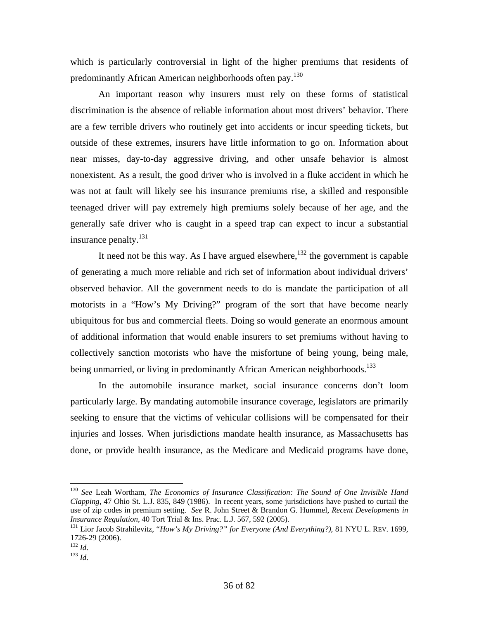which is particularly controversial in light of the higher premiums that residents of predominantly African American neighborhoods often pay.<sup>130</sup>

 An important reason why insurers must rely on these forms of statistical discrimination is the absence of reliable information about most drivers' behavior. There are a few terrible drivers who routinely get into accidents or incur speeding tickets, but outside of these extremes, insurers have little information to go on. Information about near misses, day-to-day aggressive driving, and other unsafe behavior is almost nonexistent. As a result, the good driver who is involved in a fluke accident in which he was not at fault will likely see his insurance premiums rise, a skilled and responsible teenaged driver will pay extremely high premiums solely because of her age, and the generally safe driver who is caught in a speed trap can expect to incur a substantial insurance penalty.<sup>131</sup>

It need not be this way. As I have argued elsewhere,  $132$  the government is capable of generating a much more reliable and rich set of information about individual drivers' observed behavior. All the government needs to do is mandate the participation of all motorists in a "How's My Driving?" program of the sort that have become nearly ubiquitous for bus and commercial fleets. Doing so would generate an enormous amount of additional information that would enable insurers to set premiums without having to collectively sanction motorists who have the misfortune of being young, being male, being unmarried, or living in predominantly African American neighborhoods.<sup>133</sup>

 In the automobile insurance market, social insurance concerns don't loom particularly large. By mandating automobile insurance coverage, legislators are primarily seeking to ensure that the victims of vehicular collisions will be compensated for their injuries and losses. When jurisdictions mandate health insurance, as Massachusetts has done, or provide health insurance, as the Medicare and Medicaid programs have done,

<sup>130</sup> *See* Leah Wortham, *The Economics of Insurance Classification: The Sound of One Invisible Hand Clapping*, 47 Ohio St. L.J. 835, 849 (1986). In recent years, some jurisdictions have pushed to curtail the use of zip codes in premium setting. *See* R. John Street & Brandon G. Hummel, *Recent Developments in Insurance Regulation*, 40 Tort Trial & Ins. Prac. L.J. 567, 592 (2005).

<sup>131</sup> Lior Jacob Strahilevitz, "*How's My Driving?" for Everyone (And Everything?)*, 81 NYU L. REV. 1699, 1726-29 (2006).<br> $^{132}$  *Id.* 

 $133$  *Id.*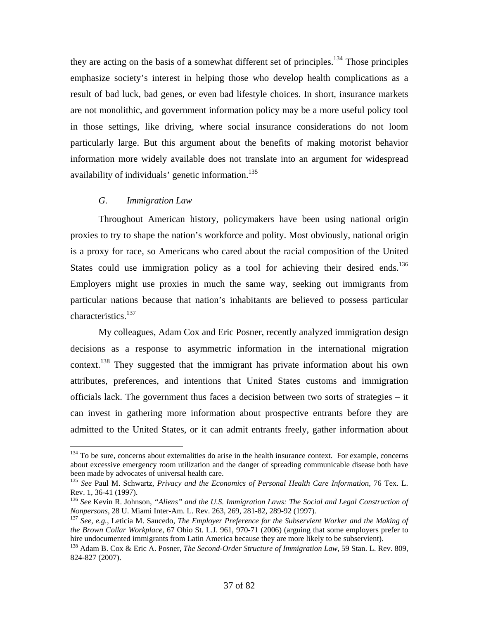they are acting on the basis of a somewhat different set of principles.<sup>134</sup> Those principles emphasize society's interest in helping those who develop health complications as a result of bad luck, bad genes, or even bad lifestyle choices. In short, insurance markets are not monolithic, and government information policy may be a more useful policy tool in those settings, like driving, where social insurance considerations do not loom particularly large. But this argument about the benefits of making motorist behavior information more widely available does not translate into an argument for widespread availability of individuals' genetic information.<sup>135</sup>

#### *G. Immigration Law*

 $\overline{a}$ 

 Throughout American history, policymakers have been using national origin proxies to try to shape the nation's workforce and polity. Most obviously, national origin is a proxy for race, so Americans who cared about the racial composition of the United States could use immigration policy as a tool for achieving their desired ends.<sup>136</sup> Employers might use proxies in much the same way, seeking out immigrants from particular nations because that nation's inhabitants are believed to possess particular characteristics.<sup>137</sup>

 My colleagues, Adam Cox and Eric Posner, recently analyzed immigration design decisions as a response to asymmetric information in the international migration context.<sup>138</sup> They suggested that the immigrant has private information about his own attributes, preferences, and intentions that United States customs and immigration officials lack. The government thus faces a decision between two sorts of strategies – it can invest in gathering more information about prospective entrants before they are admitted to the United States, or it can admit entrants freely, gather information about

<sup>&</sup>lt;sup>134</sup> To be sure, concerns about externalities do arise in the health insurance context. For example, concerns about excessive emergency room utilization and the danger of spreading communicable disease both have<br>been made by advocates of universal health care.

<sup>&</sup>lt;sup>135</sup> See Paul M. Schwartz, *Privacy and the Economics of Personal Health Care Information*, 76 Tex. L. Rev. 1, 36-41 (1997).

<sup>&</sup>lt;sup>136</sup> *See* Kevin R. Johnson, *"Aliens" and the U.S. Immigration Laws: The Social and Legal Construction of Nonpersons, 28 U. Miami Inter-Am. L. Rev. 263, 269, 281-82, 289-92 (1997).* 

<sup>&</sup>lt;sup>137</sup> See, e.g., Leticia M. Saucedo, *The Employer Preference for the Subservient Worker and the Making of the Brown Collar Workplace*, 67 Ohio St. L.J. 961, 970-71 (2006) (arguing that some employers prefer to hire undocumented immigrants from Latin America because they are more likely to be subservient). 138 Adam B. Cox & Eric A. Posner, *The Second-Order Structure of Immigration Law*, 59 Stan. L. Rev. 809,

<sup>824-827 (2007).</sup>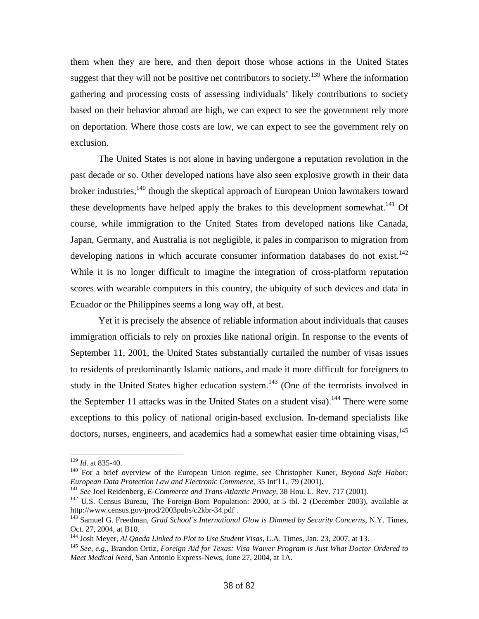them when they are here, and then deport those whose actions in the United States suggest that they will not be positive net contributors to society.<sup>139</sup> Where the information gathering and processing costs of assessing individuals' likely contributions to society based on their behavior abroad are high, we can expect to see the government rely more on deportation. Where those costs are low, we can expect to see the government rely on exclusion.

 The United States is not alone in having undergone a reputation revolution in the past decade or so. Other developed nations have also seen explosive growth in their data broker industries,<sup>140</sup> though the skeptical approach of European Union lawmakers toward these developments have helped apply the brakes to this development somewhat.<sup>141</sup> Of course, while immigration to the United States from developed nations like Canada, Japan, Germany, and Australia is not negligible, it pales in comparison to migration from developing nations in which accurate consumer information databases do not exist.<sup>142</sup> While it is no longer difficult to imagine the integration of cross-platform reputation scores with wearable computers in this country, the ubiquity of such devices and data in Ecuador or the Philippines seems a long way off, at best.

 Yet it is precisely the absence of reliable information about individuals that causes immigration officials to rely on proxies like national origin. In response to the events of September 11, 2001, the United States substantially curtailed the number of visas issues to residents of predominantly Islamic nations, and made it more difficult for foreigners to study in the United States higher education system.<sup>143</sup> (One of the terrorists involved in the September 11 attacks was in the United States on a student visa).<sup>144</sup> There were some exceptions to this policy of national origin-based exclusion. In-demand specialists like doctors, nurses, engineers, and academics had a somewhat easier time obtaining visas, $145$ 

<sup>&</sup>lt;sup>139</sup> *Id.* at 835-40.<br><sup>140</sup> For a brief overview of the European Union regime, see Christopher Kuner, *Beyond Safe Habor: European Data Protection Law and Electronic Commerce*, 35 Int'l L. 79 (2001).

<sup>&</sup>lt;sup>141</sup> See Joel Reidenberg, *E-Commerce and Trans-Atlantic Privacy*, 38 Hou. L. Rev. 717 (2001).<br><sup>142</sup> U.S. Census Bureau, The Foreign-Born Population: 2000, at 5 tbl. 2 (December 2003), available at

http://www.census.gov/prod/2003pubs/c2kbr-34.pdf .

<sup>143</sup> Samuel G. Freedman, *Grad School's International Glow is Dimmed by Security Concerns*, N.Y. Times, Oct. 27, 2004, at B10.

<sup>&</sup>lt;sup>144</sup> Josh Meyer, *Al Qaeda Linked to Plot to Use Student Visas*, L.A. Times, Jan. 23, 2007, at 13.<br><sup>145</sup> *See, e.g.*, Brandon Ortiz, *Foreign Aid for Texas: Visa Waiver Program is Just What Doctor Ordered to Meet Medical Need*, San Antonio Express-News, June 27, 2004, at 1A.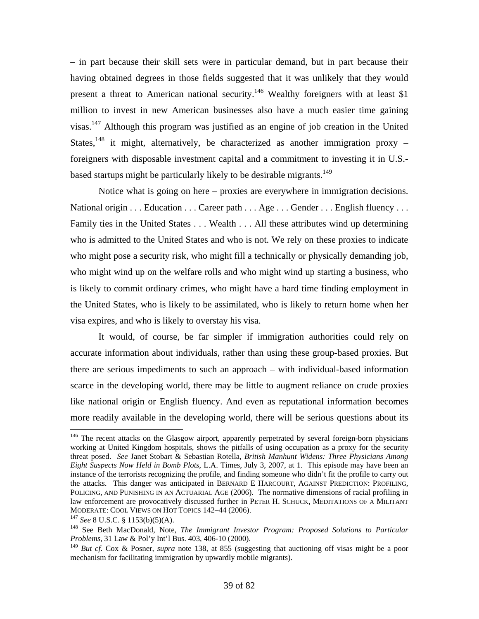– in part because their skill sets were in particular demand, but in part because their having obtained degrees in those fields suggested that it was unlikely that they would present a threat to American national security.<sup>146</sup> Wealthy foreigners with at least \$1 million to invest in new American businesses also have a much easier time gaining visas.<sup>147</sup> Although this program was justified as an engine of job creation in the United States,<sup>148</sup> it might, alternatively, be characterized as another immigration proxy – foreigners with disposable investment capital and a commitment to investing it in U.S. based startups might be particularly likely to be desirable migrants.<sup>149</sup>

 Notice what is going on here – proxies are everywhere in immigration decisions. National origin . . . Education . . . Career path . . . Age . . . Gender . . . English fluency . . . Family ties in the United States . . . Wealth . . . All these attributes wind up determining who is admitted to the United States and who is not. We rely on these proxies to indicate who might pose a security risk, who might fill a technically or physically demanding job, who might wind up on the welfare rolls and who might wind up starting a business, who is likely to commit ordinary crimes, who might have a hard time finding employment in the United States, who is likely to be assimilated, who is likely to return home when her visa expires, and who is likely to overstay his visa.

 It would, of course, be far simpler if immigration authorities could rely on accurate information about individuals, rather than using these group-based proxies. But there are serious impediments to such an approach – with individual-based information scarce in the developing world, there may be little to augment reliance on crude proxies like national origin or English fluency. And even as reputational information becomes more readily available in the developing world, there will be serious questions about its

<sup>&</sup>lt;sup>146</sup> The recent attacks on the Glasgow airport, apparently perpetrated by several foreign-born physicians working at United Kingdom hospitals, shows the pitfalls of using occupation as a proxy for the security threat posed. *See* Janet Stobart & Sebastian Rotella, *British Manhunt Widens: Three Physicians Among Eight Suspects Now Held in Bomb Plots*, L.A. Times, July 3, 2007, at 1. This episode may have been an instance of the terrorists recognizing the profile, and finding someone who didn't fit the profile to carry out the attacks. This danger was anticipated in BERNARD E HARCOURT, AGAINST PREDICTION: PROFILING, POLICING, AND PUNISHING IN AN ACTUARIAL AGE (2006). The normative dimensions of racial profiling in law enforcement are provocatively discussed further in PETER H. SCHUCK, MEDITATIONS OF A MILITANT MODERATE: COOL VIEWS ON HOT TOPICS 142–44 (2006).<br><sup>147</sup> *See* 8 U.S.C. § 1153(b)(5)(A).<br><sup>148</sup> See Beth MacDonald, Note, *The Immigrant Investor Program: Proposed Solutions to Particular* 

*Problems*, 31 Law & Pol'y Int'l Bus. 403, 406-10 (2000).

<sup>149</sup> *But cf*. Cox & Posner, *supra* note 138, at 855 (suggesting that auctioning off visas might be a poor mechanism for facilitating immigration by upwardly mobile migrants).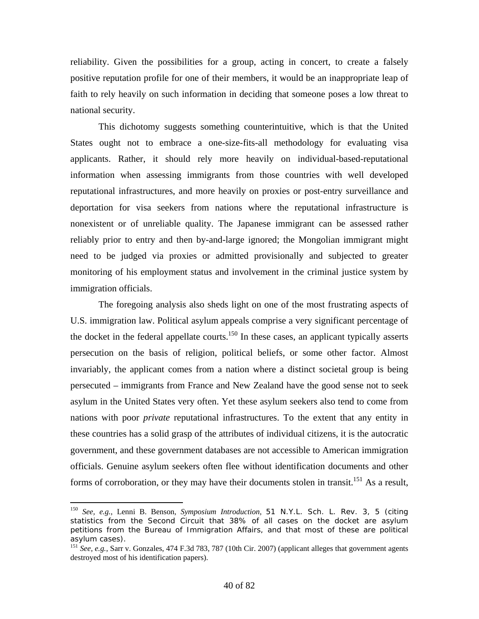reliability. Given the possibilities for a group, acting in concert, to create a falsely positive reputation profile for one of their members, it would be an inappropriate leap of faith to rely heavily on such information in deciding that someone poses a low threat to national security.

 This dichotomy suggests something counterintuitive, which is that the United States ought not to embrace a one-size-fits-all methodology for evaluating visa applicants. Rather, it should rely more heavily on individual-based-reputational information when assessing immigrants from those countries with well developed reputational infrastructures, and more heavily on proxies or post-entry surveillance and deportation for visa seekers from nations where the reputational infrastructure is nonexistent or of unreliable quality. The Japanese immigrant can be assessed rather reliably prior to entry and then by-and-large ignored; the Mongolian immigrant might need to be judged via proxies or admitted provisionally and subjected to greater monitoring of his employment status and involvement in the criminal justice system by immigration officials.

 The foregoing analysis also sheds light on one of the most frustrating aspects of U.S. immigration law. Political asylum appeals comprise a very significant percentage of the docket in the federal appellate courts.<sup>150</sup> In these cases, an applicant typically asserts persecution on the basis of religion, political beliefs, or some other factor. Almost invariably, the applicant comes from a nation where a distinct societal group is being persecuted – immigrants from France and New Zealand have the good sense not to seek asylum in the United States very often. Yet these asylum seekers also tend to come from nations with poor *private* reputational infrastructures. To the extent that any entity in these countries has a solid grasp of the attributes of individual citizens, it is the autocratic government, and these government databases are not accessible to American immigration officials. Genuine asylum seekers often flee without identification documents and other forms of corroboration, or they may have their documents stolen in transit.<sup>151</sup> As a result,

<sup>150</sup> *See, e.g.*, Lenni B. Benson, *Symposium Introduction*, 51 N.Y.L. Sch. L. Rev. 3, 5 (citing statistics from the Second Circuit that 38% of all cases on the docket are asylum petitions from the Bureau of Immigration Affairs, and that most of these are political asylum cases).

<sup>151</sup> *See, e.g.*, Sarr v. Gonzales, 474 F.3d 783, 787 (10th Cir. 2007) (applicant alleges that government agents destroyed most of his identification papers).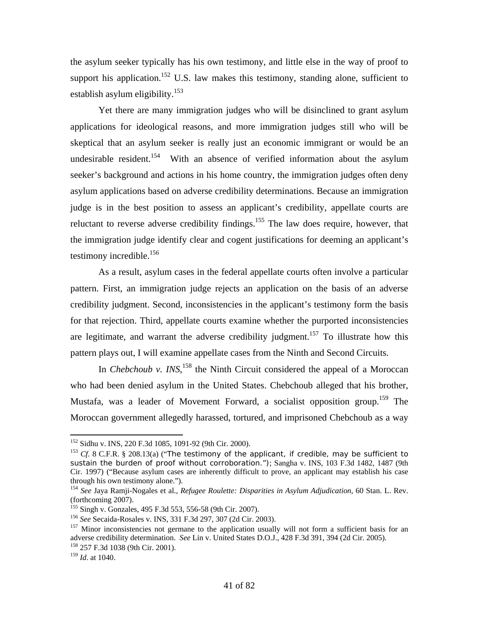the asylum seeker typically has his own testimony, and little else in the way of proof to support his application.<sup>152</sup> U.S. law makes this testimony, standing alone, sufficient to establish asylum eligibility.<sup>153</sup>

 Yet there are many immigration judges who will be disinclined to grant asylum applications for ideological reasons, and more immigration judges still who will be skeptical that an asylum seeker is really just an economic immigrant or would be an undesirable resident.<sup>154</sup> With an absence of verified information about the asylum seeker's background and actions in his home country, the immigration judges often deny asylum applications based on adverse credibility determinations. Because an immigration judge is in the best position to assess an applicant's credibility, appellate courts are reluctant to reverse adverse credibility findings.<sup>155</sup> The law does require, however, that the immigration judge identify clear and cogent justifications for deeming an applicant's testimony incredible. $156$ 

 As a result, asylum cases in the federal appellate courts often involve a particular pattern. First, an immigration judge rejects an application on the basis of an adverse credibility judgment. Second, inconsistencies in the applicant's testimony form the basis for that rejection. Third, appellate courts examine whether the purported inconsistencies are legitimate, and warrant the adverse credibility judgment.<sup>157</sup> To illustrate how this pattern plays out, I will examine appellate cases from the Ninth and Second Circuits.

In *Chebchoub v. INS*<sup>158</sup>, the Ninth Circuit considered the appeal of a Moroccan who had been denied asylum in the United States. Chebchoub alleged that his brother, Mustafa, was a leader of Movement Forward, a socialist opposition group.<sup>159</sup> The Moroccan government allegedly harassed, tortured, and imprisoned Chebchoub as a way

<sup>&</sup>lt;sup>152</sup> Sidhu v. INS, 220 F.3d 1085, 1091-92 (9th Cir. 2000).

<sup>&</sup>lt;sup>153</sup> Cf. 8 C.F.R. § 208.13(a) ("The testimony of the applicant, if credible, may be sufficient to sustain the burden of proof without corroboration."); Sangha v. INS, 103 F.3d 1482, 1487 (9th Cir. 1997) ("Because asylum cases are inherently difficult to prove, an applicant may establish his case through his own testimony alone.").

<sup>154</sup> *See* Jaya Ramji-Nogales et al., *Refugee Roulette: Disparities in Asylum Adjudication*, 60 Stan. L. Rev. (forthcoming 2007).

<sup>&</sup>lt;sup>155</sup> Singh v. Gonzales, 495 F.3d 553, 556-58 (9th Cir. 2007).<br><sup>156</sup> See Secaida-Rosales v. INS, 331 F.3d 297, 307 (2d Cir. 2003).<br><sup>157</sup> Minor inconsistencies not germane to the application usually will not form a suffici adverse credibility determination. *See* Lin v. United States D.O.J., 428 F.3d 391, 394 (2d Cir. 2005). 158 257 F.3d 1038 (9th Cir. 2001).

<sup>159</sup> *Id*. at 1040.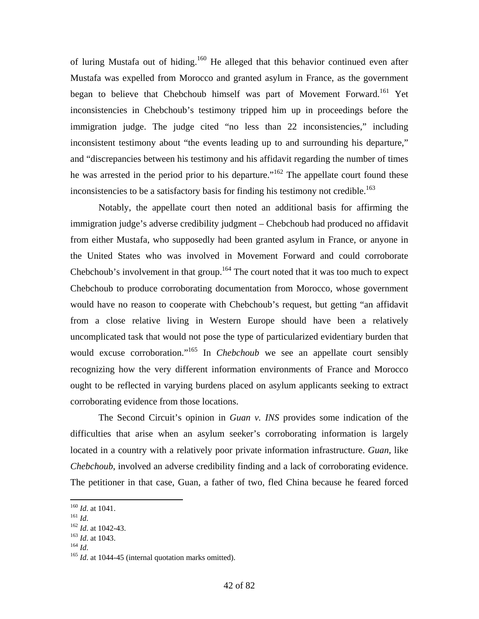of luring Mustafa out of hiding.<sup>160</sup> He alleged that this behavior continued even after Mustafa was expelled from Morocco and granted asylum in France, as the government began to believe that Chebchoub himself was part of Movement Forward.<sup>161</sup> Yet inconsistencies in Chebchoub's testimony tripped him up in proceedings before the immigration judge. The judge cited "no less than 22 inconsistencies," including inconsistent testimony about "the events leading up to and surrounding his departure," and "discrepancies between his testimony and his affidavit regarding the number of times he was arrested in the period prior to his departure."<sup>162</sup> The appellate court found these inconsistencies to be a satisfactory basis for finding his testimony not credible.<sup>163</sup>

 Notably, the appellate court then noted an additional basis for affirming the immigration judge's adverse credibility judgment – Chebchoub had produced no affidavit from either Mustafa, who supposedly had been granted asylum in France, or anyone in the United States who was involved in Movement Forward and could corroborate Chebchoub's involvement in that group.<sup>164</sup> The court noted that it was too much to expect Chebchoub to produce corroborating documentation from Morocco, whose government would have no reason to cooperate with Chebchoub's request, but getting "an affidavit from a close relative living in Western Europe should have been a relatively uncomplicated task that would not pose the type of particularized evidentiary burden that would excuse corroboration."<sup>165</sup> In *Chebchoub* we see an appellate court sensibly recognizing how the very different information environments of France and Morocco ought to be reflected in varying burdens placed on asylum applicants seeking to extract corroborating evidence from those locations.

 The Second Circuit's opinion in *Guan v. INS* provides some indication of the difficulties that arise when an asylum seeker's corroborating information is largely located in a country with a relatively poor private information infrastructure. *Guan*, like *Chebchoub*, involved an adverse credibility finding and a lack of corroborating evidence. The petitioner in that case, Guan, a father of two, fled China because he feared forced

 $160$  *Id.* at 1041.

<sup>161</sup> *Id.* 162 *Id.* at 1042-43.<br><sup>163</sup> *Id.* at 1043.<br><sup>164</sup> *Id.* at 1044-45 (internal quotation marks omitted).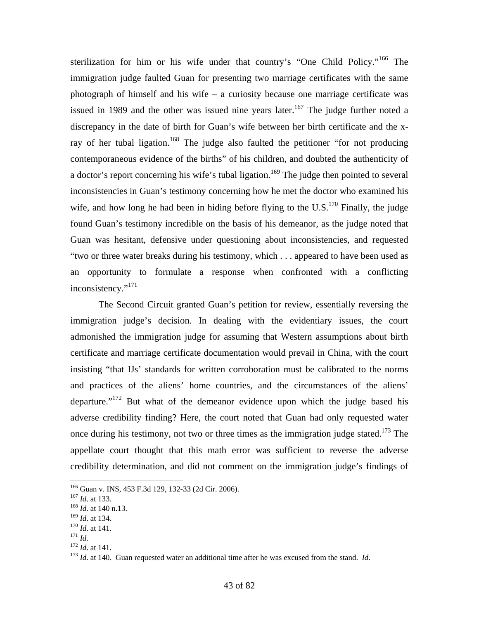sterilization for him or his wife under that country's "One Child Policy."166 The immigration judge faulted Guan for presenting two marriage certificates with the same photograph of himself and his wife – a curiosity because one marriage certificate was issued in 1989 and the other was issued nine years later.<sup>167</sup> The judge further noted a discrepancy in the date of birth for Guan's wife between her birth certificate and the xray of her tubal ligation.<sup>168</sup> The judge also faulted the petitioner "for not producing contemporaneous evidence of the births" of his children, and doubted the authenticity of a doctor's report concerning his wife's tubal ligation.<sup>169</sup> The judge then pointed to several inconsistencies in Guan's testimony concerning how he met the doctor who examined his wife, and how long he had been in hiding before flying to the U.S.<sup>170</sup> Finally, the judge found Guan's testimony incredible on the basis of his demeanor, as the judge noted that Guan was hesitant, defensive under questioning about inconsistencies, and requested "two or three water breaks during his testimony, which . . . appeared to have been used as an opportunity to formulate a response when confronted with a conflicting inconsistency."<sup>171</sup>

 The Second Circuit granted Guan's petition for review, essentially reversing the immigration judge's decision. In dealing with the evidentiary issues, the court admonished the immigration judge for assuming that Western assumptions about birth certificate and marriage certificate documentation would prevail in China, with the court insisting "that IJs' standards for written corroboration must be calibrated to the norms and practices of the aliens' home countries, and the circumstances of the aliens' departure."172 But what of the demeanor evidence upon which the judge based his adverse credibility finding? Here, the court noted that Guan had only requested water once during his testimony, not two or three times as the immigration judge stated.<sup>173</sup> The appellate court thought that this math error was sufficient to reverse the adverse credibility determination, and did not comment on the immigration judge's findings of

<sup>&</sup>lt;sup>166</sup> Guan v. INS, 453 F.3d 129, 132-33 (2d Cir. 2006).<br><sup>167</sup> *Id*. at 133.<br><sup>168</sup> *Id*. at 140 n.13.

<sup>169</sup> *Id.* at 134.<br>
<sup>170</sup> *Id.* at 141.<br>
<sup>171</sup> *Id.* 172 *Id.* at 141.<br>
<sup>173</sup> *Id.* at 140. Guan requested water an additional time after he was excused from the stand. *Id.*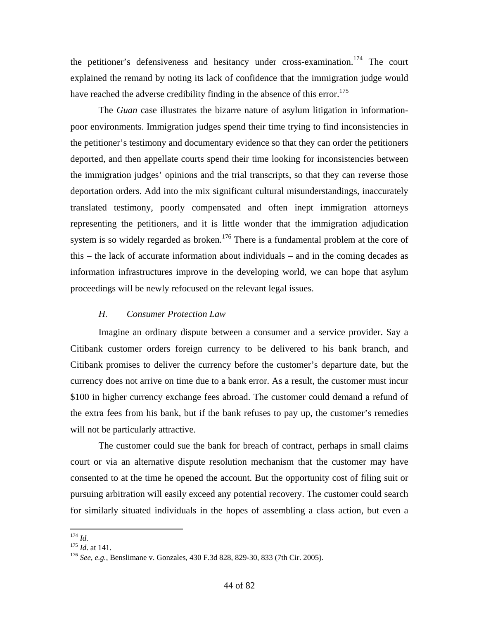the petitioner's defensiveness and hesitancy under cross-examination.<sup>174</sup> The court explained the remand by noting its lack of confidence that the immigration judge would have reached the adverse credibility finding in the absence of this error.<sup>175</sup>

 The *Guan* case illustrates the bizarre nature of asylum litigation in informationpoor environments. Immigration judges spend their time trying to find inconsistencies in the petitioner's testimony and documentary evidence so that they can order the petitioners deported, and then appellate courts spend their time looking for inconsistencies between the immigration judges' opinions and the trial transcripts, so that they can reverse those deportation orders. Add into the mix significant cultural misunderstandings, inaccurately translated testimony, poorly compensated and often inept immigration attorneys representing the petitioners, and it is little wonder that the immigration adjudication system is so widely regarded as broken.<sup>176</sup> There is a fundamental problem at the core of this – the lack of accurate information about individuals – and in the coming decades as information infrastructures improve in the developing world, we can hope that asylum proceedings will be newly refocused on the relevant legal issues.

# *H. Consumer Protection Law*

 Imagine an ordinary dispute between a consumer and a service provider. Say a Citibank customer orders foreign currency to be delivered to his bank branch, and Citibank promises to deliver the currency before the customer's departure date, but the currency does not arrive on time due to a bank error. As a result, the customer must incur \$100 in higher currency exchange fees abroad. The customer could demand a refund of the extra fees from his bank, but if the bank refuses to pay up, the customer's remedies will not be particularly attractive.

 The customer could sue the bank for breach of contract, perhaps in small claims court or via an alternative dispute resolution mechanism that the customer may have consented to at the time he opened the account. But the opportunity cost of filing suit or pursuing arbitration will easily exceed any potential recovery. The customer could search for similarly situated individuals in the hopes of assembling a class action, but even a

 $174$  *Id.* 

<sup>&</sup>lt;sup>175</sup> *Id.* at 141.<br><sup>176</sup> *See, e.g.*, Benslimane v. Gonzales, 430 F.3d 828, 829-30, 833 (7th Cir. 2005).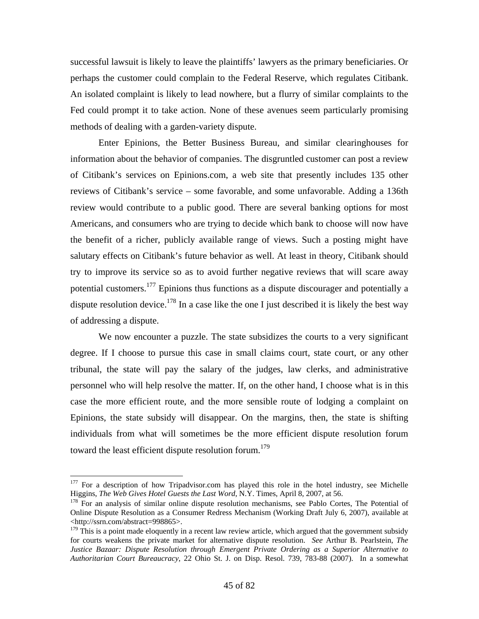successful lawsuit is likely to leave the plaintiffs' lawyers as the primary beneficiaries. Or perhaps the customer could complain to the Federal Reserve, which regulates Citibank. An isolated complaint is likely to lead nowhere, but a flurry of similar complaints to the Fed could prompt it to take action. None of these avenues seem particularly promising methods of dealing with a garden-variety dispute.

 Enter Epinions, the Better Business Bureau, and similar clearinghouses for information about the behavior of companies. The disgruntled customer can post a review of Citibank's services on Epinions.com, a web site that presently includes 135 other reviews of Citibank's service – some favorable, and some unfavorable. Adding a 136th review would contribute to a public good. There are several banking options for most Americans, and consumers who are trying to decide which bank to choose will now have the benefit of a richer, publicly available range of views. Such a posting might have salutary effects on Citibank's future behavior as well. At least in theory, Citibank should try to improve its service so as to avoid further negative reviews that will scare away potential customers.<sup>177</sup> Epinions thus functions as a dispute discourager and potentially a dispute resolution device.<sup>178</sup> In a case like the one I just described it is likely the best way of addressing a dispute.

 We now encounter a puzzle. The state subsidizes the courts to a very significant degree. If I choose to pursue this case in small claims court, state court, or any other tribunal, the state will pay the salary of the judges, law clerks, and administrative personnel who will help resolve the matter. If, on the other hand, I choose what is in this case the more efficient route, and the more sensible route of lodging a complaint on Epinions, the state subsidy will disappear. On the margins, then, the state is shifting individuals from what will sometimes be the more efficient dispute resolution forum toward the least efficient dispute resolution forum.<sup>179</sup>

<sup>&</sup>lt;sup>177</sup> For a description of how Tripadvisor.com has played this role in the hotel industry, see Michelle Higgins, *The Web Gives Hotel Guests the Last Word*, N.Y. Times, April 8, 2007, at 56. <sup>178</sup> For an analysis of similar online dispute resolution mechanisms, see Pablo Cortes, The Potential of

Online Dispute Resolution as a Consumer Redress Mechanism (Working Draft July 6, 2007), available at <http://ssrn.com/abstract=998865>.

 $179$  This is a point made eloquently in a recent law review article, which argued that the government subsidy for courts weakens the private market for alternative dispute resolution. *See* Arthur B. Pearlstein, *The Justice Bazaar: Dispute Resolution through Emergent Private Ordering as a Superior Alternative to Authoritarian Court Bureaucracy*, 22 Ohio St. J. on Disp. Resol. 739, 783-88 (2007). In a somewhat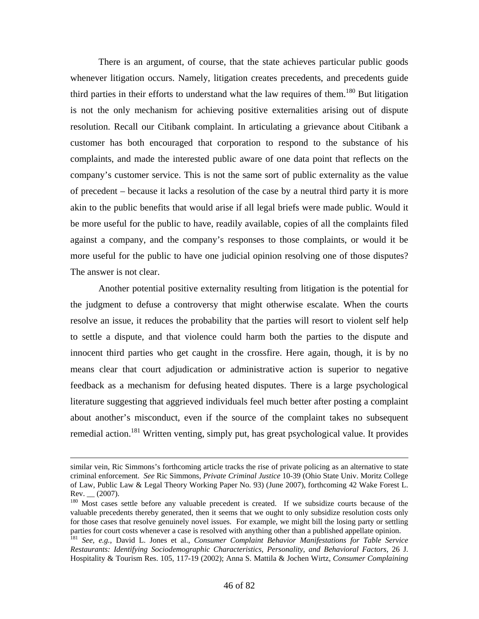There is an argument, of course, that the state achieves particular public goods whenever litigation occurs. Namely, litigation creates precedents, and precedents guide third parties in their efforts to understand what the law requires of them.<sup>180</sup> But litigation is not the only mechanism for achieving positive externalities arising out of dispute resolution. Recall our Citibank complaint. In articulating a grievance about Citibank a customer has both encouraged that corporation to respond to the substance of his complaints, and made the interested public aware of one data point that reflects on the company's customer service. This is not the same sort of public externality as the value of precedent – because it lacks a resolution of the case by a neutral third party it is more akin to the public benefits that would arise if all legal briefs were made public. Would it be more useful for the public to have, readily available, copies of all the complaints filed against a company, and the company's responses to those complaints, or would it be more useful for the public to have one judicial opinion resolving one of those disputes? The answer is not clear.

 Another potential positive externality resulting from litigation is the potential for the judgment to defuse a controversy that might otherwise escalate. When the courts resolve an issue, it reduces the probability that the parties will resort to violent self help to settle a dispute, and that violence could harm both the parties to the dispute and innocent third parties who get caught in the crossfire. Here again, though, it is by no means clear that court adjudication or administrative action is superior to negative feedback as a mechanism for defusing heated disputes. There is a large psychological literature suggesting that aggrieved individuals feel much better after posting a complaint about another's misconduct, even if the source of the complaint takes no subsequent remedial action.<sup>181</sup> Written venting, simply put, has great psychological value. It provides

similar vein, Ric Simmons's forthcoming article tracks the rise of private policing as an alternative to state criminal enforcement. *See* Ric Simmons, *Private Criminal Justice* 10-39 (Ohio State Univ. Moritz College of Law, Public Law & Legal Theory Working Paper No. 93) (June 2007), forthcoming 42 Wake Forest L.  $Rev.$  (2007).

<sup>&</sup>lt;sup>180</sup> Most cases settle before any valuable precedent is created. If we subsidize courts because of the valuable precedents thereby generated, then it seems that we ought to only subsidize resolution costs only for those cases that resolve genuinely novel issues. For example, we might bill the losing party or settling

<sup>&</sup>lt;sup>181</sup> See, e.g., David L. Jones et al., *Consumer Complaint Behavior Manifestations for Table Service Restaurants: Identifying Sociodemographic Characteristics, Personality, and Behavioral Factors*, 26 J. Hospitality & Tourism Res. 105, 117-19 (2002); Anna S. Mattila & Jochen Wirtz, *Consumer Complaining*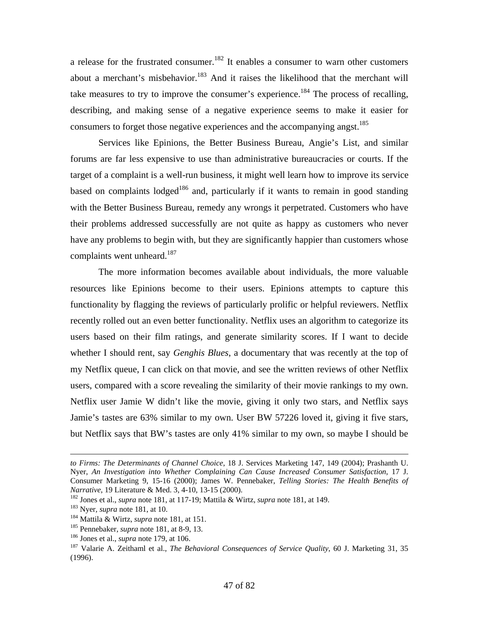a release for the frustrated consumer.<sup>182</sup> It enables a consumer to warn other customers about a merchant's misbehavior.<sup>183</sup> And it raises the likelihood that the merchant will take measures to try to improve the consumer's experience.<sup>184</sup> The process of recalling, describing, and making sense of a negative experience seems to make it easier for consumers to forget those negative experiences and the accompanying angst.<sup>185</sup>

 Services like Epinions, the Better Business Bureau, Angie's List, and similar forums are far less expensive to use than administrative bureaucracies or courts. If the target of a complaint is a well-run business, it might well learn how to improve its service based on complaints lodged<sup>186</sup> and, particularly if it wants to remain in good standing with the Better Business Bureau, remedy any wrongs it perpetrated. Customers who have their problems addressed successfully are not quite as happy as customers who never have any problems to begin with, but they are significantly happier than customers whose complaints went unheard. $187$ 

 The more information becomes available about individuals, the more valuable resources like Epinions become to their users. Epinions attempts to capture this functionality by flagging the reviews of particularly prolific or helpful reviewers. Netflix recently rolled out an even better functionality. Netflix uses an algorithm to categorize its users based on their film ratings, and generate similarity scores. If I want to decide whether I should rent, say *Genghis Blues*, a documentary that was recently at the top of my Netflix queue, I can click on that movie, and see the written reviews of other Netflix users, compared with a score revealing the similarity of their movie rankings to my own. Netflix user Jamie W didn't like the movie, giving it only two stars, and Netflix says Jamie's tastes are 63% similar to my own. User BW 57226 loved it, giving it five stars, but Netflix says that BW's tastes are only 41% similar to my own, so maybe I should be

*to Firms: The Determinants of Channel Choice*, 18 J. Services Marketing 147, 149 (2004); Prashanth U. Nyer, *An Investigation into Whether Complaining Can Cause Increased Consumer Satisfaction*, 17 J. Consumer Marketing 9, 15-16 (2000); James W. Pennebaker, *Telling Stories: The Health Benefits of* 

<sup>&</sup>lt;sup>182</sup> Jones et al., *supra* note 181, at 117-19; Mattila & Wirtz, *supra* note 181, at 149.<br><sup>183</sup> Nyer, *supra* note 181, at 10.<br><sup>184</sup> Mattila & Wirtz, *supra* note 181, at 151.<br><sup>185</sup> Pennebaker, *supra* note 181, at 8-9, (1996).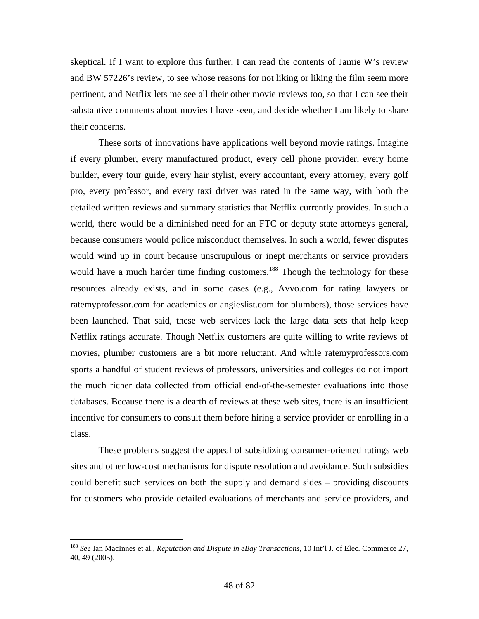skeptical. If I want to explore this further, I can read the contents of Jamie W's review and BW 57226's review, to see whose reasons for not liking or liking the film seem more pertinent, and Netflix lets me see all their other movie reviews too, so that I can see their substantive comments about movies I have seen, and decide whether I am likely to share their concerns.

 These sorts of innovations have applications well beyond movie ratings. Imagine if every plumber, every manufactured product, every cell phone provider, every home builder, every tour guide, every hair stylist, every accountant, every attorney, every golf pro, every professor, and every taxi driver was rated in the same way, with both the detailed written reviews and summary statistics that Netflix currently provides. In such a world, there would be a diminished need for an FTC or deputy state attorneys general, because consumers would police misconduct themselves. In such a world, fewer disputes would wind up in court because unscrupulous or inept merchants or service providers would have a much harder time finding customers.<sup>188</sup> Though the technology for these resources already exists, and in some cases (e.g., Avvo.com for rating lawyers or ratemyprofessor.com for academics or angieslist.com for plumbers), those services have been launched. That said, these web services lack the large data sets that help keep Netflix ratings accurate. Though Netflix customers are quite willing to write reviews of movies, plumber customers are a bit more reluctant. And while ratemyprofessors.com sports a handful of student reviews of professors, universities and colleges do not import the much richer data collected from official end-of-the-semester evaluations into those databases. Because there is a dearth of reviews at these web sites, there is an insufficient incentive for consumers to consult them before hiring a service provider or enrolling in a class.

 These problems suggest the appeal of subsidizing consumer-oriented ratings web sites and other low-cost mechanisms for dispute resolution and avoidance. Such subsidies could benefit such services on both the supply and demand sides – providing discounts for customers who provide detailed evaluations of merchants and service providers, and

<sup>188</sup> *See* Ian MacInnes et al., *Reputation and Dispute in eBay Transactions*, 10 Int'l J. of Elec. Commerce 27, 40, 49 (2005).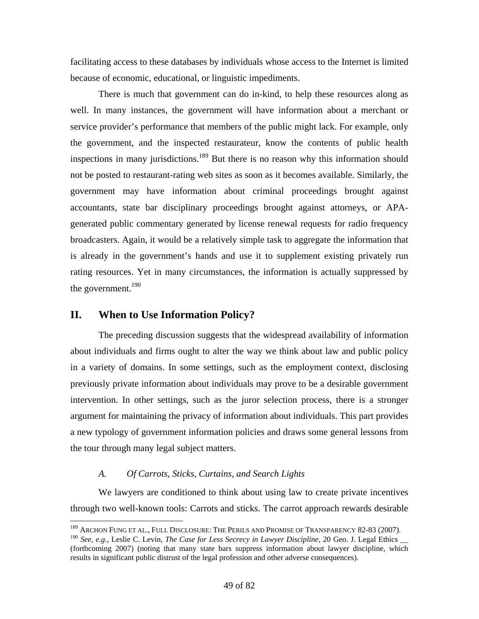facilitating access to these databases by individuals whose access to the Internet is limited because of economic, educational, or linguistic impediments.

 There is much that government can do in-kind, to help these resources along as well. In many instances, the government will have information about a merchant or service provider's performance that members of the public might lack. For example, only the government, and the inspected restaurateur, know the contents of public health inspections in many jurisdictions.<sup>189</sup> But there is no reason why this information should not be posted to restaurant-rating web sites as soon as it becomes available. Similarly, the government may have information about criminal proceedings brought against accountants, state bar disciplinary proceedings brought against attorneys, or APAgenerated public commentary generated by license renewal requests for radio frequency broadcasters. Again, it would be a relatively simple task to aggregate the information that is already in the government's hands and use it to supplement existing privately run rating resources. Yet in many circumstances, the information is actually suppressed by the government.<sup>190</sup>

# **II. When to Use Information Policy?**

 $\overline{a}$ 

 The preceding discussion suggests that the widespread availability of information about individuals and firms ought to alter the way we think about law and public policy in a variety of domains. In some settings, such as the employment context, disclosing previously private information about individuals may prove to be a desirable government intervention. In other settings, such as the juror selection process, there is a stronger argument for maintaining the privacy of information about individuals. This part provides a new typology of government information policies and draws some general lessons from the tour through many legal subject matters.

### *A. Of Carrots, Sticks, Curtains, and Search Lights*

 We lawyers are conditioned to think about using law to create private incentives through two well-known tools: Carrots and sticks. The carrot approach rewards desirable

<sup>&</sup>lt;sup>189</sup> Archon Fung et al., Full Disclosure: The Perils and Promise of Transparency 82-83 (2007).

<sup>190</sup> *See, e.g.*, Leslie C. Levin, *The Case for Less Secrecy in Lawyer Discipline*, 20 Geo. J. Legal Ethics \_\_ (forthcoming 2007) (noting that many state bars suppress information about lawyer discipline, which results in significant public distrust of the legal profession and other adverse consequences).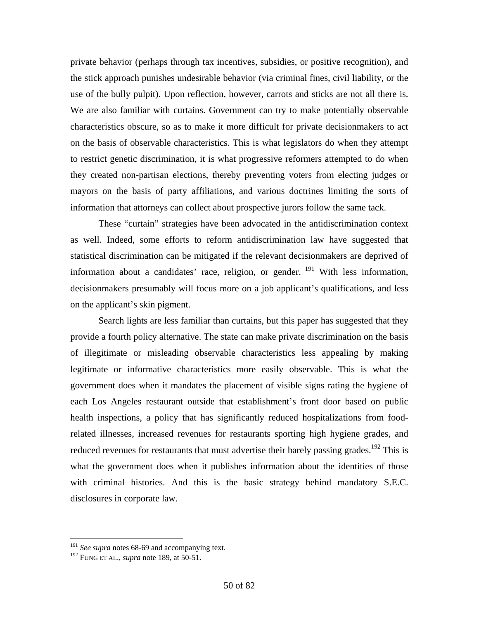private behavior (perhaps through tax incentives, subsidies, or positive recognition), and the stick approach punishes undesirable behavior (via criminal fines, civil liability, or the use of the bully pulpit). Upon reflection, however, carrots and sticks are not all there is. We are also familiar with curtains. Government can try to make potentially observable characteristics obscure, so as to make it more difficult for private decisionmakers to act on the basis of observable characteristics. This is what legislators do when they attempt to restrict genetic discrimination, it is what progressive reformers attempted to do when they created non-partisan elections, thereby preventing voters from electing judges or mayors on the basis of party affiliations, and various doctrines limiting the sorts of information that attorneys can collect about prospective jurors follow the same tack.

 These "curtain" strategies have been advocated in the antidiscrimination context as well. Indeed, some efforts to reform antidiscrimination law have suggested that statistical discrimination can be mitigated if the relevant decisionmakers are deprived of information about a candidates' race, religion, or gender. 191 With less information, decisionmakers presumably will focus more on a job applicant's qualifications, and less on the applicant's skin pigment.

 Search lights are less familiar than curtains, but this paper has suggested that they provide a fourth policy alternative. The state can make private discrimination on the basis of illegitimate or misleading observable characteristics less appealing by making legitimate or informative characteristics more easily observable. This is what the government does when it mandates the placement of visible signs rating the hygiene of each Los Angeles restaurant outside that establishment's front door based on public health inspections, a policy that has significantly reduced hospitalizations from foodrelated illnesses, increased revenues for restaurants sporting high hygiene grades, and reduced revenues for restaurants that must advertise their barely passing grades.<sup>192</sup> This is what the government does when it publishes information about the identities of those with criminal histories. And this is the basic strategy behind mandatory S.E.C. disclosures in corporate law.

<u>.</u>

<sup>&</sup>lt;sup>191</sup> See supra notes 68-69 and accompanying text.

<sup>192</sup> FUNG ET AL., *supra* note 189, at 50-51.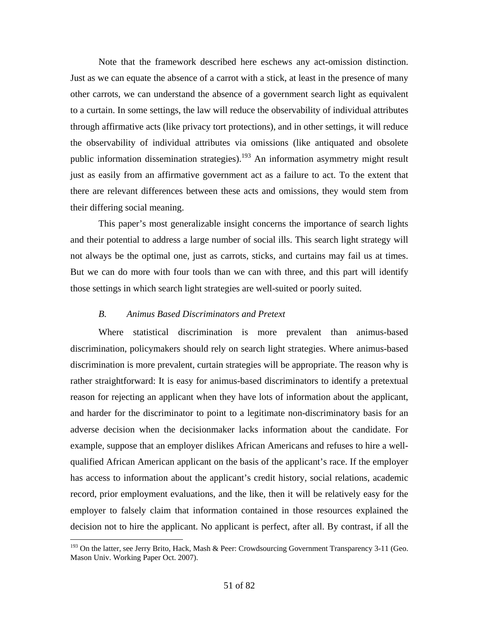Note that the framework described here eschews any act-omission distinction. Just as we can equate the absence of a carrot with a stick, at least in the presence of many other carrots, we can understand the absence of a government search light as equivalent to a curtain. In some settings, the law will reduce the observability of individual attributes through affirmative acts (like privacy tort protections), and in other settings, it will reduce the observability of individual attributes via omissions (like antiquated and obsolete public information dissemination strategies).<sup>193</sup> An information asymmetry might result just as easily from an affirmative government act as a failure to act. To the extent that there are relevant differences between these acts and omissions, they would stem from their differing social meaning.

 This paper's most generalizable insight concerns the importance of search lights and their potential to address a large number of social ills. This search light strategy will not always be the optimal one, just as carrots, sticks, and curtains may fail us at times. But we can do more with four tools than we can with three, and this part will identify those settings in which search light strategies are well-suited or poorly suited.

### *B. Animus Based Discriminators and Pretext*

1

 Where statistical discrimination is more prevalent than animus-based discrimination, policymakers should rely on search light strategies. Where animus-based discrimination is more prevalent, curtain strategies will be appropriate. The reason why is rather straightforward: It is easy for animus-based discriminators to identify a pretextual reason for rejecting an applicant when they have lots of information about the applicant, and harder for the discriminator to point to a legitimate non-discriminatory basis for an adverse decision when the decisionmaker lacks information about the candidate. For example, suppose that an employer dislikes African Americans and refuses to hire a wellqualified African American applicant on the basis of the applicant's race. If the employer has access to information about the applicant's credit history, social relations, academic record, prior employment evaluations, and the like, then it will be relatively easy for the employer to falsely claim that information contained in those resources explained the decision not to hire the applicant. No applicant is perfect, after all. By contrast, if all the

 $193$  On the latter, see Jerry Brito, Hack, Mash & Peer: Crowdsourcing Government Transparency 3-11 (Geo. Mason Univ. Working Paper Oct. 2007).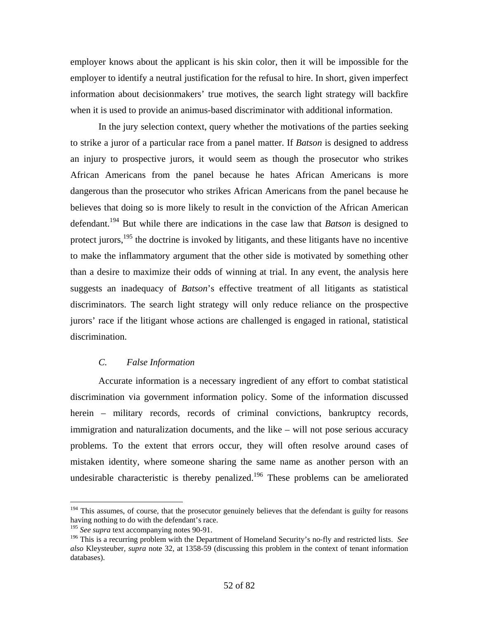employer knows about the applicant is his skin color, then it will be impossible for the employer to identify a neutral justification for the refusal to hire. In short, given imperfect information about decisionmakers' true motives, the search light strategy will backfire when it is used to provide an animus-based discriminator with additional information.

 In the jury selection context, query whether the motivations of the parties seeking to strike a juror of a particular race from a panel matter. If *Batson* is designed to address an injury to prospective jurors, it would seem as though the prosecutor who strikes African Americans from the panel because he hates African Americans is more dangerous than the prosecutor who strikes African Americans from the panel because he believes that doing so is more likely to result in the conviction of the African American defendant.194 But while there are indications in the case law that *Batson* is designed to protect jurors, $195$  the doctrine is invoked by litigants, and these litigants have no incentive to make the inflammatory argument that the other side is motivated by something other than a desire to maximize their odds of winning at trial. In any event, the analysis here suggests an inadequacy of *Batson*'s effective treatment of all litigants as statistical discriminators. The search light strategy will only reduce reliance on the prospective jurors' race if the litigant whose actions are challenged is engaged in rational, statistical discrimination.

# *C. False Information*

 Accurate information is a necessary ingredient of any effort to combat statistical discrimination via government information policy. Some of the information discussed herein – military records, records of criminal convictions, bankruptcy records, immigration and naturalization documents, and the like – will not pose serious accuracy problems. To the extent that errors occur, they will often resolve around cases of mistaken identity, where someone sharing the same name as another person with an undesirable characteristic is thereby penalized.<sup>196</sup> These problems can be ameliorated

<sup>&</sup>lt;sup>194</sup> This assumes, of course, that the prosecutor genuinely believes that the defendant is guilty for reasons having nothing to do with the defendant's race.

<sup>195</sup> *See supra* text accompanying notes 90-91.

<sup>196</sup> This is a recurring problem with the Department of Homeland Security's no-fly and restricted lists. *See also* Kleysteuber*, supra* note 32, at 1358-59 (discussing this problem in the context of tenant information databases).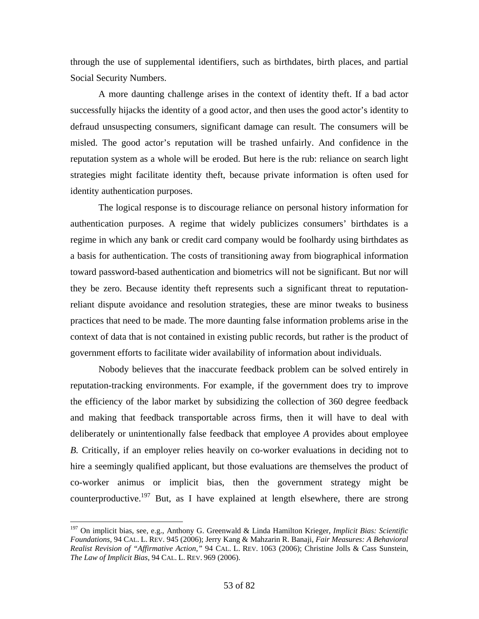through the use of supplemental identifiers, such as birthdates, birth places, and partial Social Security Numbers.

 A more daunting challenge arises in the context of identity theft. If a bad actor successfully hijacks the identity of a good actor, and then uses the good actor's identity to defraud unsuspecting consumers, significant damage can result. The consumers will be misled. The good actor's reputation will be trashed unfairly. And confidence in the reputation system as a whole will be eroded. But here is the rub: reliance on search light strategies might facilitate identity theft, because private information is often used for identity authentication purposes.

 The logical response is to discourage reliance on personal history information for authentication purposes. A regime that widely publicizes consumers' birthdates is a regime in which any bank or credit card company would be foolhardy using birthdates as a basis for authentication. The costs of transitioning away from biographical information toward password-based authentication and biometrics will not be significant. But nor will they be zero. Because identity theft represents such a significant threat to reputationreliant dispute avoidance and resolution strategies, these are minor tweaks to business practices that need to be made. The more daunting false information problems arise in the context of data that is not contained in existing public records, but rather is the product of government efforts to facilitate wider availability of information about individuals.

 Nobody believes that the inaccurate feedback problem can be solved entirely in reputation-tracking environments. For example, if the government does try to improve the efficiency of the labor market by subsidizing the collection of 360 degree feedback and making that feedback transportable across firms, then it will have to deal with deliberately or unintentionally false feedback that employee *A* provides about employee *B.* Critically, if an employer relies heavily on co-worker evaluations in deciding not to hire a seemingly qualified applicant, but those evaluations are themselves the product of co-worker animus or implicit bias, then the government strategy might be counterproductive.<sup>197</sup> But, as I have explained at length elsewhere, there are strong

<sup>197</sup> On implicit bias, see, e.g., Anthony G. Greenwald & Linda Hamilton Krieger, *Implicit Bias: Scientific Foundations*, 94 CAL. L. REV. 945 (2006); Jerry Kang & Mahzarin R. Banaji, *Fair Measures: A Behavioral Realist Revision of "Affirmative Action,"* 94 CAL. L. REV. 1063 (2006); Christine Jolls & Cass Sunstein, *The Law of Implicit Bias*, 94 CAL. L. REV. 969 (2006).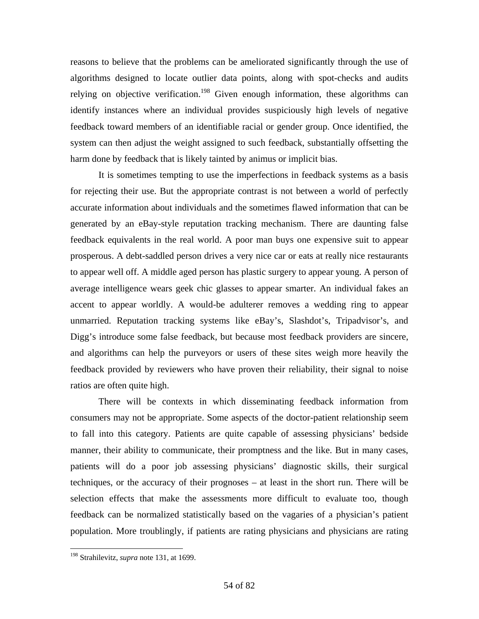reasons to believe that the problems can be ameliorated significantly through the use of algorithms designed to locate outlier data points, along with spot-checks and audits relying on objective verification.<sup>198</sup> Given enough information, these algorithms can identify instances where an individual provides suspiciously high levels of negative feedback toward members of an identifiable racial or gender group. Once identified, the system can then adjust the weight assigned to such feedback, substantially offsetting the harm done by feedback that is likely tainted by animus or implicit bias.

 It is sometimes tempting to use the imperfections in feedback systems as a basis for rejecting their use. But the appropriate contrast is not between a world of perfectly accurate information about individuals and the sometimes flawed information that can be generated by an eBay-style reputation tracking mechanism. There are daunting false feedback equivalents in the real world. A poor man buys one expensive suit to appear prosperous. A debt-saddled person drives a very nice car or eats at really nice restaurants to appear well off. A middle aged person has plastic surgery to appear young. A person of average intelligence wears geek chic glasses to appear smarter. An individual fakes an accent to appear worldly. A would-be adulterer removes a wedding ring to appear unmarried. Reputation tracking systems like eBay's, Slashdot's, Tripadvisor's, and Digg's introduce some false feedback, but because most feedback providers are sincere, and algorithms can help the purveyors or users of these sites weigh more heavily the feedback provided by reviewers who have proven their reliability, their signal to noise ratios are often quite high.

 There will be contexts in which disseminating feedback information from consumers may not be appropriate. Some aspects of the doctor-patient relationship seem to fall into this category. Patients are quite capable of assessing physicians' bedside manner, their ability to communicate, their promptness and the like. But in many cases, patients will do a poor job assessing physicians' diagnostic skills, their surgical techniques, or the accuracy of their prognoses – at least in the short run. There will be selection effects that make the assessments more difficult to evaluate too, though feedback can be normalized statistically based on the vagaries of a physician's patient population. More troublingly, if patients are rating physicians and physicians are rating

<sup>198</sup> Strahilevitz, *supra* note 131, at 1699.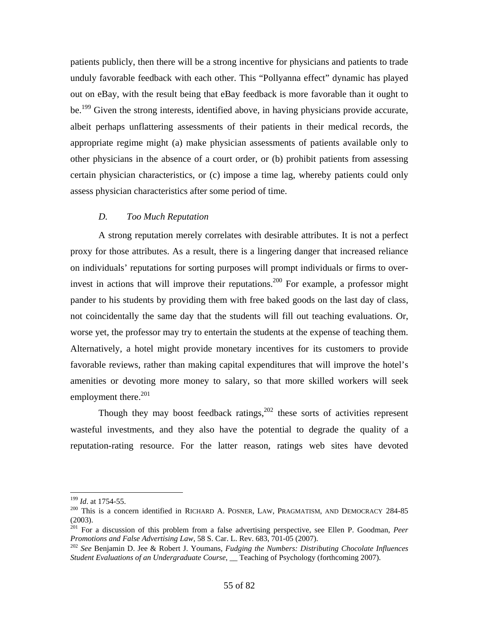patients publicly, then there will be a strong incentive for physicians and patients to trade unduly favorable feedback with each other. This "Pollyanna effect" dynamic has played out on eBay, with the result being that eBay feedback is more favorable than it ought to be.<sup>199</sup> Given the strong interests, identified above, in having physicians provide accurate, albeit perhaps unflattering assessments of their patients in their medical records, the appropriate regime might (a) make physician assessments of patients available only to other physicians in the absence of a court order, or (b) prohibit patients from assessing certain physician characteristics, or (c) impose a time lag, whereby patients could only assess physician characteristics after some period of time.

#### *D. Too Much Reputation*

 A strong reputation merely correlates with desirable attributes. It is not a perfect proxy for those attributes. As a result, there is a lingering danger that increased reliance on individuals' reputations for sorting purposes will prompt individuals or firms to overinvest in actions that will improve their reputations.<sup>200</sup> For example, a professor might pander to his students by providing them with free baked goods on the last day of class, not coincidentally the same day that the students will fill out teaching evaluations. Or, worse yet, the professor may try to entertain the students at the expense of teaching them. Alternatively, a hotel might provide monetary incentives for its customers to provide favorable reviews, rather than making capital expenditures that will improve the hotel's amenities or devoting more money to salary, so that more skilled workers will seek employment there.<sup>201</sup>

Though they may boost feedback ratings,  $202$  these sorts of activities represent wasteful investments, and they also have the potential to degrade the quality of a reputation-rating resource. For the latter reason, ratings web sites have devoted

<sup>&</sup>lt;sup>199</sup> *Id.* at 1754-55.<br><sup>200</sup> This is a concern identified in RICHARD A. POSNER, LAW, PRAGMATISM, AND DEMOCRACY 284-85 (2003).

<sup>&</sup>lt;sup>201</sup> For a discussion of this problem from a false advertising perspective, see Ellen P. Goodman, *Peer Promotions and False Advertising Law*, 58 S. Car. L. Rev. 683, 701-05 (2007).

<sup>&</sup>lt;sup>202</sup> See Benjamin D. Jee & Robert J. Youmans, *Fudging the Numbers: Distributing Chocolate Influences Student Evaluations of an Undergraduate Course*, \_\_ Teaching of Psychology (forthcoming 2007).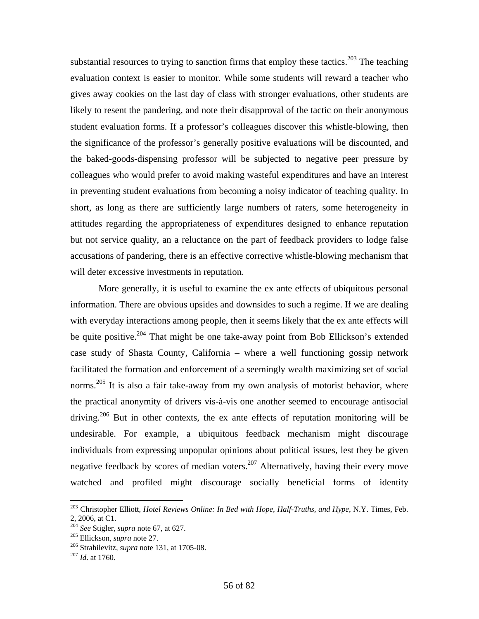substantial resources to trying to sanction firms that employ these tactics.<sup>203</sup> The teaching evaluation context is easier to monitor. While some students will reward a teacher who gives away cookies on the last day of class with stronger evaluations, other students are likely to resent the pandering, and note their disapproval of the tactic on their anonymous student evaluation forms. If a professor's colleagues discover this whistle-blowing, then the significance of the professor's generally positive evaluations will be discounted, and the baked-goods-dispensing professor will be subjected to negative peer pressure by colleagues who would prefer to avoid making wasteful expenditures and have an interest in preventing student evaluations from becoming a noisy indicator of teaching quality. In short, as long as there are sufficiently large numbers of raters, some heterogeneity in attitudes regarding the appropriateness of expenditures designed to enhance reputation but not service quality, an a reluctance on the part of feedback providers to lodge false accusations of pandering, there is an effective corrective whistle-blowing mechanism that will deter excessive investments in reputation.

 More generally, it is useful to examine the ex ante effects of ubiquitous personal information. There are obvious upsides and downsides to such a regime. If we are dealing with everyday interactions among people, then it seems likely that the ex ante effects will be quite positive.<sup>204</sup> That might be one take-away point from Bob Ellickson's extended case study of Shasta County, California – where a well functioning gossip network facilitated the formation and enforcement of a seemingly wealth maximizing set of social norms.<sup>205</sup> It is also a fair take-away from my own analysis of motorist behavior, where the practical anonymity of drivers vis-à-vis one another seemed to encourage antisocial driving.<sup>206</sup> But in other contexts, the ex ante effects of reputation monitoring will be undesirable. For example, a ubiquitous feedback mechanism might discourage individuals from expressing unpopular opinions about political issues, lest they be given negative feedback by scores of median voters.<sup>207</sup> Alternatively, having their every move watched and profiled might discourage socially beneficial forms of identity

<sup>203</sup> Christopher Elliott, *Hotel Reviews Online: In Bed with Hope, Half-Truths, and Hype*, N.Y. Times, Feb. 2, 2006, at C1.<br><sup>204</sup> See Stigler, *supra* note 67, at 627.

<sup>&</sup>lt;sup>205</sup> Ellickson, *supra* note 27.<br><sup>206</sup> Strahilevitz, *supra* note 131, at 1705-08.<br><sup>207</sup> *Id.* at 1760.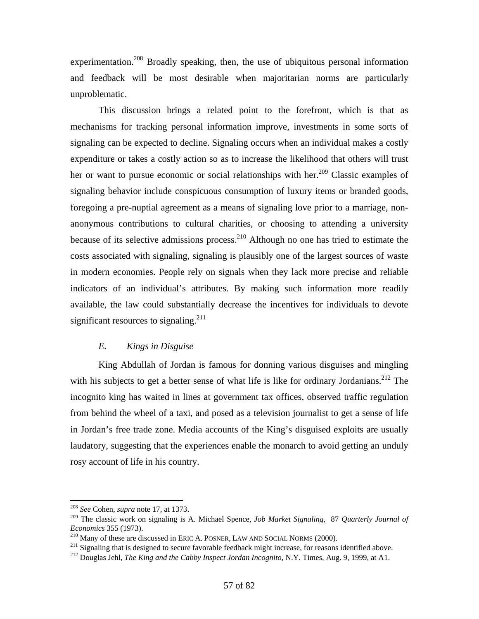experimentation.<sup>208</sup> Broadly speaking, then, the use of ubiquitous personal information and feedback will be most desirable when majoritarian norms are particularly unproblematic.

 This discussion brings a related point to the forefront, which is that as mechanisms for tracking personal information improve, investments in some sorts of signaling can be expected to decline. Signaling occurs when an individual makes a costly expenditure or takes a costly action so as to increase the likelihood that others will trust her or want to pursue economic or social relationships with her.<sup>209</sup> Classic examples of signaling behavior include conspicuous consumption of luxury items or branded goods, foregoing a pre-nuptial agreement as a means of signaling love prior to a marriage, nonanonymous contributions to cultural charities, or choosing to attending a university because of its selective admissions process.<sup>210</sup> Although no one has tried to estimate the costs associated with signaling, signaling is plausibly one of the largest sources of waste in modern economies. People rely on signals when they lack more precise and reliable indicators of an individual's attributes. By making such information more readily available, the law could substantially decrease the incentives for individuals to devote significant resources to signaling.<sup>211</sup>

# *E. Kings in Disguise*

 King Abdullah of Jordan is famous for donning various disguises and mingling with his subjects to get a better sense of what life is like for ordinary Jordanians.<sup>212</sup> The incognito king has waited in lines at government tax offices, observed traffic regulation from behind the wheel of a taxi, and posed as a television journalist to get a sense of life in Jordan's free trade zone. Media accounts of the King's disguised exploits are usually laudatory, suggesting that the experiences enable the monarch to avoid getting an unduly rosy account of life in his country.

<sup>208</sup> *See* Cohen, *supra* note 17, at 1373.

<sup>209</sup> The classic work on signaling is A. Michael Spence, *Job Market Signaling*, 87 *Quarterly Journal of Economics* 355 (1973).<br><sup>210</sup> Many of these are discussed in ERIC A. POSNER, LAW AND SOCIAL NORMS (2000).<br><sup>211</sup> Signaling that is designed to secure favorable feedback might increase, for reasons identified above.<br><sup>212</sup> Do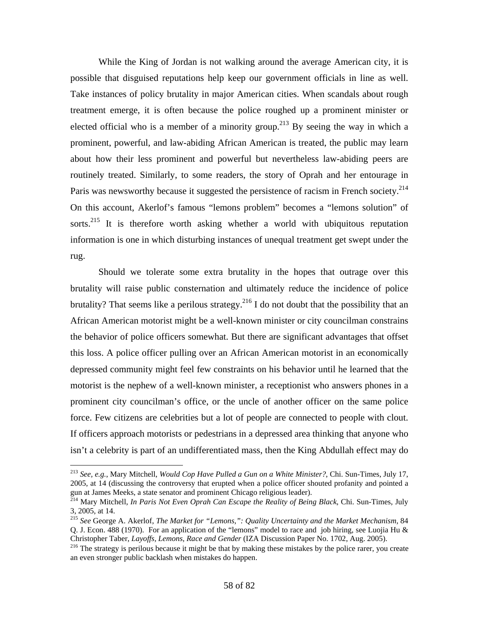While the King of Jordan is not walking around the average American city, it is possible that disguised reputations help keep our government officials in line as well. Take instances of policy brutality in major American cities. When scandals about rough treatment emerge, it is often because the police roughed up a prominent minister or elected official who is a member of a minority group.<sup>213</sup> By seeing the way in which a prominent, powerful, and law-abiding African American is treated, the public may learn about how their less prominent and powerful but nevertheless law-abiding peers are routinely treated. Similarly, to some readers, the story of Oprah and her entourage in Paris was newsworthy because it suggested the persistence of racism in French society.<sup>214</sup> On this account, Akerlof's famous "lemons problem" becomes a "lemons solution" of sorts.<sup>215</sup> It is therefore worth asking whether a world with ubiquitous reputation information is one in which disturbing instances of unequal treatment get swept under the rug.

 Should we tolerate some extra brutality in the hopes that outrage over this brutality will raise public consternation and ultimately reduce the incidence of police brutality? That seems like a perilous strategy.<sup>216</sup> I do not doubt that the possibility that an African American motorist might be a well-known minister or city councilman constrains the behavior of police officers somewhat. But there are significant advantages that offset this loss. A police officer pulling over an African American motorist in an economically depressed community might feel few constraints on his behavior until he learned that the motorist is the nephew of a well-known minister, a receptionist who answers phones in a prominent city councilman's office, or the uncle of another officer on the same police force. Few citizens are celebrities but a lot of people are connected to people with clout. If officers approach motorists or pedestrians in a depressed area thinking that anyone who isn't a celebrity is part of an undifferentiated mass, then the King Abdullah effect may do

<sup>213</sup> *See, e.g.*, Mary Mitchell, *Would Cop Have Pulled a Gun on a White Minister?*, Chi. Sun-Times, July 17, 2005, at 14 (discussing the controversy that erupted when a police officer shouted profanity and pointed a gun at James Meeks, a state senator and prominent Chicago religious leader). 214 Mary Mitchell, *In Paris Not Even Oprah Can Escape the Reality of Being Black*, Chi. Sun-Times, July

<sup>3, 2005,</sup> at 14.

<sup>215</sup> *See* George A. Akerlof, *The Market for "Lemons,": Quality Uncertainty and the Market Mechanism*, 84 Q. J. Econ. 488 (1970). For an application of the "lemons" model to race and job hiring, see Luojia Hu & Christopher Taber, *Layoffs, Lemons, Race and Gender* (IZA Discussion Paper No. 1702, Aug. 2005). 216 The strategy is perilous because it might be that by making these mistakes by the police rarer, you create

an even stronger public backlash when mistakes do happen.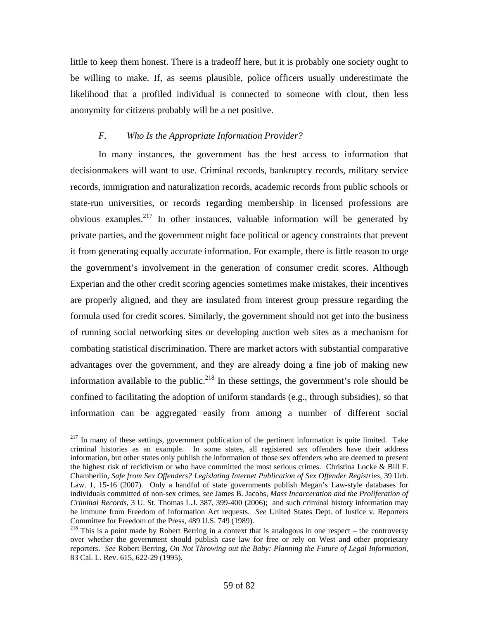little to keep them honest. There is a tradeoff here, but it is probably one society ought to be willing to make. If, as seems plausible, police officers usually underestimate the likelihood that a profiled individual is connected to someone with clout, then less anonymity for citizens probably will be a net positive.

# *F. Who Is the Appropriate Information Provider?*

 In many instances, the government has the best access to information that decisionmakers will want to use. Criminal records, bankruptcy records, military service records, immigration and naturalization records, academic records from public schools or state-run universities, or records regarding membership in licensed professions are obvious examples.<sup>217</sup> In other instances, valuable information will be generated by private parties, and the government might face political or agency constraints that prevent it from generating equally accurate information. For example, there is little reason to urge the government's involvement in the generation of consumer credit scores. Although Experian and the other credit scoring agencies sometimes make mistakes, their incentives are properly aligned, and they are insulated from interest group pressure regarding the formula used for credit scores. Similarly, the government should not get into the business of running social networking sites or developing auction web sites as a mechanism for combating statistical discrimination. There are market actors with substantial comparative advantages over the government, and they are already doing a fine job of making new information available to the public.<sup>218</sup> In these settings, the government's role should be confined to facilitating the adoption of uniform standards (e.g., through subsidies), so that information can be aggregated easily from among a number of different social

 $2^{17}$  In many of these settings, government publication of the pertinent information is quite limited. Take criminal histories as an example. In some states, all registered sex offenders have their address information, but other states only publish the information of those sex offenders who are deemed to present the highest risk of recidivism or who have committed the most serious crimes. Christina Locke & Bill F. Chamberlin, *Safe from Sex Offenders? Legislating Internet Publication of Sex Offender Registries*, 39 Urb. Law. 1, 15-16 (2007). Only a handful of state governments publish Megan's Law-style databases for individuals committed of non-sex crimes, *see* James B. Jacobs, *Mass Incarceration and the Proliferation of Criminal Records*, 3 U. St. Thomas L.J. 387, 399-400 (2006); and such criminal history information may be immune from Freedom of Information Act requests. *See* United States Dept. of Justice v. Reporters Committee for Freedom of the Press, 489 U.S. 749 (1989).

 $218$  This is a point made by Robert Berring in a context that is analogous in one respect – the controversy over whether the government should publish case law for free or rely on West and other proprietary reporters. *See* Robert Berring, *On Not Throwing out the Baby: Planning the Future of Legal Information*, 83 Cal. L. Rev. 615, 622-29 (1995).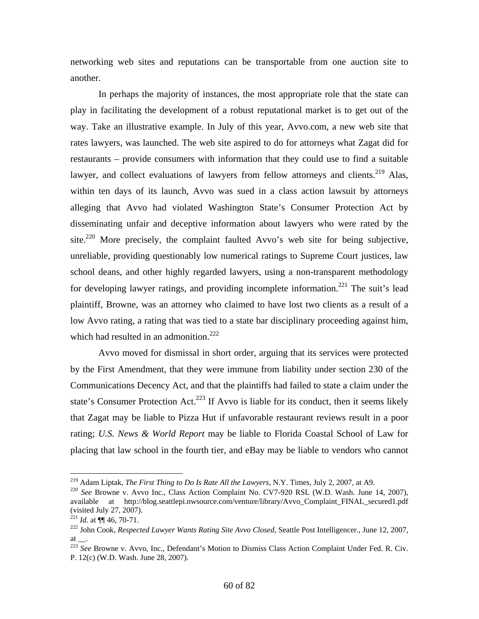networking web sites and reputations can be transportable from one auction site to another.

 In perhaps the majority of instances, the most appropriate role that the state can play in facilitating the development of a robust reputational market is to get out of the way. Take an illustrative example. In July of this year, Avvo.com, a new web site that rates lawyers, was launched. The web site aspired to do for attorneys what Zagat did for restaurants – provide consumers with information that they could use to find a suitable lawyer, and collect evaluations of lawyers from fellow attorneys and clients.<sup>219</sup> Alas, within ten days of its launch, Avvo was sued in a class action lawsuit by attorneys alleging that Avvo had violated Washington State's Consumer Protection Act by disseminating unfair and deceptive information about lawyers who were rated by the site.<sup>220</sup> More precisely, the complaint faulted Avvo's web site for being subjective, unreliable, providing questionably low numerical ratings to Supreme Court justices, law school deans, and other highly regarded lawyers, using a non-transparent methodology for developing lawyer ratings, and providing incomplete information.<sup>221</sup> The suit's lead plaintiff, Browne, was an attorney who claimed to have lost two clients as a result of a low Avvo rating, a rating that was tied to a state bar disciplinary proceeding against him, which had resulted in an admonition.<sup>222</sup>

 Avvo moved for dismissal in short order, arguing that its services were protected by the First Amendment, that they were immune from liability under section 230 of the Communications Decency Act, and that the plaintiffs had failed to state a claim under the state's Consumer Protection Act.<sup>223</sup> If Avvo is liable for its conduct, then it seems likely that Zagat may be liable to Pizza Hut if unfavorable restaurant reviews result in a poor rating; *U.S. News & World Report* may be liable to Florida Coastal School of Law for placing that law school in the fourth tier, and eBay may be liable to vendors who cannot

<sup>&</sup>lt;sup>219</sup> Adam Liptak, *The First Thing to Do Is Rate All the Lawyers*, N.Y. Times, July 2, 2007, at A9.

<sup>&</sup>lt;sup>220</sup> See Browne v. Avvo Inc., Class Action Complaint No. CV7-920 RSL (W.D. Wash. June 14, 2007), available at http://blog.seattlepi.nwsource.com/venture/library/Avvo\_Complaint\_FINAL\_secured1.pdf (visited July 27, 2007).<br> $^{221}$  *Id.* at  $\P\P$  46, 70-71.

<sup>&</sup>lt;sup>222</sup> John Cook, *Respected Lawyer Wants Rating Site Avvo Closed*, Seattle Post Intelligencer., June 12, 2007, at  $\_\_$ .

<sup>&</sup>lt;sup>223</sup> See Browne v. Avvo, Inc., Defendant's Motion to Dismiss Class Action Complaint Under Fed. R. Civ. P. 12(c) (W.D. Wash. June 28, 2007).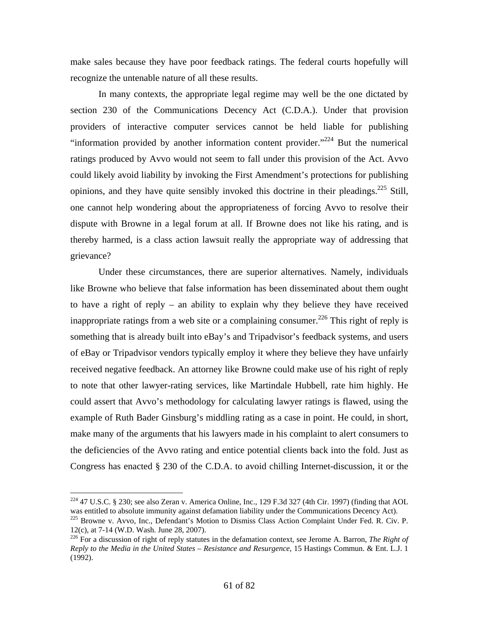make sales because they have poor feedback ratings. The federal courts hopefully will recognize the untenable nature of all these results.

 In many contexts, the appropriate legal regime may well be the one dictated by section 230 of the Communications Decency Act (C.D.A.). Under that provision providers of interactive computer services cannot be held liable for publishing "information provided by another information content provider."<sup>224</sup> But the numerical ratings produced by Avvo would not seem to fall under this provision of the Act. Avvo could likely avoid liability by invoking the First Amendment's protections for publishing opinions, and they have quite sensibly invoked this doctrine in their pleadings.<sup>225</sup> Still, one cannot help wondering about the appropriateness of forcing Avvo to resolve their dispute with Browne in a legal forum at all. If Browne does not like his rating, and is thereby harmed, is a class action lawsuit really the appropriate way of addressing that grievance?

 Under these circumstances, there are superior alternatives. Namely, individuals like Browne who believe that false information has been disseminated about them ought to have a right of reply – an ability to explain why they believe they have received inappropriate ratings from a web site or a complaining consumer.<sup>226</sup> This right of reply is something that is already built into eBay's and Tripadvisor's feedback systems, and users of eBay or Tripadvisor vendors typically employ it where they believe they have unfairly received negative feedback. An attorney like Browne could make use of his right of reply to note that other lawyer-rating services, like Martindale Hubbell, rate him highly. He could assert that Avvo's methodology for calculating lawyer ratings is flawed, using the example of Ruth Bader Ginsburg's middling rating as a case in point. He could, in short, make many of the arguments that his lawyers made in his complaint to alert consumers to the deficiencies of the Avvo rating and entice potential clients back into the fold. Just as Congress has enacted § 230 of the C.D.A. to avoid chilling Internet-discussion, it or the

 $224$  47 U.S.C. § 230; see also Zeran v. America Online, Inc., 129 F.3d 327 (4th Cir. 1997) (finding that AOL was entitled to absolute immunity against defamation liability under the Communications Decency Act).

<sup>&</sup>lt;sup>225</sup> Browne v. Avvo, Inc., Defendant's Motion to Dismiss Class Action Complaint Under Fed. R. Civ. P. 12(c), at 7-14 (W.D. Wash. June 28, 2007).

<sup>226</sup> For a discussion of right of reply statutes in the defamation context, see Jerome A. Barron, *The Right of Reply to the Media in the United States – Resistance and Resurgence*, 15 Hastings Commun. & Ent. L.J. 1 (1992).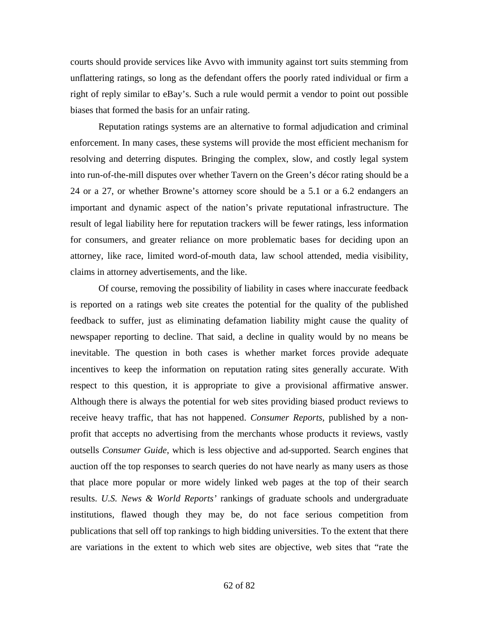courts should provide services like Avvo with immunity against tort suits stemming from unflattering ratings, so long as the defendant offers the poorly rated individual or firm a right of reply similar to eBay's. Such a rule would permit a vendor to point out possible biases that formed the basis for an unfair rating.

 Reputation ratings systems are an alternative to formal adjudication and criminal enforcement. In many cases, these systems will provide the most efficient mechanism for resolving and deterring disputes. Bringing the complex, slow, and costly legal system into run-of-the-mill disputes over whether Tavern on the Green's décor rating should be a 24 or a 27, or whether Browne's attorney score should be a 5.1 or a 6.2 endangers an important and dynamic aspect of the nation's private reputational infrastructure. The result of legal liability here for reputation trackers will be fewer ratings, less information for consumers, and greater reliance on more problematic bases for deciding upon an attorney, like race, limited word-of-mouth data, law school attended, media visibility, claims in attorney advertisements, and the like.

 Of course, removing the possibility of liability in cases where inaccurate feedback is reported on a ratings web site creates the potential for the quality of the published feedback to suffer, just as eliminating defamation liability might cause the quality of newspaper reporting to decline. That said, a decline in quality would by no means be inevitable. The question in both cases is whether market forces provide adequate incentives to keep the information on reputation rating sites generally accurate. With respect to this question, it is appropriate to give a provisional affirmative answer. Although there is always the potential for web sites providing biased product reviews to receive heavy traffic, that has not happened. *Consumer Reports*, published by a nonprofit that accepts no advertising from the merchants whose products it reviews, vastly outsells *Consumer Guide*, which is less objective and ad-supported. Search engines that auction off the top responses to search queries do not have nearly as many users as those that place more popular or more widely linked web pages at the top of their search results. *U.S. News & World Reports'* rankings of graduate schools and undergraduate institutions, flawed though they may be, do not face serious competition from publications that sell off top rankings to high bidding universities. To the extent that there are variations in the extent to which web sites are objective, web sites that "rate the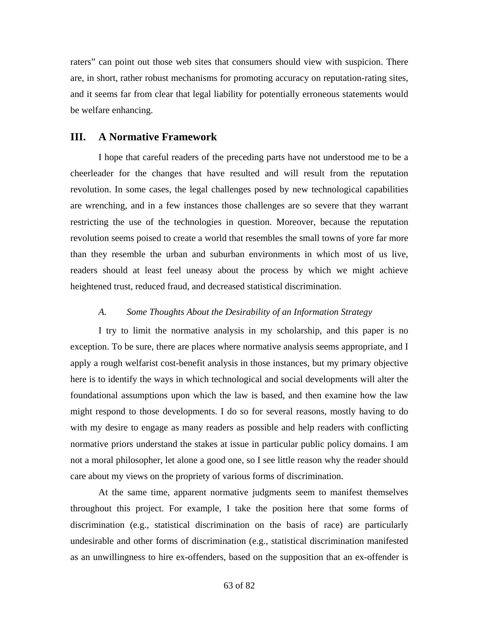raters" can point out those web sites that consumers should view with suspicion. There are, in short, rather robust mechanisms for promoting accuracy on reputation-rating sites, and it seems far from clear that legal liability for potentially erroneous statements would be welfare enhancing.

# **III. A Normative Framework**

 I hope that careful readers of the preceding parts have not understood me to be a cheerleader for the changes that have resulted and will result from the reputation revolution. In some cases, the legal challenges posed by new technological capabilities are wrenching, and in a few instances those challenges are so severe that they warrant restricting the use of the technologies in question. Moreover, because the reputation revolution seems poised to create a world that resembles the small towns of yore far more than they resemble the urban and suburban environments in which most of us live, readers should at least feel uneasy about the process by which we might achieve heightened trust, reduced fraud, and decreased statistical discrimination.

### *A. Some Thoughts About the Desirability of an Information Strategy*

 I try to limit the normative analysis in my scholarship, and this paper is no exception. To be sure, there are places where normative analysis seems appropriate, and I apply a rough welfarist cost-benefit analysis in those instances, but my primary objective here is to identify the ways in which technological and social developments will alter the foundational assumptions upon which the law is based, and then examine how the law might respond to those developments. I do so for several reasons, mostly having to do with my desire to engage as many readers as possible and help readers with conflicting normative priors understand the stakes at issue in particular public policy domains. I am not a moral philosopher, let alone a good one, so I see little reason why the reader should care about my views on the propriety of various forms of discrimination.

 At the same time, apparent normative judgments seem to manifest themselves throughout this project. For example, I take the position here that some forms of discrimination (e.g., statistical discrimination on the basis of race) are particularly undesirable and other forms of discrimination (e.g., statistical discrimination manifested as an unwillingness to hire ex-offenders, based on the supposition that an ex-offender is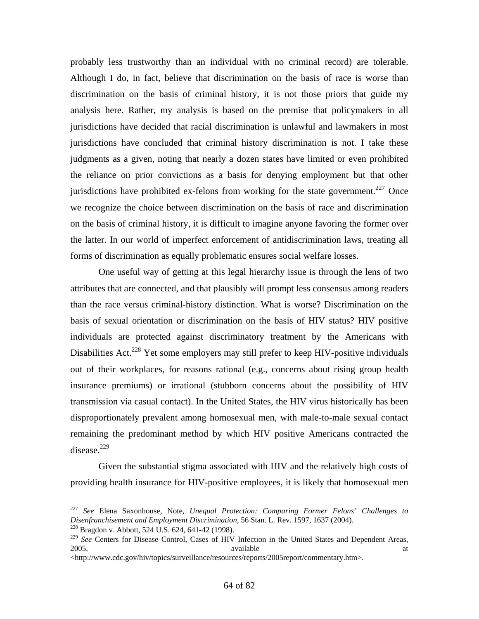probably less trustworthy than an individual with no criminal record) are tolerable. Although I do, in fact, believe that discrimination on the basis of race is worse than discrimination on the basis of criminal history, it is not those priors that guide my analysis here. Rather, my analysis is based on the premise that policymakers in all jurisdictions have decided that racial discrimination is unlawful and lawmakers in most jurisdictions have concluded that criminal history discrimination is not. I take these judgments as a given, noting that nearly a dozen states have limited or even prohibited the reliance on prior convictions as a basis for denying employment but that other jurisdictions have prohibited ex-felons from working for the state government.<sup>227</sup> Once we recognize the choice between discrimination on the basis of race and discrimination on the basis of criminal history, it is difficult to imagine anyone favoring the former over the latter. In our world of imperfect enforcement of antidiscrimination laws, treating all forms of discrimination as equally problematic ensures social welfare losses.

 One useful way of getting at this legal hierarchy issue is through the lens of two attributes that are connected, and that plausibly will prompt less consensus among readers than the race versus criminal-history distinction. What is worse? Discrimination on the basis of sexual orientation or discrimination on the basis of HIV status? HIV positive individuals are protected against discriminatory treatment by the Americans with Disabilities Act.<sup>228</sup> Yet some employers may still prefer to keep HIV-positive individuals out of their workplaces, for reasons rational (e.g., concerns about rising group health insurance premiums) or irrational (stubborn concerns about the possibility of HIV transmission via casual contact). In the United States, the HIV virus historically has been disproportionately prevalent among homosexual men, with male-to-male sexual contact remaining the predominant method by which HIV positive Americans contracted the  $disease.<sup>229</sup>$ 

 Given the substantial stigma associated with HIV and the relatively high costs of providing health insurance for HIV-positive employees, it is likely that homosexual men

<sup>227</sup> *See* Elena Saxonhouse, Note, *Unequal Protection: Comparing Former Felons' Challenges to Disenfranchisement and Employment Discrimination*, 56 Stan. L. Rev. 1597, 1637 (2004). <sup>228</sup> Bragdon v. Abbott, 524 U.S. 624, 641-42 (1998).

<sup>229</sup> *See* Centers for Disease Control, Cases of HIV Infection in the United States and Dependent Areas, 2005, available at the available at the same at the same at the same at the same at the same at the same at the same at the same at the same at the same at the same at the same at the same at the same at the same at the sa

<sup>&</sup>lt;http://www.cdc.gov/hiv/topics/surveillance/resources/reports/2005report/commentary.htm>.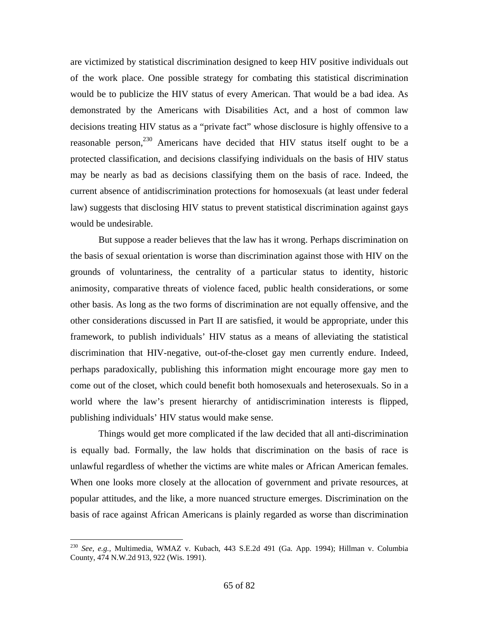are victimized by statistical discrimination designed to keep HIV positive individuals out of the work place. One possible strategy for combating this statistical discrimination would be to publicize the HIV status of every American. That would be a bad idea. As demonstrated by the Americans with Disabilities Act, and a host of common law decisions treating HIV status as a "private fact" whose disclosure is highly offensive to a reasonable person,<sup>230</sup> Americans have decided that HIV status itself ought to be a protected classification, and decisions classifying individuals on the basis of HIV status may be nearly as bad as decisions classifying them on the basis of race. Indeed, the current absence of antidiscrimination protections for homosexuals (at least under federal law) suggests that disclosing HIV status to prevent statistical discrimination against gays would be undesirable.

 But suppose a reader believes that the law has it wrong. Perhaps discrimination on the basis of sexual orientation is worse than discrimination against those with HIV on the grounds of voluntariness, the centrality of a particular status to identity, historic animosity, comparative threats of violence faced, public health considerations, or some other basis. As long as the two forms of discrimination are not equally offensive, and the other considerations discussed in Part II are satisfied, it would be appropriate, under this framework, to publish individuals' HIV status as a means of alleviating the statistical discrimination that HIV-negative, out-of-the-closet gay men currently endure. Indeed, perhaps paradoxically, publishing this information might encourage more gay men to come out of the closet, which could benefit both homosexuals and heterosexuals. So in a world where the law's present hierarchy of antidiscrimination interests is flipped, publishing individuals' HIV status would make sense.

 Things would get more complicated if the law decided that all anti-discrimination is equally bad. Formally, the law holds that discrimination on the basis of race is unlawful regardless of whether the victims are white males or African American females. When one looks more closely at the allocation of government and private resources, at popular attitudes, and the like, a more nuanced structure emerges. Discrimination on the basis of race against African Americans is plainly regarded as worse than discrimination

<sup>230</sup> *See, e.g.,* Multimedia, WMAZ v. Kubach, 443 S.E.2d 491 (Ga. App. 1994); Hillman v. Columbia County, 474 N.W.2d 913, 922 (Wis. 1991).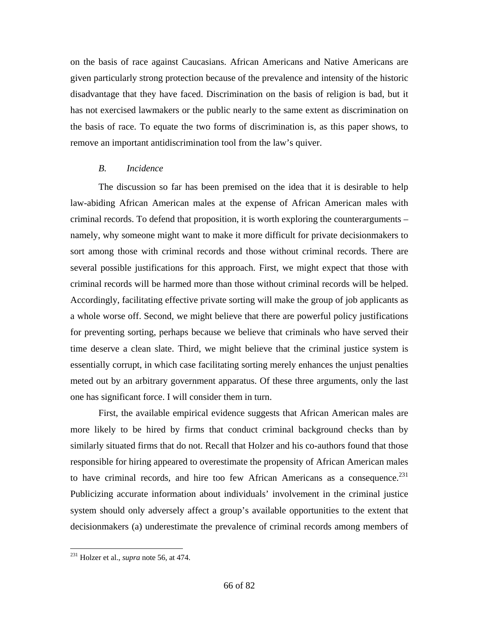on the basis of race against Caucasians. African Americans and Native Americans are given particularly strong protection because of the prevalence and intensity of the historic disadvantage that they have faced. Discrimination on the basis of religion is bad, but it has not exercised lawmakers or the public nearly to the same extent as discrimination on the basis of race. To equate the two forms of discrimination is, as this paper shows, to remove an important antidiscrimination tool from the law's quiver.

# *B. Incidence*

 The discussion so far has been premised on the idea that it is desirable to help law-abiding African American males at the expense of African American males with criminal records. To defend that proposition, it is worth exploring the counterarguments – namely, why someone might want to make it more difficult for private decisionmakers to sort among those with criminal records and those without criminal records. There are several possible justifications for this approach. First, we might expect that those with criminal records will be harmed more than those without criminal records will be helped. Accordingly, facilitating effective private sorting will make the group of job applicants as a whole worse off. Second, we might believe that there are powerful policy justifications for preventing sorting, perhaps because we believe that criminals who have served their time deserve a clean slate. Third, we might believe that the criminal justice system is essentially corrupt, in which case facilitating sorting merely enhances the unjust penalties meted out by an arbitrary government apparatus. Of these three arguments, only the last one has significant force. I will consider them in turn.

 First, the available empirical evidence suggests that African American males are more likely to be hired by firms that conduct criminal background checks than by similarly situated firms that do not. Recall that Holzer and his co-authors found that those responsible for hiring appeared to overestimate the propensity of African American males to have criminal records, and hire too few African Americans as a consequence.<sup>231</sup> Publicizing accurate information about individuals' involvement in the criminal justice system should only adversely affect a group's available opportunities to the extent that decisionmakers (a) underestimate the prevalence of criminal records among members of

<sup>231</sup> Holzer et al., *supra* note 56, at 474.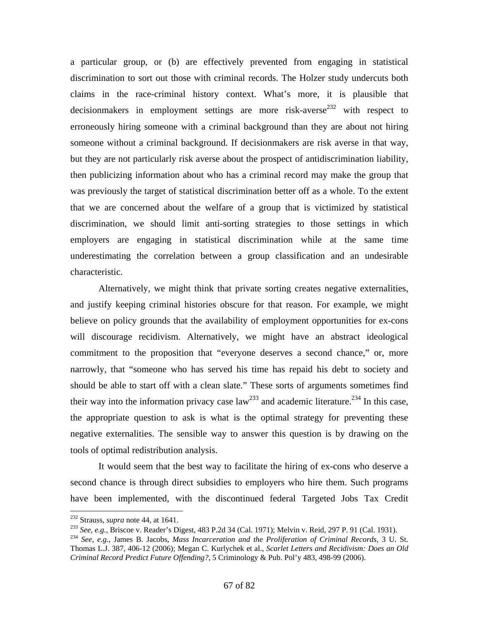a particular group, or (b) are effectively prevented from engaging in statistical discrimination to sort out those with criminal records. The Holzer study undercuts both claims in the race-criminal history context. What's more, it is plausible that decisionmakers in employment settings are more risk-averse<sup>232</sup> with respect to erroneously hiring someone with a criminal background than they are about not hiring someone without a criminal background. If decisionmakers are risk averse in that way, but they are not particularly risk averse about the prospect of antidiscrimination liability, then publicizing information about who has a criminal record may make the group that was previously the target of statistical discrimination better off as a whole. To the extent that we are concerned about the welfare of a group that is victimized by statistical discrimination, we should limit anti-sorting strategies to those settings in which employers are engaging in statistical discrimination while at the same time underestimating the correlation between a group classification and an undesirable characteristic.

 Alternatively, we might think that private sorting creates negative externalities, and justify keeping criminal histories obscure for that reason. For example, we might believe on policy grounds that the availability of employment opportunities for ex-cons will discourage recidivism. Alternatively, we might have an abstract ideological commitment to the proposition that "everyone deserves a second chance," or, more narrowly, that "someone who has served his time has repaid his debt to society and should be able to start off with a clean slate." These sorts of arguments sometimes find their way into the information privacy case  $law^{233}$  and academic literature.<sup>234</sup> In this case, the appropriate question to ask is what is the optimal strategy for preventing these negative externalities. The sensible way to answer this question is by drawing on the tools of optimal redistribution analysis.

 It would seem that the best way to facilitate the hiring of ex-cons who deserve a second chance is through direct subsidies to employers who hire them. Such programs have been implemented, with the discontinued federal Targeted Jobs Tax Credit

<sup>&</sup>lt;sup>232</sup> Strauss, *supra* note 44, at 1641.<br><sup>233</sup> See, e.g., Briscoe v. Reader's Digest, 483 P.2d 34 (Cal. 1971); Melvin v. Reid, 297 P. 91 (Cal. 1931).<br><sup>234</sup> See, e.g., James B. Jacobs, *Mass Incarceration and the Prolifera* 

Thomas L.J. 387, 406-12 (2006); Megan C. Kurlychek et al., *Scarlet Letters and Recidivism: Does an Old Criminal Record Predict Future Offending?*, 5 Criminology & Pub. Pol'y 483, 498-99 (2006).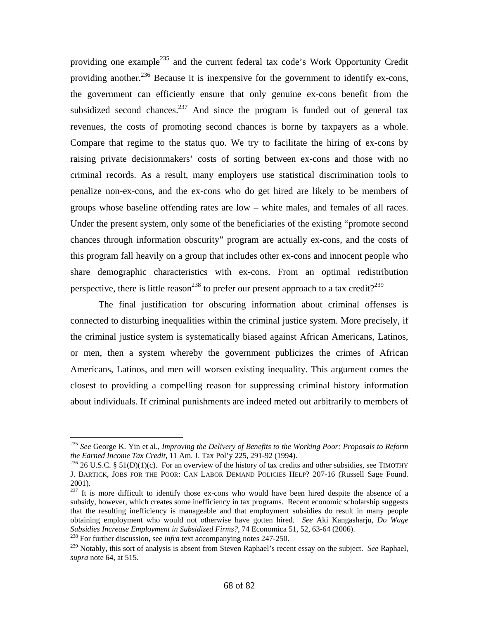providing one example<sup>235</sup> and the current federal tax code's Work Opportunity Credit providing another.<sup>236</sup> Because it is inexpensive for the government to identify ex-cons, the government can efficiently ensure that only genuine ex-cons benefit from the subsidized second chances.<sup>237</sup> And since the program is funded out of general tax revenues, the costs of promoting second chances is borne by taxpayers as a whole. Compare that regime to the status quo. We try to facilitate the hiring of ex-cons by raising private decisionmakers' costs of sorting between ex-cons and those with no criminal records. As a result, many employers use statistical discrimination tools to penalize non-ex-cons, and the ex-cons who do get hired are likely to be members of groups whose baseline offending rates are low – white males, and females of all races. Under the present system, only some of the beneficiaries of the existing "promote second chances through information obscurity" program are actually ex-cons, and the costs of this program fall heavily on a group that includes other ex-cons and innocent people who share demographic characteristics with ex-cons. From an optimal redistribution perspective, there is little reason<sup>238</sup> to prefer our present approach to a tax credit?<sup>239</sup>

 The final justification for obscuring information about criminal offenses is connected to disturbing inequalities within the criminal justice system. More precisely, if the criminal justice system is systematically biased against African Americans, Latinos, or men, then a system whereby the government publicizes the crimes of African Americans, Latinos, and men will worsen existing inequality. This argument comes the closest to providing a compelling reason for suppressing criminal history information about individuals. If criminal punishments are indeed meted out arbitrarily to members of

<sup>235</sup> *See* George K. Yin et al., *Improving the Delivery of Benefits to the Working Poor: Proposals to Reform the Earned Income Tax Credit*, 11 Am. J. Tax Pol'y 225, 291-92 (1994).<br><sup>236</sup> 26 U.S.C. § 51(D)(1)(c). For an overview of the history of tax credits and other subsidies, see TIMOTHY

J. BARTICK, JOBS FOR THE POOR: CAN LABOR DEMAND POLICIES HELP? 207-16 (Russell Sage Found. 2001).

 $237$  It is more difficult to identify those ex-cons who would have been hired despite the absence of a subsidy, however, which creates some inefficiency in tax programs. Recent economic scholarship suggests that the resulting inefficiency is manageable and that employment subsidies do result in many people obtaining employment who would not otherwise have gotten hired. *See* Aki Kangasharju, *Do Wage* 

<sup>&</sup>lt;sup>238</sup> For further discussion, see *infra* text accompanying notes 247-250.

<sup>239</sup> Notably, this sort of analysis is absent from Steven Raphael's recent essay on the subject. *See* Raphael, *supra* note 64, at 515.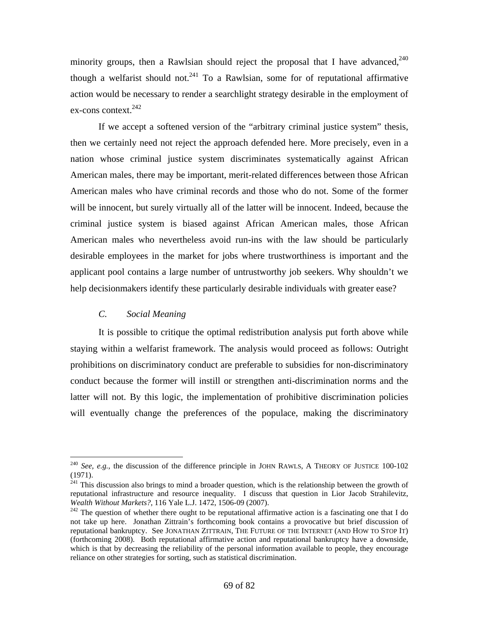minority groups, then a Rawlsian should reject the proposal that I have advanced.<sup>240</sup> though a welfarist should not.<sup>241</sup> To a Rawlsian, some for of reputational affirmative action would be necessary to render a searchlight strategy desirable in the employment of ex-cons context. $242$ 

 If we accept a softened version of the "arbitrary criminal justice system" thesis, then we certainly need not reject the approach defended here. More precisely, even in a nation whose criminal justice system discriminates systematically against African American males, there may be important, merit-related differences between those African American males who have criminal records and those who do not. Some of the former will be innocent, but surely virtually all of the latter will be innocent. Indeed, because the criminal justice system is biased against African American males, those African American males who nevertheless avoid run-ins with the law should be particularly desirable employees in the market for jobs where trustworthiness is important and the applicant pool contains a large number of untrustworthy job seekers. Why shouldn't we help decisionmakers identify these particularly desirable individuals with greater ease?

# *C. Social Meaning*

 $\overline{a}$ 

 It is possible to critique the optimal redistribution analysis put forth above while staying within a welfarist framework. The analysis would proceed as follows: Outright prohibitions on discriminatory conduct are preferable to subsidies for non-discriminatory conduct because the former will instill or strengthen anti-discrimination norms and the latter will not. By this logic, the implementation of prohibitive discrimination policies will eventually change the preferences of the populace, making the discriminatory

<sup>240</sup> *See, e.g.*, the discussion of the difference principle in JOHN RAWLS, A THEORY OF JUSTICE 100-102 (1971).

<sup>&</sup>lt;sup>241</sup> This discussion also brings to mind a broader question, which is the relationship between the growth of reputational infrastructure and resource inequality. I discuss that question in Lior Jacob Strahilevitz*,* 

<sup>&</sup>lt;sup>242</sup> The question of whether there ought to be reputational affirmative action is a fascinating one that I do not take up here. Jonathan Zittrain's forthcoming book contains a provocative but brief discussion of reputational bankruptcy. See JONATHAN ZITTRAIN, THE FUTURE OF THE INTERNET (AND HOW TO STOP IT) (forthcoming 2008). Both reputational affirmative action and reputational bankruptcy have a downside, which is that by decreasing the reliability of the personal information available to people, they encourage reliance on other strategies for sorting, such as statistical discrimination.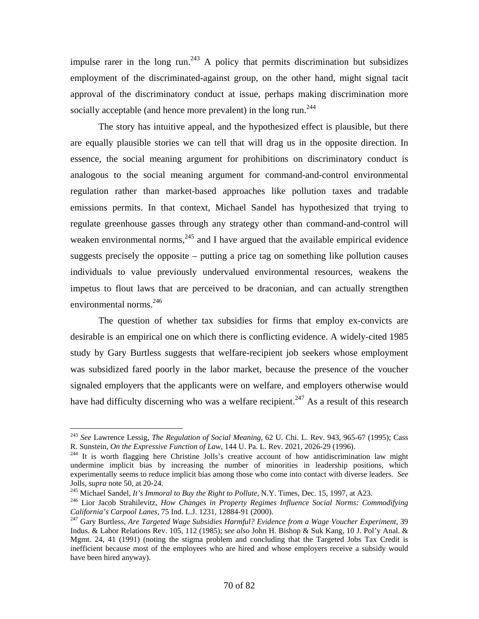impulse rarer in the long run.<sup>243</sup> A policy that permits discrimination but subsidizes employment of the discriminated-against group, on the other hand, might signal tacit approval of the discriminatory conduct at issue, perhaps making discrimination more socially acceptable (and hence more prevalent) in the long run.<sup>244</sup>

 The story has intuitive appeal, and the hypothesized effect is plausible, but there are equally plausible stories we can tell that will drag us in the opposite direction. In essence, the social meaning argument for prohibitions on discriminatory conduct is analogous to the social meaning argument for command-and-control environmental regulation rather than market-based approaches like pollution taxes and tradable emissions permits. In that context, Michael Sandel has hypothesized that trying to regulate greenhouse gasses through any strategy other than command-and-control will weaken environmental norms,  $245$  and I have argued that the available empirical evidence suggests precisely the opposite – putting a price tag on something like pollution causes individuals to value previously undervalued environmental resources, weakens the impetus to flout laws that are perceived to be draconian, and can actually strengthen environmental norms.<sup>246</sup>

 The question of whether tax subsidies for firms that employ ex-convicts are desirable is an empirical one on which there is conflicting evidence. A widely-cited 1985 study by Gary Burtless suggests that welfare-recipient job seekers whose employment was subsidized fared poorly in the labor market, because the presence of the voucher signaled employers that the applicants were on welfare, and employers otherwise would have had difficulty discerning who was a welfare recipient.<sup>247</sup> As a result of this research

<sup>243</sup> *See* Lawrence Lessig, *The Regulation of Social Meaning*, 62 U. Chi. L. Rev. 943, 965-67 (1995); Cass R. Sunstein, *On the Expressive Function of Law*, 144 U. Pa. L. Rev. 2021, 2026-29 (1996).<br><sup>244</sup> It is worth flagging here Christine Jolls's creative account of how antidiscrimination law might

undermine implicit bias by increasing the number of minorities in leadership positions, which experimentally seems to reduce implicit bias among those who come into contact with diverse leaders. *See* 

Jolls, *supra* note 50, at 20-24.<br><sup>245</sup> Michael Sandel, *It's Immoral to Buy the Right to Pollute*, N.Y. Times, Dec. 15, 1997, at A23.<br><sup>246</sup> Lior Jacob Strahilevitz, *How Changes in Property Regimes Influence Social Norms:* 

<sup>&</sup>lt;sup>247</sup> Gary Burtless, *Are Targeted Wage Subsidies Harmful? Evidence from a Wage Voucher Experiment*, 39 Indus. & Labor Relations Rev. 105, 112 (1985); *see also* John H. Bishop & Suk Kang, 10 J. Pol'y Anal. & Mgmt. 24, 41 (1991) (noting the stigma problem and concluding that the Targeted Jobs Tax Credit is inefficient because most of the employees who are hired and whose employers receive a subsidy would have been hired anyway).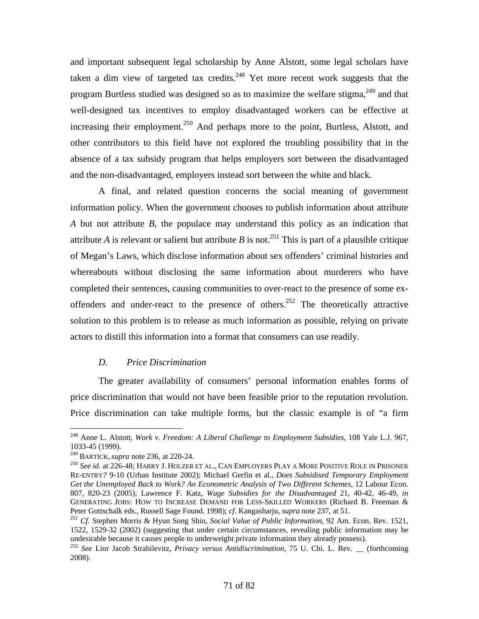and important subsequent legal scholarship by Anne Alstott, some legal scholars have taken a dim view of targeted tax credits. $248$  Yet more recent work suggests that the program Burtless studied was designed so as to maximize the welfare stigma,  $249$  and that well-designed tax incentives to employ disadvantaged workers can be effective at increasing their employment.<sup>250</sup> And perhaps more to the point, Burtless, Alstott, and other contributors to this field have not explored the troubling possibility that in the absence of a tax subsidy program that helps employers sort between the disadvantaged and the non-disadvantaged, employers instead sort between the white and black.

 A final, and related question concerns the social meaning of government information policy. When the government chooses to publish information about attribute *A* but not attribute *B*, the populace may understand this policy as an indication that attribute *A* is relevant or salient but attribute *B* is not.<sup>251</sup> This is part of a plausible critique of Megan's Laws, which disclose information about sex offenders' criminal histories and whereabouts without disclosing the same information about murderers who have completed their sentences, causing communities to over-react to the presence of some exoffenders and under-react to the presence of others.<sup>252</sup> The theoretically attractive solution to this problem is to release as much information as possible, relying on private actors to distill this information into a format that consumers can use readily.

## *D. Price Discrimination*

The greater availability of consumers' personal information enables forms of price discrimination that would not have been feasible prior to the reputation revolution. Price discrimination can take multiple forms, but the classic example is of "a firm

<sup>248</sup> Anne L. Alstott, *Work v. Freedom: A Liberal Challenge to Employment Subsidies*, 108 Yale L.J. 967, 1033-45 (1999).<br><sup>249</sup> BARTICK, *supra* note 236, at 220-24.

<sup>&</sup>lt;sup>250</sup> See id. at 226-48; HARRY J. HOLZER ET AL., CAN EMPLOYERS PLAY A MORE POSITIVE ROLE IN PRISONER RE-ENTRY*?* 9-10 (Urban Institute 2002); Michael Gerfin et al., *Does Subsidised Temporary Employment Get the Unemployed Back to Work? An Econometric Analysis of Two Different Schemes*, 12 Labour Econ. 807, 820-23 (2005); Lawrence F. Katz, *Wage Subsidies for the Disadvantaged* 21, 40-42, 46-49, *in*  GENERATING JOBS: HOW TO INCREASE DEMAND FOR LESS-SKILLED WORKERS (Richard B. Freeman & Peter Gottschalk eds., Russell Sage Found. 1998); *cf*. Kangasharju, *supra* note 237, at 51. 251 *Cf*. Stephen Morris & Hyun Song Shin, *Social Value of Public Information*, 92 Am. Econ. Rev. 1521,

<sup>1522, 1529-32 (2002) (</sup>suggesting that under certain circumstances, revealing public information may be undesirable because it causes people to underweight private information they already possess).

<sup>252</sup> *See* Lior Jacob Strahilevitz, *Privacy versus Antidiscrimination*, 75 U. Chi. L. Rev. \_\_ (forthcoming 2008).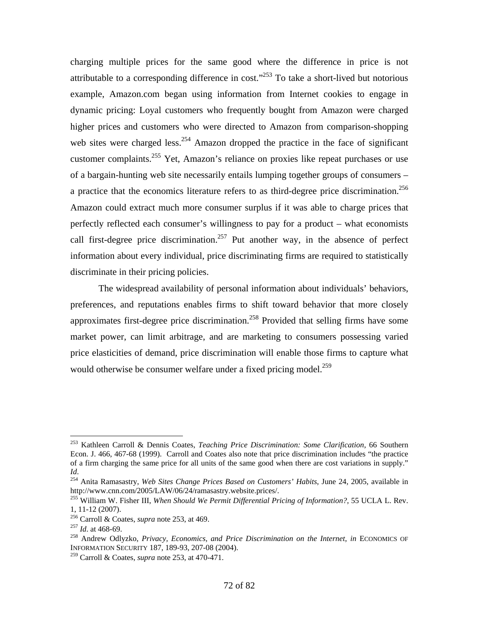charging multiple prices for the same good where the difference in price is not attributable to a corresponding difference in cost.<sup> $253$ </sup> To take a short-lived but notorious example, Amazon.com began using information from Internet cookies to engage in dynamic pricing: Loyal customers who frequently bought from Amazon were charged higher prices and customers who were directed to Amazon from comparison-shopping web sites were charged less.<sup>254</sup> Amazon dropped the practice in the face of significant customer complaints.<sup>255</sup> Yet, Amazon's reliance on proxies like repeat purchases or use of a bargain-hunting web site necessarily entails lumping together groups of consumers – a practice that the economics literature refers to as third-degree price discrimination.<sup>256</sup> Amazon could extract much more consumer surplus if it was able to charge prices that perfectly reflected each consumer's willingness to pay for a product – what economists call first-degree price discrimination.<sup>257</sup> Put another way, in the absence of perfect information about every individual, price discriminating firms are required to statistically discriminate in their pricing policies.

 The widespread availability of personal information about individuals' behaviors, preferences, and reputations enables firms to shift toward behavior that more closely approximates first-degree price discrimination.<sup>258</sup> Provided that selling firms have some market power, can limit arbitrage, and are marketing to consumers possessing varied price elasticities of demand, price discrimination will enable those firms to capture what would otherwise be consumer welfare under a fixed pricing model.<sup>259</sup>

<sup>253</sup> Kathleen Carroll & Dennis Coates, *Teaching Price Discrimination: Some Clarification*, 66 Southern Econ. J. 466, 467-68 (1999). Carroll and Coates also note that price discrimination includes "the practice of a firm charging the same price for all units of the same good when there are cost variations in supply."

<sup>&</sup>lt;sup>254</sup> Anita Ramasastry, *Web Sites Change Prices Based on Customers' Habits*, June 24, 2005, available in http://www.cnn.com/2005/LAW/06/24/ramasastry.website.prices/.

<sup>&</sup>lt;sup>255</sup> William W. Fisher III, *When Should We Permit Differential Pricing of Information?*, 55 UCLA L. Rev. 1, 11-12 (2007).<br><sup>256</sup> Carroll & Coates, *supra* note 253, at 469.

<sup>&</sup>lt;sup>257</sup> Id. at 468-69.<br><sup>258</sup> Andrew Odlyzko, *Privacy, Economics, and Price Discrimination on the Internet, in ECONOMICS OF* INFORMATION SECURITY 187, 189-93, 207-08 (2004).

<sup>259</sup> Carroll & Coates, *supra* note 253, at 470-471.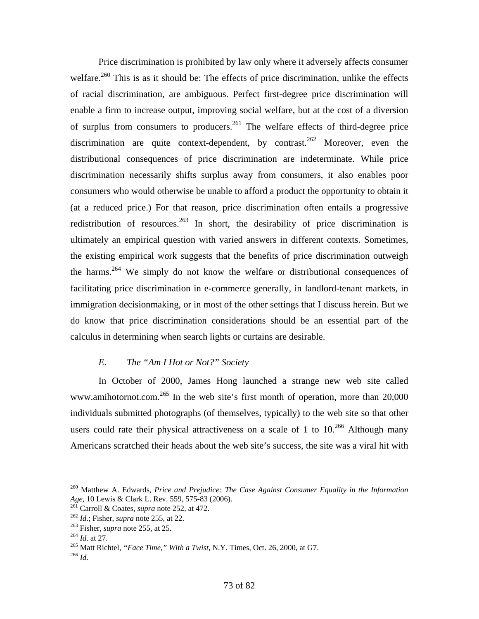Price discrimination is prohibited by law only where it adversely affects consumer welfare.<sup>260</sup> This is as it should be: The effects of price discrimination, unlike the effects of racial discrimination, are ambiguous. Perfect first-degree price discrimination will enable a firm to increase output, improving social welfare, but at the cost of a diversion of surplus from consumers to producers.<sup>261</sup> The welfare effects of third-degree price discrimination are quite context-dependent, by contrast.<sup>262</sup> Moreover, even the distributional consequences of price discrimination are indeterminate. While price discrimination necessarily shifts surplus away from consumers, it also enables poor consumers who would otherwise be unable to afford a product the opportunity to obtain it (at a reduced price.) For that reason, price discrimination often entails a progressive redistribution of resources.<sup>263</sup> In short, the desirability of price discrimination is ultimately an empirical question with varied answers in different contexts. Sometimes, the existing empirical work suggests that the benefits of price discrimination outweigh the harms.<sup>264</sup> We simply do not know the welfare or distributional consequences of facilitating price discrimination in e-commerce generally, in landlord-tenant markets, in immigration decisionmaking, or in most of the other settings that I discuss herein. But we do know that price discrimination considerations should be an essential part of the calculus in determining when search lights or curtains are desirable.

## *E. The "Am I Hot or Not?" Society*

 In October of 2000, James Hong launched a strange new web site called www.amihotornot.com.<sup>265</sup> In the web site's first month of operation, more than 20,000 individuals submitted photographs (of themselves, typically) to the web site so that other users could rate their physical attractiveness on a scale of 1 to  $10^{266}$  Although many Americans scratched their heads about the web site's success, the site was a viral hit with

<sup>&</sup>lt;sup>260</sup> Matthew A. Edwards, *Price and Prejudice: The Case Against Consumer Equality in the Information Age*, 10 Lewis & Clark L. Rev. 559, 575-83 (2006).

<sup>&</sup>lt;sup>261</sup> Carroll & Coates, *supra* note 252, at 472.<br><sup>262</sup> *Id.*; Fisher, *supra* note 255, at 22.<br><sup>263</sup> Fisher, *supra* note 255, at 25.<br><sup>264</sup> *Id.* at 27.<br><sup>265</sup> Matt Richtel, "*Face Time*," *With a Twist*, N.Y. Times, Oct.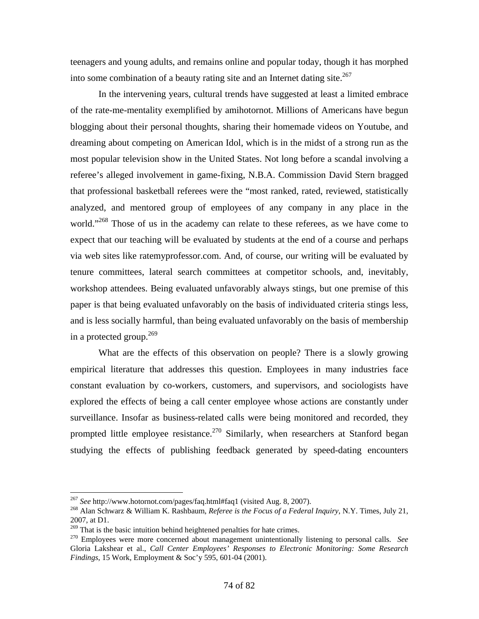teenagers and young adults, and remains online and popular today, though it has morphed into some combination of a beauty rating site and an Internet dating site.<sup>267</sup>

 In the intervening years, cultural trends have suggested at least a limited embrace of the rate-me-mentality exemplified by amihotornot. Millions of Americans have begun blogging about their personal thoughts, sharing their homemade videos on Youtube, and dreaming about competing on American Idol, which is in the midst of a strong run as the most popular television show in the United States. Not long before a scandal involving a referee's alleged involvement in game-fixing, N.B.A. Commission David Stern bragged that professional basketball referees were the "most ranked, rated, reviewed, statistically analyzed, and mentored group of employees of any company in any place in the world."<sup>268</sup> Those of us in the academy can relate to these referees, as we have come to expect that our teaching will be evaluated by students at the end of a course and perhaps via web sites like ratemyprofessor.com. And, of course, our writing will be evaluated by tenure committees, lateral search committees at competitor schools, and, inevitably, workshop attendees. Being evaluated unfavorably always stings, but one premise of this paper is that being evaluated unfavorably on the basis of individuated criteria stings less, and is less socially harmful, than being evaluated unfavorably on the basis of membership in a protected group. $269$ 

 What are the effects of this observation on people? There is a slowly growing empirical literature that addresses this question. Employees in many industries face constant evaluation by co-workers, customers, and supervisors, and sociologists have explored the effects of being a call center employee whose actions are constantly under surveillance. Insofar as business-related calls were being monitored and recorded, they prompted little employee resistance.<sup>270</sup> Similarly, when researchers at Stanford began studying the effects of publishing feedback generated by speed-dating encounters

1

<sup>267</sup> *See* http://www.hotornot.com/pages/faq.html#faq1 (visited Aug. 8, 2007). 268 Alan Schwarz & William K. Rashbaum, *Referee is the Focus of a Federal Inquiry*, N.Y. Times, July 21, 2007, at D1.<br> $^{269}$  That is the basic intuition behind heightened penalties for hate crimes.

<sup>&</sup>lt;sup>270</sup> Employees were more concerned about management unintentionally listening to personal calls. *See* Gloria Lakshear et al., *Call Center Employees' Responses to Electronic Monitoring: Some Research Findings*, 15 Work, Employment & Soc'y 595, 601-04 (2001).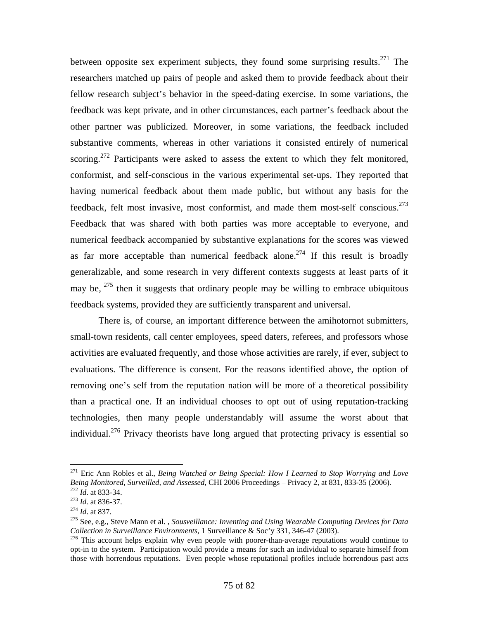between opposite sex experiment subjects, they found some surprising results.<sup>271</sup> The researchers matched up pairs of people and asked them to provide feedback about their fellow research subject's behavior in the speed-dating exercise. In some variations, the feedback was kept private, and in other circumstances, each partner's feedback about the other partner was publicized. Moreover, in some variations, the feedback included substantive comments, whereas in other variations it consisted entirely of numerical scoring.<sup>272</sup> Participants were asked to assess the extent to which they felt monitored, conformist, and self-conscious in the various experimental set-ups. They reported that having numerical feedback about them made public, but without any basis for the feedback, felt most invasive, most conformist, and made them most-self conscious.273 Feedback that was shared with both parties was more acceptable to everyone, and numerical feedback accompanied by substantive explanations for the scores was viewed as far more acceptable than numerical feedback alone.<sup>274</sup> If this result is broadly generalizable, and some research in very different contexts suggests at least parts of it may be,  $275$  then it suggests that ordinary people may be willing to embrace ubiquitous feedback systems, provided they are sufficiently transparent and universal.

 There is, of course, an important difference between the amihotornot submitters, small-town residents, call center employees, speed daters, referees, and professors whose activities are evaluated frequently, and those whose activities are rarely, if ever, subject to evaluations. The difference is consent. For the reasons identified above, the option of removing one's self from the reputation nation will be more of a theoretical possibility than a practical one. If an individual chooses to opt out of using reputation-tracking technologies, then many people understandably will assume the worst about that individual.<sup>276</sup> Privacy theorists have long argued that protecting privacy is essential so

<sup>271</sup> Eric Ann Robles et al., *Being Watched or Being Special: How I Learned to Stop Worrying and Love*  Being Monitored, Surveilled, and Assessed, CHI 2006 Proceedings – Privacy 2, at 831, 833-35 (2006).<br>
272 Id. at 833-34.<br>
273 Id. at 836-37.<br>
274 Id. at 837.<br>
275 See, e.g., Steve Mann et al., Sousveillance: Inventing and U

*Collection in Surveillance Environments*, 1 Surveillance & Soc'y 331, 346-47 (2003).

 $276$  This account helps explain why even people with poorer-than-average reputations would continue to opt-in to the system. Participation would provide a means for such an individual to separate himself from those with horrendous reputations. Even people whose reputational profiles include horrendous past acts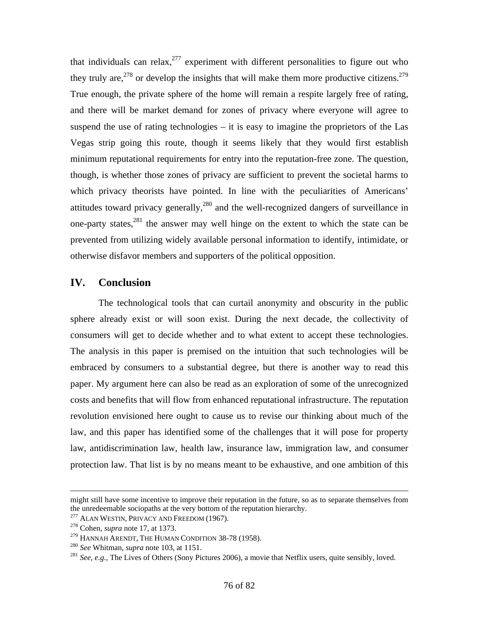that individuals can relax,  $277$  experiment with different personalities to figure out who they truly are,  $278$  or develop the insights that will make them more productive citizens.  $279$ True enough, the private sphere of the home will remain a respite largely free of rating, and there will be market demand for zones of privacy where everyone will agree to suspend the use of rating technologies – it is easy to imagine the proprietors of the Las Vegas strip going this route, though it seems likely that they would first establish minimum reputational requirements for entry into the reputation-free zone. The question, though, is whether those zones of privacy are sufficient to prevent the societal harms to which privacy theorists have pointed. In line with the peculiarities of Americans' attitudes toward privacy generally, $280$  and the well-recognized dangers of surveillance in one-party states, $281$  the answer may well hinge on the extent to which the state can be prevented from utilizing widely available personal information to identify, intimidate, or otherwise disfavor members and supporters of the political opposition.

## **IV. Conclusion**

 The technological tools that can curtail anonymity and obscurity in the public sphere already exist or will soon exist. During the next decade, the collectivity of consumers will get to decide whether and to what extent to accept these technologies. The analysis in this paper is premised on the intuition that such technologies will be embraced by consumers to a substantial degree, but there is another way to read this paper. My argument here can also be read as an exploration of some of the unrecognized costs and benefits that will flow from enhanced reputational infrastructure. The reputation revolution envisioned here ought to cause us to revise our thinking about much of the law, and this paper has identified some of the challenges that it will pose for property law, antidiscrimination law, health law, insurance law, immigration law, and consumer protection law. That list is by no means meant to be exhaustive, and one ambition of this

might still have some incentive to improve their reputation in the future, so as to separate themselves from the unredeemable sociopaths at the very bottom of the reputation hierarchy.<br><sup>277</sup> ALAN WESTIN, PRIVACY AND FREEDOM (1967).<br><sup>278</sup> Cohen, *supra* note 17, at 1373.<br><sup>279</sup> HANNAH ARENDT, THE HUMAN CONDITION 38-78 (1958).

<sup>&</sup>lt;sup>280</sup> See Whitman, *supra* note 103, at 1151.<br><sup>281</sup> See, e.g., The Lives of Others (Sony Pictures 2006), a movie that Netflix users, quite sensibly, loved.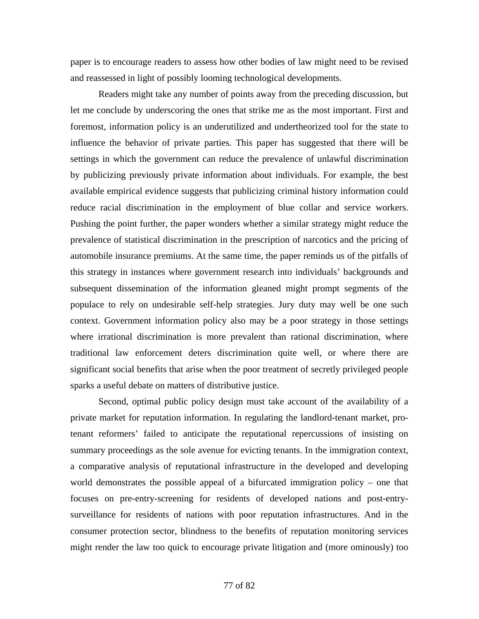paper is to encourage readers to assess how other bodies of law might need to be revised and reassessed in light of possibly looming technological developments.

 Readers might take any number of points away from the preceding discussion, but let me conclude by underscoring the ones that strike me as the most important. First and foremost, information policy is an underutilized and undertheorized tool for the state to influence the behavior of private parties. This paper has suggested that there will be settings in which the government can reduce the prevalence of unlawful discrimination by publicizing previously private information about individuals. For example, the best available empirical evidence suggests that publicizing criminal history information could reduce racial discrimination in the employment of blue collar and service workers. Pushing the point further, the paper wonders whether a similar strategy might reduce the prevalence of statistical discrimination in the prescription of narcotics and the pricing of automobile insurance premiums. At the same time, the paper reminds us of the pitfalls of this strategy in instances where government research into individuals' backgrounds and subsequent dissemination of the information gleaned might prompt segments of the populace to rely on undesirable self-help strategies. Jury duty may well be one such context. Government information policy also may be a poor strategy in those settings where irrational discrimination is more prevalent than rational discrimination, where traditional law enforcement deters discrimination quite well, or where there are significant social benefits that arise when the poor treatment of secretly privileged people sparks a useful debate on matters of distributive justice.

 Second, optimal public policy design must take account of the availability of a private market for reputation information. In regulating the landlord-tenant market, protenant reformers' failed to anticipate the reputational repercussions of insisting on summary proceedings as the sole avenue for evicting tenants. In the immigration context, a comparative analysis of reputational infrastructure in the developed and developing world demonstrates the possible appeal of a bifurcated immigration policy – one that focuses on pre-entry-screening for residents of developed nations and post-entrysurveillance for residents of nations with poor reputation infrastructures. And in the consumer protection sector, blindness to the benefits of reputation monitoring services might render the law too quick to encourage private litigation and (more ominously) too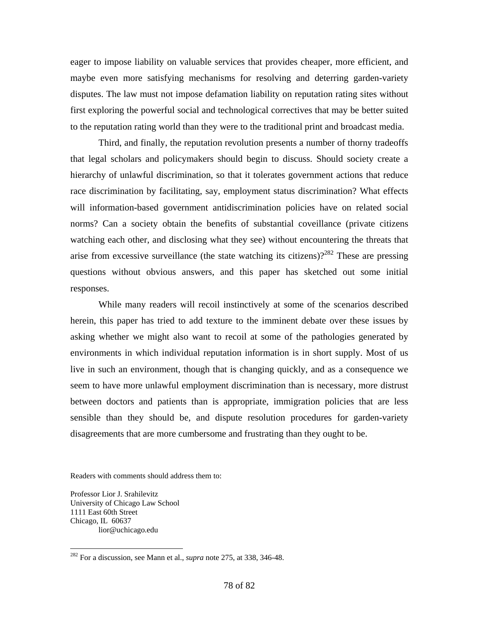eager to impose liability on valuable services that provides cheaper, more efficient, and maybe even more satisfying mechanisms for resolving and deterring garden-variety disputes. The law must not impose defamation liability on reputation rating sites without first exploring the powerful social and technological correctives that may be better suited to the reputation rating world than they were to the traditional print and broadcast media.

 Third, and finally, the reputation revolution presents a number of thorny tradeoffs that legal scholars and policymakers should begin to discuss. Should society create a hierarchy of unlawful discrimination, so that it tolerates government actions that reduce race discrimination by facilitating, say, employment status discrimination? What effects will information-based government antidiscrimination policies have on related social norms? Can a society obtain the benefits of substantial coveillance (private citizens watching each other, and disclosing what they see) without encountering the threats that arise from excessive surveillance (the state watching its citizens)?<sup>282</sup> These are pressing questions without obvious answers, and this paper has sketched out some initial responses.

 While many readers will recoil instinctively at some of the scenarios described herein, this paper has tried to add texture to the imminent debate over these issues by asking whether we might also want to recoil at some of the pathologies generated by environments in which individual reputation information is in short supply. Most of us live in such an environment, though that is changing quickly, and as a consequence we seem to have more unlawful employment discrimination than is necessary, more distrust between doctors and patients than is appropriate, immigration policies that are less sensible than they should be, and dispute resolution procedures for garden-variety disagreements that are more cumbersome and frustrating than they ought to be.

Readers with comments should address them to:

Professor Lior J. Srahilevitz University of Chicago Law School 1111 East 60th Street Chicago, IL 60637 lior@uchicago.edu

<sup>282</sup> For a discussion, see Mann et al., *supra* note 275, at 338, 346-48.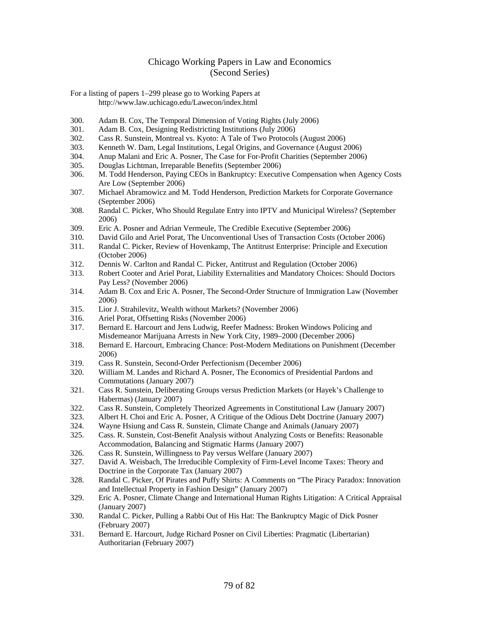## Chicago Working Papers in Law and Economics (Second Series)

For a listing of papers 1–299 please go to Working Papers at http://www.law.uchicago.edu/Lawecon/index.html

- 300. Adam B. Cox, The Temporal Dimension of Voting Rights (July 2006)
- 301. Adam B. Cox, Designing Redistricting Institutions (July 2006)
- 302. Cass R. Sunstein, Montreal vs. Kyoto: A Tale of Two Protocols (August 2006)
- 303. Kenneth W. Dam, Legal Institutions, Legal Origins, and Governance (August 2006)
- 304. Anup Malani and Eric A. Posner, The Case for For-Profit Charities (September 2006)
- 305. Douglas Lichtman, Irreparable Benefits (September 2006)
- 306. M. Todd Henderson, Paying CEOs in Bankruptcy: Executive Compensation when Agency Costs Are Low (September 2006)
- 307. Michael Abramowicz and M. Todd Henderson, Prediction Markets for Corporate Governance (September 2006)
- 308. Randal C. Picker, Who Should Regulate Entry into IPTV and Municipal Wireless? (September 2006)
- 309. Eric A. Posner and Adrian Vermeule, The Credible Executive (September 2006)
- 310. David Gilo and Ariel Porat, The Unconventional Uses of Transaction Costs (October 2006)
- 311. Randal C. Picker, Review of Hovenkamp, The Antitrust Enterprise: Principle and Execution (October 2006)
- 312. Dennis W. Carlton and Randal C. Picker, Antitrust and Regulation (October 2006)
- 313. Robert Cooter and Ariel Porat, Liability Externalities and Mandatory Choices: Should Doctors Pay Less? (November 2006)
- 314. Adam B. Cox and Eric A. Posner, The Second-Order Structure of Immigration Law (November 2006)
- 315. Lior J. Strahilevitz, Wealth without Markets? (November 2006)
- 316. Ariel Porat, Offsetting Risks (November 2006)
- 317. Bernard E. Harcourt and Jens Ludwig, Reefer Madness: Broken Windows Policing and Misdemeanor Marijuana Arrests in New York City, 1989–2000 (December 2006)
- 318. Bernard E. Harcourt, Embracing Chance: Post-Modern Meditations on Punishment (December 2006)
- 319. Cass R. Sunstein, Second-Order Perfectionism (December 2006)
- 320. William M. Landes and Richard A. Posner, The Economics of Presidential Pardons and Commutations (January 2007)
- 321. Cass R. Sunstein, Deliberating Groups versus Prediction Markets (or Hayek's Challenge to Habermas) (January 2007)
- 322. Cass R. Sunstein, Completely Theorized Agreements in Constitutional Law (January 2007)
- 323. Albert H. Choi and Eric A. Posner, A Critique of the Odious Debt Doctrine (January 2007)
- 324. Wayne Hsiung and Cass R. Sunstein, Climate Change and Animals (January 2007)
- 325. Cass. R. Sunstein, Cost-Benefit Analysis without Analyzing Costs or Benefits: Reasonable Accommodation, Balancing and Stigmatic Harms (January 2007)
- 326. Cass R. Sunstein, Willingness to Pay versus Welfare (January 2007)
- 327. David A. Weisbach, The Irreducible Complexity of Firm-Level Income Taxes: Theory and Doctrine in the Corporate Tax (January 2007)
- 328. Randal C. Picker, Of Pirates and Puffy Shirts: A Comments on "The Piracy Paradox: Innovation and Intellectual Property in Fashion Design" (January 2007)
- 329. Eric A. Posner, Climate Change and International Human Rights Litigation: A Critical Appraisal (January 2007)
- 330. Randal C. Picker, Pulling a Rabbi Out of His Hat: The Bankruptcy Magic of Dick Posner (February 2007)
- 331. Bernard E. Harcourt, Judge Richard Posner on Civil Liberties: Pragmatic (Libertarian) Authoritarian (February 2007)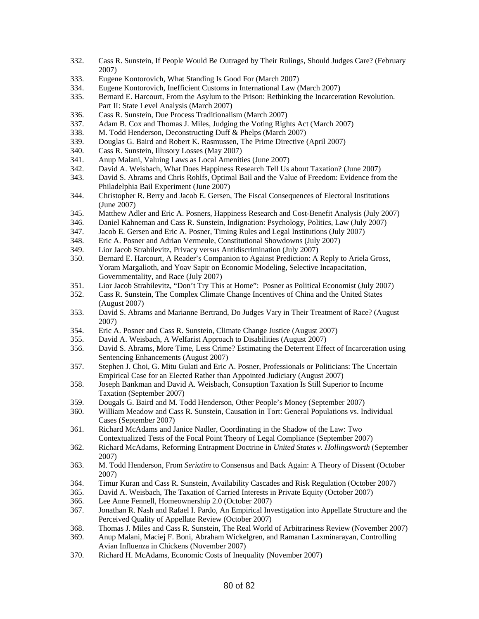- 332. Cass R. Sunstein, If People Would Be Outraged by Their Rulings, Should Judges Care? (February 2007)
- 333. Eugene Kontorovich, What Standing Is Good For (March 2007)
- 334. Eugene Kontorovich, Inefficient Customs in International Law (March 2007)
- 335. Bernard E. Harcourt, From the Asylum to the Prison: Rethinking the Incarceration Revolution. Part II: State Level Analysis (March 2007)
- 336. Cass R. Sunstein, Due Process Traditionalism (March 2007)
- 337. Adam B. Cox and Thomas J. Miles, Judging the Voting Rights Act (March 2007)
- 338. M. Todd Henderson, Deconstructing Duff & Phelps (March 2007)
- 339. Douglas G. Baird and Robert K. Rasmussen, The Prime Directive (April 2007)
- 340. Cass R. Sunstein, Illusory Losses (May 2007)
- 341. Anup Malani, Valuing Laws as Local Amenities (June 2007)
- 342. David A. Weisbach, What Does Happiness Research Tell Us about Taxation? (June 2007)
- 343. David S. Abrams and Chris Rohlfs, Optimal Bail and the Value of Freedom: Evidence from the Philadelphia Bail Experiment (June 2007)
- 344. Christopher R. Berry and Jacob E. Gersen, The Fiscal Consequences of Electoral Institutions (June 2007)
- 345. Matthew Adler and Eric A. Posners, Happiness Research and Cost-Benefit Analysis (July 2007)
- 346. Daniel Kahneman and Cass R. Sunstein, Indignation: Psychology, Politics, Law (July 2007)
- 347. Jacob E. Gersen and Eric A. Posner, Timing Rules and Legal Institutions (July 2007)
- 348. Eric A. Posner and Adrian Vermeule, Constitutional Showdowns (July 2007)
- 349. Lior Jacob Strahilevitz, Privacy versus Antidiscrimination (July 2007)
- 350. Bernard E. Harcourt, A Reader's Companion to Against Prediction: A Reply to Ariela Gross, Yoram Margalioth, and Yoav Sapir on Economic Modeling, Selective Incapacitation, Governmentality, and Race (July 2007)
- 351. Lior Jacob Strahilevitz, "Don't Try This at Home": Posner as Political Economist (July 2007)
- 352. Cass R. Sunstein, The Complex Climate Change Incentives of China and the United States (August 2007)
- 353. David S. Abrams and Marianne Bertrand, Do Judges Vary in Their Treatment of Race? (August 2007)
- 354. Eric A. Posner and Cass R. Sunstein, Climate Change Justice (August 2007)
- 355. David A. Weisbach, A Welfarist Approach to Disabilities (August 2007)
- 356. David S. Abrams, More Time, Less Crime? Estimating the Deterrent Effect of Incarceration using Sentencing Enhancements (August 2007)
- 357. Stephen J. Choi, G. Mitu Gulati and Eric A. Posner, Professionals or Politicians: The Uncertain Empirical Case for an Elected Rather than Appointed Judiciary (August 2007)
- 358. Joseph Bankman and David A. Weisbach, Consuption Taxation Is Still Superior to Income Taxation (September 2007)
- 359. Dougals G. Baird and M. Todd Henderson, Other People's Money (September 2007)
- 360. William Meadow and Cass R. Sunstein, Causation in Tort: General Populations vs. Individual Cases (September 2007)
- 361. Richard McAdams and Janice Nadler, Coordinating in the Shadow of the Law: Two Contextualized Tests of the Focal Point Theory of Legal Compliance (September 2007)
- 362. Richard McAdams, Reforming Entrapment Doctrine in *United States v. Hollingsworth* (September 2007)
- 363. M. Todd Henderson, From *Seriatim* to Consensus and Back Again: A Theory of Dissent (October 2007)
- 364. Timur Kuran and Cass R. Sunstein, Availability Cascades and Risk Regulation (October 2007)
- 365. David A. Weisbach, The Taxation of Carried Interests in Private Equity (October 2007)
- 366. Lee Anne Fennell, Homeownership 2.0 (October 2007)
- 367. Jonathan R. Nash and Rafael I. Pardo, An Empirical Investigation into Appellate Structure and the Perceived Quality of Appellate Review (October 2007)
- 368. Thomas J. Miles and Cass R. Sunstein, The Real World of Arbitrariness Review (November 2007)
- 369. Anup Malani, Maciej F. Boni, Abraham Wickelgren, and Ramanan Laxminarayan, Controlling Avian Influenza in Chickens (November 2007)
- 370. Richard H. McAdams, Economic Costs of Inequality (November 2007)